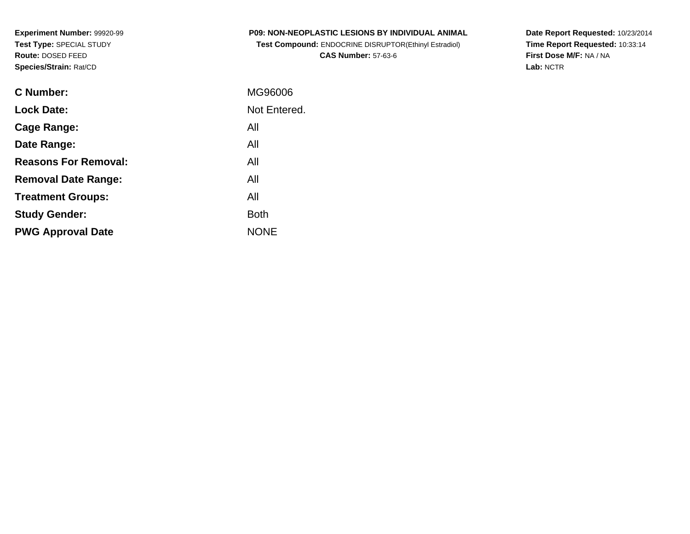**Experiment Number:** 99920-99**Test Type:** SPECIAL STUDY**Route:** DOSED FEED**Species/Strain:** Rat/CD

| <b>P09: NON-NEOPLASTIC LESIONS BY INDIVIDUAL ANIMAL</b>      |  |
|--------------------------------------------------------------|--|
| <b>Test Compound: ENDOCRINE DISRUPTOR(Ethinyl Estradiol)</b> |  |

**CAS Number:** 57-63-6

**Date Report Requested:** 10/23/2014 **Time Report Requested:** 10:33:14**First Dose M/F:** NA / NA**Lab:** NCTR

| <b>C</b> Number:            | MG96006      |
|-----------------------------|--------------|
| <b>Lock Date:</b>           | Not Entered. |
| Cage Range:                 | All          |
| Date Range:                 | All          |
| <b>Reasons For Removal:</b> | All          |
| <b>Removal Date Range:</b>  | All          |
| <b>Treatment Groups:</b>    | All          |
| <b>Study Gender:</b>        | Both         |
| <b>PWG Approval Date</b>    | <b>NONE</b>  |
|                             |              |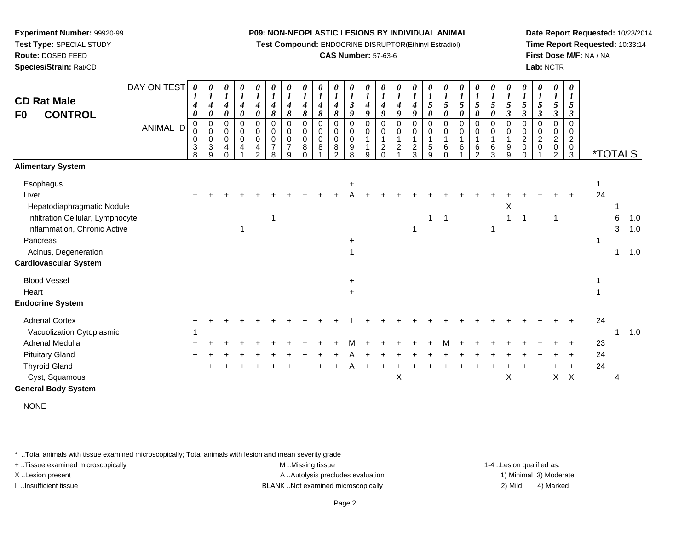**Test Compound:** ENDOCRINE DISRUPTOR(Ethinyl Estradiol)

# **CAS Number:** 57-63-6

**Date Report Requested:** 10/23/2014**Time Report Requested:** 10:33:14**First Dose M/F:** NA / NA**Lab:** NCTR

| <b>CD Rat Male</b><br><b>CONTROL</b><br>F <sub>0</sub> | DAY ON TEST<br><b>ANIMAL ID</b> | 0<br>$\boldsymbol{l}$<br>4<br>$\boldsymbol{\theta}$<br>$\mathbf 0$<br>0<br>3<br>8 | 0<br>$\boldsymbol{l}$<br>$\boldsymbol{4}$<br>$\boldsymbol{\theta}$<br>$\mathbf 0$<br>$\pmb{0}$<br>$\pmb{0}$<br>$\ensuremath{\mathsf{3}}$<br>9 | 0<br>$\boldsymbol{l}$<br>$\boldsymbol{4}$<br>0<br>0<br>$\mathbf 0$<br>$\pmb{0}$<br>4<br>$\Omega$ | 0<br>$\boldsymbol{l}$<br>$\boldsymbol{4}$<br>$\boldsymbol{\theta}$<br>0<br>$\pmb{0}$<br>$\pmb{0}$<br>4 | 0<br>$\boldsymbol{l}$<br>$\boldsymbol{4}$<br>$\pmb{\theta}$<br>$\pmb{0}$<br>$\pmb{0}$<br>$\pmb{0}$<br>4<br>$\overline{2}$ | $\begin{matrix} 0 \\ 1 \end{matrix}$<br>$\boldsymbol{4}$<br>8<br>$\pmb{0}$<br>$\pmb{0}$<br>$\pmb{0}$<br>$\overline{7}$<br>8 | $\frac{\theta}{I}$<br>4<br>8<br>0<br>0<br>0<br>$\overline{7}$<br>9 | 0<br>$\overline{\mathbf{I}}$<br>4<br>8<br>$\mathbf 0$<br>$\,0\,$<br>0<br>8<br>$\Omega$ | $\boldsymbol{\theta}$<br>$\boldsymbol{l}$<br>$\boldsymbol{4}$<br>8<br>$\mathbf 0$<br>0<br>$\mathbf 0$<br>8 | $\boldsymbol{l}$<br>$\boldsymbol{4}$<br>8<br>0<br>0<br>0<br>$\bf 8$<br>$\mathcal{P}$ | 0<br>$\boldsymbol{l}$<br>$\mathfrak{z}$<br>9<br>0<br>0<br>$\mathbf 0$<br>$\boldsymbol{9}$<br>8 | 0<br>$\boldsymbol{l}$<br>$\boldsymbol{4}$<br>9<br>$\mathbf 0$<br>0<br>1<br>1<br>9 | 0<br>1<br>$\boldsymbol{4}$<br>9<br>$\mathbf 0$<br>0<br>$\mathbf{1}$<br>$\boldsymbol{2}$<br>$\Omega$ | 0<br>$\boldsymbol{l}$<br>4<br>9<br>$\mathbf 0$<br>0<br>$\mathbf{1}$<br>$\overline{c}$ | 0<br>$\boldsymbol{l}$<br>$\boldsymbol{4}$<br>9<br>0<br>0<br>$\frac{2}{3}$ | $\boldsymbol{l}$<br>$\sqrt{5}$<br>$\boldsymbol{\theta}$<br>$\Omega$<br>$\mathbf 0$<br>$\mathbf{1}$<br>$\overline{5}$<br>9 | 0<br>$\boldsymbol{l}$<br>5<br>$\boldsymbol{\theta}$<br>$\mathsf 0$<br>0<br>6<br>$\Omega$ | 0<br>$\boldsymbol{l}$<br>5<br>0<br>$\mathsf{O}$<br>0<br>6 | 0<br>$\boldsymbol{l}$<br>5<br>0<br>0<br>0<br>$\,6$<br>2 | 0<br>$\boldsymbol{l}$<br>5<br>$\boldsymbol{\theta}$<br>$\mathbf 0$<br>$\mathbf 0$<br>$\mathbf{1}$<br>$6\phantom{1}6$<br>3 | 0<br>$\boldsymbol{l}$<br>5<br>$\boldsymbol{\beta}$<br>$\pmb{0}$<br>$\mathbf 0$<br>$\boldsymbol{9}$<br>9 | $\begin{matrix} 0 \\ 1 \end{matrix}$<br>5<br>$\boldsymbol{\beta}$<br>$\mathbf 0$<br>0<br>$\overline{c}$<br>$\mathbf 0$<br>$\Omega$ | 0<br>$\boldsymbol{l}$<br>5<br>$\boldsymbol{\beta}$<br>0<br>0<br>$\overline{c}$<br>0 | 0<br>$\boldsymbol{l}$<br>5<br>$\boldsymbol{\beta}$<br>$\mathbf 0$<br>0<br>$\boldsymbol{2}$<br>0<br>2 | 0<br>$\boldsymbol{l}$<br>5<br>3<br>0<br>0<br>$\overline{c}$<br>$\begin{smallmatrix}0\3 \end{smallmatrix}$ | <i><b>*TOTALS</b></i> |              |     |
|--------------------------------------------------------|---------------------------------|-----------------------------------------------------------------------------------|-----------------------------------------------------------------------------------------------------------------------------------------------|--------------------------------------------------------------------------------------------------|--------------------------------------------------------------------------------------------------------|---------------------------------------------------------------------------------------------------------------------------|-----------------------------------------------------------------------------------------------------------------------------|--------------------------------------------------------------------|----------------------------------------------------------------------------------------|------------------------------------------------------------------------------------------------------------|--------------------------------------------------------------------------------------|------------------------------------------------------------------------------------------------|-----------------------------------------------------------------------------------|-----------------------------------------------------------------------------------------------------|---------------------------------------------------------------------------------------|---------------------------------------------------------------------------|---------------------------------------------------------------------------------------------------------------------------|------------------------------------------------------------------------------------------|-----------------------------------------------------------|---------------------------------------------------------|---------------------------------------------------------------------------------------------------------------------------|---------------------------------------------------------------------------------------------------------|------------------------------------------------------------------------------------------------------------------------------------|-------------------------------------------------------------------------------------|------------------------------------------------------------------------------------------------------|-----------------------------------------------------------------------------------------------------------|-----------------------|--------------|-----|
| <b>Alimentary System</b>                               |                                 |                                                                                   |                                                                                                                                               |                                                                                                  |                                                                                                        |                                                                                                                           |                                                                                                                             |                                                                    |                                                                                        |                                                                                                            |                                                                                      |                                                                                                |                                                                                   |                                                                                                     |                                                                                       |                                                                           |                                                                                                                           |                                                                                          |                                                           |                                                         |                                                                                                                           |                                                                                                         |                                                                                                                                    |                                                                                     |                                                                                                      |                                                                                                           |                       |              |     |
| Esophagus                                              |                                 |                                                                                   |                                                                                                                                               |                                                                                                  |                                                                                                        |                                                                                                                           |                                                                                                                             |                                                                    |                                                                                        |                                                                                                            |                                                                                      | $\ddot{}$                                                                                      |                                                                                   |                                                                                                     |                                                                                       |                                                                           |                                                                                                                           |                                                                                          |                                                           |                                                         |                                                                                                                           |                                                                                                         |                                                                                                                                    |                                                                                     |                                                                                                      |                                                                                                           |                       |              |     |
| Liver                                                  |                                 |                                                                                   |                                                                                                                                               |                                                                                                  |                                                                                                        |                                                                                                                           |                                                                                                                             |                                                                    |                                                                                        |                                                                                                            |                                                                                      |                                                                                                |                                                                                   |                                                                                                     |                                                                                       |                                                                           |                                                                                                                           |                                                                                          |                                                           |                                                         |                                                                                                                           |                                                                                                         |                                                                                                                                    |                                                                                     |                                                                                                      |                                                                                                           | 24                    |              |     |
| Hepatodiaphragmatic Nodule                             |                                 |                                                                                   |                                                                                                                                               |                                                                                                  |                                                                                                        |                                                                                                                           |                                                                                                                             |                                                                    |                                                                                        |                                                                                                            |                                                                                      |                                                                                                |                                                                                   |                                                                                                     |                                                                                       |                                                                           |                                                                                                                           |                                                                                          |                                                           |                                                         |                                                                                                                           | Χ                                                                                                       |                                                                                                                                    |                                                                                     |                                                                                                      |                                                                                                           |                       |              |     |
| Infiltration Cellular, Lymphocyte                      |                                 |                                                                                   |                                                                                                                                               |                                                                                                  |                                                                                                        |                                                                                                                           | -1                                                                                                                          |                                                                    |                                                                                        |                                                                                                            |                                                                                      |                                                                                                |                                                                                   |                                                                                                     |                                                                                       |                                                                           | 1                                                                                                                         | $\mathbf 1$                                                                              |                                                           |                                                         |                                                                                                                           | $\mathbf{1}$                                                                                            | 1                                                                                                                                  |                                                                                     | $\overline{1}$                                                                                       |                                                                                                           |                       | 6            | 1.0 |
| Inflammation, Chronic Active                           |                                 |                                                                                   |                                                                                                                                               |                                                                                                  |                                                                                                        |                                                                                                                           |                                                                                                                             |                                                                    |                                                                                        |                                                                                                            |                                                                                      |                                                                                                |                                                                                   |                                                                                                     |                                                                                       | 1                                                                         |                                                                                                                           |                                                                                          |                                                           |                                                         |                                                                                                                           |                                                                                                         |                                                                                                                                    |                                                                                     |                                                                                                      |                                                                                                           |                       | 3            | 1.0 |
| Pancreas                                               |                                 |                                                                                   |                                                                                                                                               |                                                                                                  |                                                                                                        |                                                                                                                           |                                                                                                                             |                                                                    |                                                                                        |                                                                                                            |                                                                                      |                                                                                                |                                                                                   |                                                                                                     |                                                                                       |                                                                           |                                                                                                                           |                                                                                          |                                                           |                                                         |                                                                                                                           |                                                                                                         |                                                                                                                                    |                                                                                     |                                                                                                      |                                                                                                           | 1                     |              |     |
| Acinus, Degeneration                                   |                                 |                                                                                   |                                                                                                                                               |                                                                                                  |                                                                                                        |                                                                                                                           |                                                                                                                             |                                                                    |                                                                                        |                                                                                                            |                                                                                      |                                                                                                |                                                                                   |                                                                                                     |                                                                                       |                                                                           |                                                                                                                           |                                                                                          |                                                           |                                                         |                                                                                                                           |                                                                                                         |                                                                                                                                    |                                                                                     |                                                                                                      |                                                                                                           |                       | 1            | 1.0 |
| <b>Cardiovascular System</b>                           |                                 |                                                                                   |                                                                                                                                               |                                                                                                  |                                                                                                        |                                                                                                                           |                                                                                                                             |                                                                    |                                                                                        |                                                                                                            |                                                                                      |                                                                                                |                                                                                   |                                                                                                     |                                                                                       |                                                                           |                                                                                                                           |                                                                                          |                                                           |                                                         |                                                                                                                           |                                                                                                         |                                                                                                                                    |                                                                                     |                                                                                                      |                                                                                                           |                       |              |     |
| <b>Blood Vessel</b>                                    |                                 |                                                                                   |                                                                                                                                               |                                                                                                  |                                                                                                        |                                                                                                                           |                                                                                                                             |                                                                    |                                                                                        |                                                                                                            |                                                                                      | $\ddot{}$                                                                                      |                                                                                   |                                                                                                     |                                                                                       |                                                                           |                                                                                                                           |                                                                                          |                                                           |                                                         |                                                                                                                           |                                                                                                         |                                                                                                                                    |                                                                                     |                                                                                                      |                                                                                                           |                       |              |     |
| Heart                                                  |                                 |                                                                                   |                                                                                                                                               |                                                                                                  |                                                                                                        |                                                                                                                           |                                                                                                                             |                                                                    |                                                                                        |                                                                                                            |                                                                                      | $\pm$                                                                                          |                                                                                   |                                                                                                     |                                                                                       |                                                                           |                                                                                                                           |                                                                                          |                                                           |                                                         |                                                                                                                           |                                                                                                         |                                                                                                                                    |                                                                                     |                                                                                                      |                                                                                                           |                       |              |     |
| <b>Endocrine System</b>                                |                                 |                                                                                   |                                                                                                                                               |                                                                                                  |                                                                                                        |                                                                                                                           |                                                                                                                             |                                                                    |                                                                                        |                                                                                                            |                                                                                      |                                                                                                |                                                                                   |                                                                                                     |                                                                                       |                                                                           |                                                                                                                           |                                                                                          |                                                           |                                                         |                                                                                                                           |                                                                                                         |                                                                                                                                    |                                                                                     |                                                                                                      |                                                                                                           |                       |              |     |
| <b>Adrenal Cortex</b>                                  |                                 |                                                                                   |                                                                                                                                               |                                                                                                  |                                                                                                        |                                                                                                                           |                                                                                                                             |                                                                    |                                                                                        |                                                                                                            |                                                                                      |                                                                                                |                                                                                   |                                                                                                     |                                                                                       |                                                                           |                                                                                                                           |                                                                                          |                                                           |                                                         |                                                                                                                           |                                                                                                         |                                                                                                                                    |                                                                                     |                                                                                                      |                                                                                                           | 24                    |              |     |
| Vacuolization Cytoplasmic                              |                                 |                                                                                   |                                                                                                                                               |                                                                                                  |                                                                                                        |                                                                                                                           |                                                                                                                             |                                                                    |                                                                                        |                                                                                                            |                                                                                      |                                                                                                |                                                                                   |                                                                                                     |                                                                                       |                                                                           |                                                                                                                           |                                                                                          |                                                           |                                                         |                                                                                                                           |                                                                                                         |                                                                                                                                    |                                                                                     |                                                                                                      |                                                                                                           |                       | $\mathbf{1}$ | 1.0 |
| Adrenal Medulla                                        |                                 |                                                                                   |                                                                                                                                               |                                                                                                  |                                                                                                        |                                                                                                                           |                                                                                                                             |                                                                    |                                                                                        |                                                                                                            |                                                                                      |                                                                                                |                                                                                   |                                                                                                     |                                                                                       |                                                                           |                                                                                                                           |                                                                                          |                                                           |                                                         |                                                                                                                           |                                                                                                         |                                                                                                                                    |                                                                                     |                                                                                                      |                                                                                                           | 23                    |              |     |
| <b>Pituitary Gland</b>                                 |                                 |                                                                                   |                                                                                                                                               |                                                                                                  |                                                                                                        |                                                                                                                           |                                                                                                                             |                                                                    |                                                                                        |                                                                                                            |                                                                                      |                                                                                                |                                                                                   |                                                                                                     |                                                                                       |                                                                           |                                                                                                                           |                                                                                          |                                                           |                                                         |                                                                                                                           |                                                                                                         |                                                                                                                                    |                                                                                     |                                                                                                      |                                                                                                           | 24                    |              |     |
| <b>Thyroid Gland</b>                                   |                                 |                                                                                   |                                                                                                                                               |                                                                                                  |                                                                                                        |                                                                                                                           |                                                                                                                             |                                                                    |                                                                                        |                                                                                                            |                                                                                      |                                                                                                |                                                                                   |                                                                                                     |                                                                                       |                                                                           |                                                                                                                           |                                                                                          |                                                           |                                                         |                                                                                                                           |                                                                                                         |                                                                                                                                    |                                                                                     |                                                                                                      |                                                                                                           | 24                    |              |     |
| Cyst, Squamous                                         |                                 |                                                                                   |                                                                                                                                               |                                                                                                  |                                                                                                        |                                                                                                                           |                                                                                                                             |                                                                    |                                                                                        |                                                                                                            |                                                                                      |                                                                                                |                                                                                   |                                                                                                     | X                                                                                     |                                                                           |                                                                                                                           |                                                                                          |                                                           |                                                         |                                                                                                                           | X                                                                                                       |                                                                                                                                    |                                                                                     | $X$ $X$                                                                                              |                                                                                                           |                       | 4            |     |
| <b>General Body System</b>                             |                                 |                                                                                   |                                                                                                                                               |                                                                                                  |                                                                                                        |                                                                                                                           |                                                                                                                             |                                                                    |                                                                                        |                                                                                                            |                                                                                      |                                                                                                |                                                                                   |                                                                                                     |                                                                                       |                                                                           |                                                                                                                           |                                                                                          |                                                           |                                                         |                                                                                                                           |                                                                                                         |                                                                                                                                    |                                                                                     |                                                                                                      |                                                                                                           |                       |              |     |

NONE

\* ..Total animals with tissue examined microscopically; Total animals with lesion and mean severity grade

**Experiment Number:** 99920-99**Test Type:** SPECIAL STUDY**Route:** DOSED FEED**Species/Strain:** Rat/CD

+ ..Tissue examined microscopically examined microscopically examined as:  $M$  ..Missing tissue 1-4 ..Lesion qualified as: X..Lesion present **A ..Autolysis precludes evaluation** A ..Autolysis precludes evaluation 1) Minimal 3) Moderate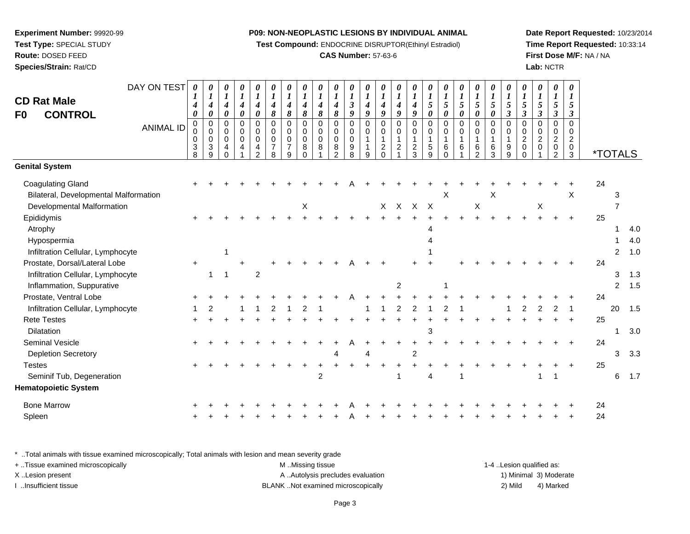**Test Compound:** ENDOCRINE DISRUPTOR(Ethinyl Estradiol)

# **CAS Number:** 57-63-6

**Date Report Requested:** 10/23/2014**Time Report Requested:** 10:33:14**First Dose M/F:** NA / NA**Lab:** NCTR

| <b>CD Rat Male</b><br>F0<br><b>CONTROL</b>                                | DAY ON TEST<br><b>ANIMAL ID</b> | 0<br>1<br>4<br>0<br>$\pmb{0}$<br>0<br>3<br>8 | 0<br>$\boldsymbol{l}$<br>$\boldsymbol{4}$<br>$\pmb{\theta}$<br>$\pmb{0}$<br>$\,0\,$<br>0<br>$\ensuremath{\mathsf{3}}$<br>9 | 0<br>$\boldsymbol{l}$<br>$\boldsymbol{4}$<br>0<br>$\pmb{0}$<br>$\pmb{0}$<br>$\mathbf 0$<br>4<br>$\Omega$ | 0<br>$\boldsymbol{l}$<br>$\boldsymbol{4}$<br>0<br>$\pmb{0}$<br>$\pmb{0}$<br>0<br>$\overline{4}$ | 0<br>$\boldsymbol{l}$<br>$\boldsymbol{4}$<br>$\boldsymbol{\theta}$<br>$\mathbf 0$<br>$\pmb{0}$<br>$\mathbf 0$<br>4<br>$\mathcal{P}$ | 0<br>$\boldsymbol{l}$<br>4<br>8<br>$\pmb{0}$<br>$\pmb{0}$<br>$\pmb{0}$<br>$\overline{7}$<br>8 | 0<br>$\boldsymbol{l}$<br>$\boldsymbol{4}$<br>8<br>$\mathbf 0$<br>0<br>$\mathbf 0$<br>$\overline{7}$<br>9 | 0<br>$\boldsymbol{l}$<br>$\boldsymbol{4}$<br>8<br>$\mathbf 0$<br>$\pmb{0}$<br>$\mathbf 0$<br>8<br>$\Omega$ | $\boldsymbol{\theta}$<br>$\boldsymbol{l}$<br>$\boldsymbol{4}$<br>8<br>$\Omega$<br>$\mathbf 0$<br>$\mathbf 0$<br>8 | 0<br>$\boldsymbol{l}$<br>$\boldsymbol{4}$<br>8<br>$\mathbf 0$<br>$\pmb{0}$<br>$\pmb{0}$<br>$\bf 8$<br>$\mathcal{P}$ | 0<br>$\boldsymbol{l}$<br>$\mathbf{3}$<br>9<br>$\Omega$<br>0<br>$\mathbf 0$<br>9<br>8 | 0<br>$\boldsymbol{l}$<br>$\boldsymbol{4}$<br>9<br>$\mathbf 0$<br>$\pmb{0}$<br>$\overline{1}$<br>$\overline{\mathbf{1}}$<br>9 | $\boldsymbol{\theta}$<br>1<br>$\boldsymbol{4}$<br>9<br>$\mathbf 0$<br>$\pmb{0}$<br>$\overline{1}$<br>$\overline{c}$<br>$\Omega$ | 0<br>$\boldsymbol{l}$<br>4<br>9<br>$\mathbf 0$<br>$\pmb{0}$<br>$\mathbf{1}$<br>$\boldsymbol{2}$ | $\boldsymbol{\theta}$<br>$\boldsymbol{l}$<br>$\boldsymbol{4}$<br>9<br>$\Omega$<br>0<br>1<br>$\overline{c}$<br>3 | 0<br>$\boldsymbol{l}$<br>5<br>$\boldsymbol{\theta}$<br>$\Omega$<br>0<br>$\mathbf{1}$<br>5<br>9 | $\boldsymbol{\theta}$<br>$\boldsymbol{l}$<br>5<br>0<br>$\mathbf 0$<br>0<br>$\mathbf{1}$<br>6 | 0<br>$\boldsymbol{l}$<br>5<br>$\pmb{\theta}$<br>$\pmb{0}$<br>$\pmb{0}$<br>$\mathbf{1}$<br>6 | 0<br>$\boldsymbol{l}$<br>$\mathfrak{H}$<br>0<br>$\pmb{0}$<br>$\pmb{0}$<br>$\mathbf{1}$<br>6<br>2 | 0<br>$\boldsymbol{l}$<br>5<br>$\boldsymbol{\theta}$<br>$\mathbf 0$<br>$\pmb{0}$<br>$\mathbf{1}$<br>$\,6$<br>3 | 0<br>$\boldsymbol{l}$<br>$\mathfrak{z}$<br>$\boldsymbol{\beta}$<br>$\pmb{0}$<br>$\pmb{0}$<br>$\mathbf{1}$<br>$\boldsymbol{9}$<br>9 | 0<br>$\boldsymbol{l}$<br>5<br>$\mathfrak{z}$<br>$\mathbf 0$<br>$\pmb{0}$<br>$\overline{2}$<br>$\pmb{0}$<br>$\Omega$ | 0<br>$\boldsymbol{l}$<br>5<br>$\mathfrak{z}$<br>$\pmb{0}$<br>$\mathbf 0$<br>$\boldsymbol{2}$<br>$\mathbf 0$ | 0<br>$\boldsymbol{l}$<br>5<br>$\boldsymbol{\beta}$<br>0<br>$\pmb{0}$<br>$\boldsymbol{2}$<br>$\pmb{0}$<br>$\overline{2}$ | 0<br>$\boldsymbol{l}$<br>5<br>$\boldsymbol{\beta}$<br>$\Omega$<br>$\mathbf 0$<br>2<br>$\mathbf 0$<br>3 |    | <i><b>*TOTALS</b></i> |                   |
|---------------------------------------------------------------------------|---------------------------------|----------------------------------------------|----------------------------------------------------------------------------------------------------------------------------|----------------------------------------------------------------------------------------------------------|-------------------------------------------------------------------------------------------------|-------------------------------------------------------------------------------------------------------------------------------------|-----------------------------------------------------------------------------------------------|----------------------------------------------------------------------------------------------------------|------------------------------------------------------------------------------------------------------------|-------------------------------------------------------------------------------------------------------------------|---------------------------------------------------------------------------------------------------------------------|--------------------------------------------------------------------------------------|------------------------------------------------------------------------------------------------------------------------------|---------------------------------------------------------------------------------------------------------------------------------|-------------------------------------------------------------------------------------------------|-----------------------------------------------------------------------------------------------------------------|------------------------------------------------------------------------------------------------|----------------------------------------------------------------------------------------------|---------------------------------------------------------------------------------------------|--------------------------------------------------------------------------------------------------|---------------------------------------------------------------------------------------------------------------|------------------------------------------------------------------------------------------------------------------------------------|---------------------------------------------------------------------------------------------------------------------|-------------------------------------------------------------------------------------------------------------|-------------------------------------------------------------------------------------------------------------------------|--------------------------------------------------------------------------------------------------------|----|-----------------------|-------------------|
| <b>Genital System</b>                                                     |                                 |                                              |                                                                                                                            |                                                                                                          |                                                                                                 |                                                                                                                                     |                                                                                               |                                                                                                          |                                                                                                            |                                                                                                                   |                                                                                                                     |                                                                                      |                                                                                                                              |                                                                                                                                 |                                                                                                 |                                                                                                                 |                                                                                                |                                                                                              |                                                                                             |                                                                                                  |                                                                                                               |                                                                                                                                    |                                                                                                                     |                                                                                                             |                                                                                                                         |                                                                                                        |    |                       |                   |
| <b>Coagulating Gland</b><br>Bilateral, Developmental Malformation         |                                 |                                              |                                                                                                                            |                                                                                                          |                                                                                                 |                                                                                                                                     |                                                                                               |                                                                                                          |                                                                                                            |                                                                                                                   |                                                                                                                     |                                                                                      |                                                                                                                              |                                                                                                                                 |                                                                                                 |                                                                                                                 |                                                                                                | X                                                                                            |                                                                                             |                                                                                                  | X                                                                                                             |                                                                                                                                    |                                                                                                                     |                                                                                                             |                                                                                                                         | $\times$                                                                                               | 24 | 3                     |                   |
| Developmental Malformation                                                |                                 |                                              |                                                                                                                            |                                                                                                          |                                                                                                 |                                                                                                                                     |                                                                                               |                                                                                                          | Χ                                                                                                          |                                                                                                                   |                                                                                                                     |                                                                                      |                                                                                                                              |                                                                                                                                 | $X$ $X$                                                                                         | $\mathsf{X}$                                                                                                    | $\mathsf{X}$                                                                                   |                                                                                              |                                                                                             | $\sf X$                                                                                          |                                                                                                               |                                                                                                                                    |                                                                                                                     | X                                                                                                           |                                                                                                                         |                                                                                                        |    | $\overline{7}$        |                   |
| Epididymis<br>Atrophy<br>Hypospermia<br>Infiltration Cellular, Lymphocyte |                                 |                                              |                                                                                                                            | 1                                                                                                        |                                                                                                 |                                                                                                                                     |                                                                                               |                                                                                                          |                                                                                                            |                                                                                                                   |                                                                                                                     |                                                                                      |                                                                                                                              |                                                                                                                                 |                                                                                                 |                                                                                                                 |                                                                                                |                                                                                              |                                                                                             |                                                                                                  |                                                                                                               |                                                                                                                                    |                                                                                                                     |                                                                                                             |                                                                                                                         | $\ddot{}$                                                                                              | 25 | 2                     | 4.0<br>4.0<br>1.0 |
| Prostate, Dorsal/Lateral Lobe                                             |                                 | +                                            |                                                                                                                            |                                                                                                          |                                                                                                 |                                                                                                                                     |                                                                                               |                                                                                                          |                                                                                                            |                                                                                                                   |                                                                                                                     |                                                                                      |                                                                                                                              |                                                                                                                                 |                                                                                                 |                                                                                                                 |                                                                                                |                                                                                              |                                                                                             |                                                                                                  |                                                                                                               |                                                                                                                                    |                                                                                                                     |                                                                                                             |                                                                                                                         |                                                                                                        | 24 |                       |                   |
| Infiltration Cellular, Lymphocyte<br>Inflammation, Suppurative            |                                 |                                              | $\overline{1}$                                                                                                             | $\mathbf{1}$                                                                                             |                                                                                                 | $\overline{2}$                                                                                                                      |                                                                                               |                                                                                                          |                                                                                                            |                                                                                                                   |                                                                                                                     |                                                                                      |                                                                                                                              |                                                                                                                                 | 2                                                                                               |                                                                                                                 |                                                                                                |                                                                                              |                                                                                             |                                                                                                  |                                                                                                               |                                                                                                                                    |                                                                                                                     |                                                                                                             |                                                                                                                         |                                                                                                        |    | 3<br>$\overline{2}$   | 1.3<br>1.5        |
| Prostate, Ventral Lobe                                                    |                                 |                                              |                                                                                                                            |                                                                                                          |                                                                                                 |                                                                                                                                     |                                                                                               |                                                                                                          |                                                                                                            |                                                                                                                   |                                                                                                                     |                                                                                      |                                                                                                                              |                                                                                                                                 |                                                                                                 |                                                                                                                 |                                                                                                |                                                                                              |                                                                                             |                                                                                                  |                                                                                                               |                                                                                                                                    |                                                                                                                     |                                                                                                             |                                                                                                                         |                                                                                                        | 24 |                       |                   |
| Infiltration Cellular, Lymphocyte                                         |                                 |                                              |                                                                                                                            |                                                                                                          |                                                                                                 |                                                                                                                                     |                                                                                               |                                                                                                          |                                                                                                            |                                                                                                                   |                                                                                                                     |                                                                                      |                                                                                                                              |                                                                                                                                 | $\overline{2}$                                                                                  | 2                                                                                                               |                                                                                                |                                                                                              |                                                                                             |                                                                                                  |                                                                                                               |                                                                                                                                    | 2                                                                                                                   | 2                                                                                                           | 2                                                                                                                       | $\mathbf 1$                                                                                            |    | 20                    | 1.5               |
| <b>Rete Testes</b><br>Dilatation                                          |                                 |                                              |                                                                                                                            |                                                                                                          |                                                                                                 |                                                                                                                                     |                                                                                               |                                                                                                          |                                                                                                            |                                                                                                                   |                                                                                                                     |                                                                                      |                                                                                                                              |                                                                                                                                 |                                                                                                 |                                                                                                                 | 3                                                                                              |                                                                                              |                                                                                             |                                                                                                  |                                                                                                               |                                                                                                                                    |                                                                                                                     |                                                                                                             |                                                                                                                         |                                                                                                        | 25 | 1                     | 3.0               |
| <b>Seminal Vesicle</b>                                                    |                                 |                                              |                                                                                                                            |                                                                                                          |                                                                                                 |                                                                                                                                     |                                                                                               |                                                                                                          |                                                                                                            |                                                                                                                   |                                                                                                                     |                                                                                      |                                                                                                                              |                                                                                                                                 |                                                                                                 |                                                                                                                 |                                                                                                |                                                                                              |                                                                                             |                                                                                                  |                                                                                                               |                                                                                                                                    |                                                                                                                     |                                                                                                             |                                                                                                                         |                                                                                                        | 24 |                       |                   |
| <b>Depletion Secretory</b>                                                |                                 |                                              |                                                                                                                            |                                                                                                          |                                                                                                 |                                                                                                                                     |                                                                                               |                                                                                                          |                                                                                                            |                                                                                                                   |                                                                                                                     |                                                                                      |                                                                                                                              |                                                                                                                                 |                                                                                                 | $\overline{c}$                                                                                                  |                                                                                                |                                                                                              |                                                                                             |                                                                                                  |                                                                                                               |                                                                                                                                    |                                                                                                                     |                                                                                                             |                                                                                                                         |                                                                                                        |    | 3                     | 3.3               |
| <b>Testes</b>                                                             |                                 |                                              |                                                                                                                            |                                                                                                          |                                                                                                 |                                                                                                                                     |                                                                                               |                                                                                                          |                                                                                                            |                                                                                                                   |                                                                                                                     |                                                                                      |                                                                                                                              |                                                                                                                                 |                                                                                                 |                                                                                                                 |                                                                                                |                                                                                              |                                                                                             |                                                                                                  |                                                                                                               |                                                                                                                                    |                                                                                                                     |                                                                                                             |                                                                                                                         |                                                                                                        | 25 |                       |                   |
| Seminif Tub, Degeneration                                                 |                                 |                                              |                                                                                                                            |                                                                                                          |                                                                                                 |                                                                                                                                     |                                                                                               |                                                                                                          |                                                                                                            | $\overline{2}$                                                                                                    |                                                                                                                     |                                                                                      |                                                                                                                              |                                                                                                                                 |                                                                                                 |                                                                                                                 | Δ                                                                                              |                                                                                              |                                                                                             |                                                                                                  |                                                                                                               |                                                                                                                                    |                                                                                                                     | 1                                                                                                           |                                                                                                                         |                                                                                                        |    | 6                     | 1.7               |
| <b>Hematopoietic System</b>                                               |                                 |                                              |                                                                                                                            |                                                                                                          |                                                                                                 |                                                                                                                                     |                                                                                               |                                                                                                          |                                                                                                            |                                                                                                                   |                                                                                                                     |                                                                                      |                                                                                                                              |                                                                                                                                 |                                                                                                 |                                                                                                                 |                                                                                                |                                                                                              |                                                                                             |                                                                                                  |                                                                                                               |                                                                                                                                    |                                                                                                                     |                                                                                                             |                                                                                                                         |                                                                                                        |    |                       |                   |
| <b>Bone Marrow</b>                                                        |                                 |                                              |                                                                                                                            |                                                                                                          |                                                                                                 |                                                                                                                                     |                                                                                               |                                                                                                          |                                                                                                            |                                                                                                                   |                                                                                                                     |                                                                                      |                                                                                                                              |                                                                                                                                 |                                                                                                 |                                                                                                                 |                                                                                                |                                                                                              |                                                                                             |                                                                                                  |                                                                                                               |                                                                                                                                    |                                                                                                                     |                                                                                                             |                                                                                                                         |                                                                                                        | 24 |                       |                   |
| Spleen                                                                    |                                 |                                              |                                                                                                                            |                                                                                                          |                                                                                                 |                                                                                                                                     |                                                                                               |                                                                                                          |                                                                                                            |                                                                                                                   |                                                                                                                     |                                                                                      |                                                                                                                              |                                                                                                                                 |                                                                                                 |                                                                                                                 |                                                                                                |                                                                                              |                                                                                             |                                                                                                  |                                                                                                               |                                                                                                                                    |                                                                                                                     |                                                                                                             |                                                                                                                         |                                                                                                        | 24 |                       |                   |

\* ..Total animals with tissue examined microscopically; Total animals with lesion and mean severity grade

| + . Tissue examined microscopically | M Missing tissue                   | 1-4 Lesion qualified as: |                        |
|-------------------------------------|------------------------------------|--------------------------|------------------------|
| X Lesion present                    | A Autolysis precludes evaluation   |                          | 1) Minimal 3) Moderate |
| lnsufficient tissue                 | BLANK Not examined microscopically | 2) Mild                  | 4) Marked              |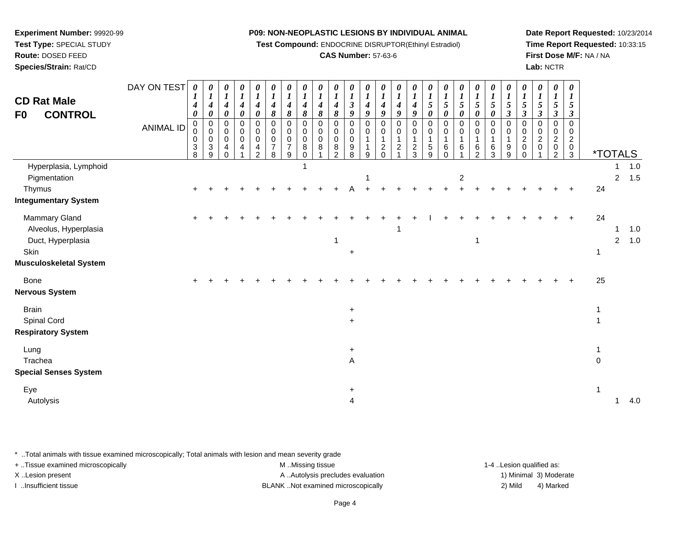**Test Compound:** ENDOCRINE DISRUPTOR(Ethinyl Estradiol)

# **CAS Number:** 57-63-6

**Date Report Requested:** 10/23/2014**Time Report Requested:** 10:33:15**First Dose M/F:** NA / NA**Lab:** NCTR

| <b>CD Rat Male</b><br><b>CONTROL</b><br>F0                                                    | DAY ON TEST<br><b>ANIMAL ID</b> | $\boldsymbol{\theta}$<br>4<br>$\boldsymbol{\theta}$<br>$\mathbf 0$<br>$\pmb{0}$<br>0<br>$\sqrt{3}$<br>8 | $\frac{\boldsymbol{0}}{\boldsymbol{1}}$<br>$\overline{\boldsymbol{4}}$<br>$\pmb{\theta}$<br>$\pmb{0}$<br>$\mathsf{O}\xspace$<br>$\pmb{0}$<br>$\overline{3}$<br>9 | $\begin{matrix} 0 \\ 1 \end{matrix}$<br>$\boldsymbol{4}$<br>$\pmb{\theta}$<br>0<br>$\pmb{0}$<br>$\pmb{0}$<br>$\overline{4}$<br>$\Omega$ | $\boldsymbol{\theta}$<br>$\boldsymbol{l}$<br>$\boldsymbol{4}$<br>$\pmb{\theta}$<br>$\pmb{0}$<br>$\pmb{0}$<br>$\pmb{0}$<br>4 | 0<br>$\boldsymbol{l}$<br>$\boldsymbol{4}$<br>$\boldsymbol{\theta}$<br>0<br>$\mathbf 0$<br>$\pmb{0}$<br>4<br>2 | 0<br>$\boldsymbol{l}$<br>$\boldsymbol{4}$<br>8<br>$\mathbf 0$<br>$\mathbf 0$<br>$\mathbf 0$<br>$\overline{7}$<br>8 | 0<br>$\boldsymbol{l}$<br>4<br>8<br>$\mathbf 0$<br>$\mathbf 0$<br>$\mathbf 0$<br>$\overline{7}$<br>9 | $\boldsymbol{\theta}$<br>$\boldsymbol{l}$<br>$\boldsymbol{4}$<br>8<br>$\mathbf 0$<br>$\mathbf 0$<br>$\pmb{0}$<br>8<br>$\Omega$ | $\frac{\boldsymbol{\theta}}{\boldsymbol{I}}$<br>$\boldsymbol{4}$<br>8<br>0<br>$\boldsymbol{0}$<br>$\mathsf{O}\xspace$<br>8 | 0<br>$\boldsymbol{l}$<br>$\boldsymbol{4}$<br>$\pmb{8}$<br>0<br>$\mathbf 0$<br>$\mathsf{O}\xspace$<br>$\bf 8$<br>2 | 0<br>$\boldsymbol{l}$<br>$\overline{\mathbf{3}}$<br>9<br>0<br>$\mathbf 0$<br>$\mathbf 0$<br>$\boldsymbol{9}$<br>8 | $\begin{matrix} 0 \\ 1 \end{matrix}$<br>$\boldsymbol{4}$<br>9<br>$\pmb{0}$<br>$\pmb{0}$<br>$\mathbf{1}$<br>1<br>9 | 0<br>$\boldsymbol{l}$<br>$\boldsymbol{4}$<br>$\boldsymbol{9}$<br>$\pmb{0}$<br>$\pmb{0}$<br>$\mathbf{1}$<br>$\frac{2}{0}$ | 0<br>$\boldsymbol{I}$<br>$\boldsymbol{4}$<br>$\boldsymbol{9}$<br>0<br>0<br>$\mathbf{1}$<br>$\overline{\mathbf{c}}$ | 0<br>$\boldsymbol{l}$<br>$\boldsymbol{4}$<br>$\boldsymbol{g}$<br>$\pmb{0}$<br>$\mathbf 0$<br>$\mathbf{1}$<br>$\frac{2}{3}$ | 0<br>$\boldsymbol{l}$<br>5<br>$\pmb{\theta}$<br>0<br>$\mathsf 0$<br>1<br>5<br>9 | 0<br>$\frac{1}{5}$<br>0<br>0<br>0<br>1<br>6<br>$\Omega$ | 0<br>$\frac{1}{5}$<br>$\boldsymbol{\theta}$<br>$\mathbf 0$<br>$\pmb{0}$<br>$\mathbf{1}$<br>6 | 0<br>$\frac{1}{5}$<br>$\pmb{\theta}$<br>$\pmb{0}$<br>$\pmb{0}$<br>$\mathbf{1}$<br>$\,6\,$<br>2 | $\frac{\theta}{I}$<br>$\pmb{\theta}$<br>$\mathbf 0$<br>$\mathbf 0$<br>6<br>3 | $\frac{\theta}{I}$<br>5<br>$\mathfrak{z}$<br>$\Omega$<br>$\Omega$<br>$\boldsymbol{9}$<br>9 | $\boldsymbol{\theta}$<br>$\boldsymbol{l}$<br>5<br>$\boldsymbol{\beta}$<br>$\mathbf 0$<br>$\mathbf 0$<br>$\boldsymbol{2}$<br>$\mathbf 0$<br>$\Omega$ | $\boldsymbol{\theta}$<br>$\boldsymbol{l}$<br>5<br>$\boldsymbol{\mathfrak{z}}$<br>$\Omega$<br>$\mathbf 0$<br>$\frac{2}{0}$ | 0<br>$\boldsymbol{l}$<br>5<br>$\boldsymbol{\beta}$<br>0<br>0<br>$\boldsymbol{2}$<br>$\mathbf 0$<br>$\overline{2}$ | 0<br>$\boldsymbol{I}$<br>5<br>$\boldsymbol{\beta}$<br>0<br>$\mathbf 0$<br>$\overline{c}$<br>$\mathbf 0$<br>3 | <i><b>*TOTALS</b></i> |                     |            |
|-----------------------------------------------------------------------------------------------|---------------------------------|---------------------------------------------------------------------------------------------------------|------------------------------------------------------------------------------------------------------------------------------------------------------------------|-----------------------------------------------------------------------------------------------------------------------------------------|-----------------------------------------------------------------------------------------------------------------------------|---------------------------------------------------------------------------------------------------------------|--------------------------------------------------------------------------------------------------------------------|-----------------------------------------------------------------------------------------------------|--------------------------------------------------------------------------------------------------------------------------------|----------------------------------------------------------------------------------------------------------------------------|-------------------------------------------------------------------------------------------------------------------|-------------------------------------------------------------------------------------------------------------------|-------------------------------------------------------------------------------------------------------------------|--------------------------------------------------------------------------------------------------------------------------|--------------------------------------------------------------------------------------------------------------------|----------------------------------------------------------------------------------------------------------------------------|---------------------------------------------------------------------------------|---------------------------------------------------------|----------------------------------------------------------------------------------------------|------------------------------------------------------------------------------------------------|------------------------------------------------------------------------------|--------------------------------------------------------------------------------------------|-----------------------------------------------------------------------------------------------------------------------------------------------------|---------------------------------------------------------------------------------------------------------------------------|-------------------------------------------------------------------------------------------------------------------|--------------------------------------------------------------------------------------------------------------|-----------------------|---------------------|------------|
| Hyperplasia, Lymphoid<br>Pigmentation<br>Thymus<br><b>Integumentary System</b>                |                                 |                                                                                                         |                                                                                                                                                                  |                                                                                                                                         |                                                                                                                             |                                                                                                               |                                                                                                                    |                                                                                                     |                                                                                                                                |                                                                                                                            |                                                                                                                   |                                                                                                                   | -1                                                                                                                |                                                                                                                          |                                                                                                                    |                                                                                                                            |                                                                                 |                                                         | $\overline{c}$                                                                               |                                                                                                |                                                                              |                                                                                            |                                                                                                                                                     |                                                                                                                           |                                                                                                                   |                                                                                                              | 24                    | 1<br>$\overline{a}$ | 1.0<br>1.5 |
| Mammary Gland<br>Alveolus, Hyperplasia<br>Duct, Hyperplasia<br>Skin<br>Musculoskeletal System |                                 | $\ddot{}$                                                                                               |                                                                                                                                                                  |                                                                                                                                         |                                                                                                                             |                                                                                                               |                                                                                                                    |                                                                                                     |                                                                                                                                |                                                                                                                            |                                                                                                                   | $\ddot{}$                                                                                                         |                                                                                                                   |                                                                                                                          |                                                                                                                    |                                                                                                                            |                                                                                 |                                                         |                                                                                              | $\mathbf{1}$                                                                                   |                                                                              |                                                                                            |                                                                                                                                                     |                                                                                                                           |                                                                                                                   |                                                                                                              | 24<br>1               | 1<br>$\overline{2}$ | 1.0<br>1.0 |
| Bone<br>Nervous System                                                                        |                                 |                                                                                                         |                                                                                                                                                                  |                                                                                                                                         |                                                                                                                             |                                                                                                               |                                                                                                                    |                                                                                                     |                                                                                                                                |                                                                                                                            |                                                                                                                   |                                                                                                                   |                                                                                                                   |                                                                                                                          |                                                                                                                    |                                                                                                                            |                                                                                 |                                                         |                                                                                              |                                                                                                |                                                                              |                                                                                            |                                                                                                                                                     |                                                                                                                           |                                                                                                                   |                                                                                                              | 25                    |                     |            |
| <b>Brain</b><br>Spinal Cord<br><b>Respiratory System</b>                                      |                                 |                                                                                                         |                                                                                                                                                                  |                                                                                                                                         |                                                                                                                             |                                                                                                               |                                                                                                                    |                                                                                                     |                                                                                                                                |                                                                                                                            |                                                                                                                   | $\ddot{}$<br>$\ddot{}$                                                                                            |                                                                                                                   |                                                                                                                          |                                                                                                                    |                                                                                                                            |                                                                                 |                                                         |                                                                                              |                                                                                                |                                                                              |                                                                                            |                                                                                                                                                     |                                                                                                                           |                                                                                                                   |                                                                                                              |                       |                     |            |
| Lung<br>Trachea<br><b>Special Senses System</b>                                               |                                 |                                                                                                         |                                                                                                                                                                  |                                                                                                                                         |                                                                                                                             |                                                                                                               |                                                                                                                    |                                                                                                     |                                                                                                                                |                                                                                                                            |                                                                                                                   | $\ddot{}$<br>A                                                                                                    |                                                                                                                   |                                                                                                                          |                                                                                                                    |                                                                                                                            |                                                                                 |                                                         |                                                                                              |                                                                                                |                                                                              |                                                                                            |                                                                                                                                                     |                                                                                                                           |                                                                                                                   |                                                                                                              | $\Omega$              |                     |            |
| Eye<br>Autolysis                                                                              |                                 |                                                                                                         |                                                                                                                                                                  |                                                                                                                                         |                                                                                                                             |                                                                                                               |                                                                                                                    |                                                                                                     |                                                                                                                                |                                                                                                                            |                                                                                                                   | $\ddot{}$<br>4                                                                                                    |                                                                                                                   |                                                                                                                          |                                                                                                                    |                                                                                                                            |                                                                                 |                                                         |                                                                                              |                                                                                                |                                                                              |                                                                                            |                                                                                                                                                     |                                                                                                                           |                                                                                                                   |                                                                                                              |                       | 1                   | 4.0        |

\* ..Total animals with tissue examined microscopically; Total animals with lesion and mean severity grade

| + Tissue examined microscopically | M Missing tissue                   | 1-4 Lesion qualified as: |                        |
|-----------------------------------|------------------------------------|--------------------------|------------------------|
| X Lesion present                  | A Autolysis precludes evaluation   |                          | 1) Minimal 3) Moderate |
| Insufficient tissue               | BLANK Not examined microscopically | 2) Mild                  | 4) Marked              |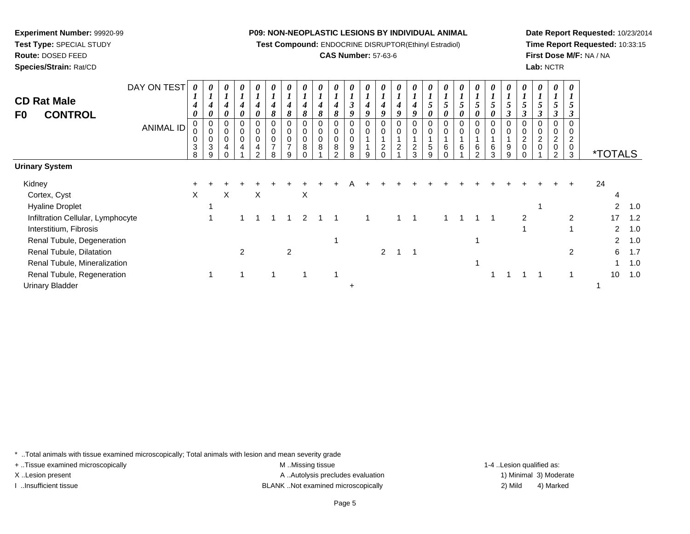**Test Compound:** ENDOCRINE DISRUPTOR(Ethinyl Estradiol)

# **CAS Number:** 57-63-6

**Date Report Requested:** 10/23/2014**Time Report Requested:** 10:33:15**First Dose M/F:** NA / NA**Lab:** NCTR

| <b>CD Rat Male</b><br>F0<br><b>CONTROL</b> | DAY ON TEST<br><b>ANIMAL ID</b> | 0<br>$\mathbf{I}$<br>4<br>0<br>0<br>0<br>$\mathbf{3}$ | $\overline{I}$<br>$\boldsymbol{4}$<br>0<br>0<br>$\mathbf 0$<br>$\pmb{0}$<br>$\mathbf{3}$ | 0<br>$\boldsymbol{l}$<br>$\boldsymbol{4}$<br>$\boldsymbol{\theta}$<br>0<br>0<br>$\pmb{0}$<br>4 | 0<br>4<br>$\boldsymbol{\theta}$<br>0<br>0<br>0<br>4 | 0<br>$\boldsymbol{l}$<br>4<br>0<br>0<br>0<br>0<br>4 | 0<br>$\boldsymbol{l}$<br>4<br>8<br>0<br>$\pmb{0}$<br>$\mathbf 0$<br>7 | 0<br>$\mathbf{r}$<br>$\boldsymbol{4}$<br>8<br>0<br>$\pmb{0}$<br>$\pmb{0}$<br>$\overline{ }$ | 0<br>4<br>8<br>0<br>$\mathbf 0$<br>0<br>8 | 0<br>8<br>8 | 4<br>8<br>0<br>$\mathbf 0$<br>$\mathbf 0$<br>8 | 0<br>3<br>9<br>0<br>$\pmb{0}$<br>0<br>9 | 0<br>4<br>9<br>0<br>0 | 0<br>4<br>9<br>0<br>0<br>$\boldsymbol{2}$ | 0<br>$\boldsymbol{4}$<br>9<br>0<br>$\mathbf 0$<br>$\overline{c}$ | 0<br>$\boldsymbol{4}$<br>9<br>0<br>$\pmb{0}$<br>$\boldsymbol{2}$ | 0<br>$5\overline{)}$<br>0<br>0<br>$\mathbf 0$<br>5 | 0<br>$\mathbf{I}$<br>5<br>0<br>0<br>6 | 5<br>0<br>0<br>6 | 0<br>$5\overline{)}$<br>0<br>0<br>0<br>6 | 0<br>5<br>0<br>0<br>0<br>6 | 0<br>$\boldsymbol{l}$<br>$\mathfrak{H}$<br>0<br>0<br>9 | 0<br>$\boldsymbol{l}$<br>$5\overline{)}$<br>$\boldsymbol{\beta}$<br>0<br>$\pmb{0}$<br>$\overline{c}$<br>$\mathbf 0$ | 0<br>$\mathbf{r}$<br>5<br>3<br>0<br>$\pmb{0}$<br>$\overline{c}$<br>$\pmb{0}$ | 0<br>$\overline{ }$<br>5<br>3<br>0<br>0<br>$\overline{\mathbf{c}}$<br>$\mathbf 0$ | 0<br>$\mathbf{I}$<br>3<br>$\boldsymbol{2}$<br>0 |                       |     |
|--------------------------------------------|---------------------------------|-------------------------------------------------------|------------------------------------------------------------------------------------------|------------------------------------------------------------------------------------------------|-----------------------------------------------------|-----------------------------------------------------|-----------------------------------------------------------------------|---------------------------------------------------------------------------------------------|-------------------------------------------|-------------|------------------------------------------------|-----------------------------------------|-----------------------|-------------------------------------------|------------------------------------------------------------------|------------------------------------------------------------------|----------------------------------------------------|---------------------------------------|------------------|------------------------------------------|----------------------------|--------------------------------------------------------|---------------------------------------------------------------------------------------------------------------------|------------------------------------------------------------------------------|-----------------------------------------------------------------------------------|-------------------------------------------------|-----------------------|-----|
|                                            |                                 | 8                                                     | 9                                                                                        |                                                                                                |                                                     | $\mathcal{P}$                                       | 8                                                                     | 9                                                                                           | 0                                         |             | $\sim$                                         | 8                                       | 9                     |                                           |                                                                  | 3                                                                | 9                                                  |                                       |                  | $\mathfrak{p}$                           | 3                          | 9                                                      |                                                                                                                     |                                                                              | $\overline{2}$                                                                    | 3                                               | <i><b>*TOTALS</b></i> |     |
| <b>Urinary System</b>                      |                                 |                                                       |                                                                                          |                                                                                                |                                                     |                                                     |                                                                       |                                                                                             |                                           |             |                                                |                                         |                       |                                           |                                                                  |                                                                  |                                                    |                                       |                  |                                          |                            |                                                        |                                                                                                                     |                                                                              |                                                                                   |                                                 |                       |     |
| Kidney                                     |                                 |                                                       |                                                                                          |                                                                                                |                                                     |                                                     |                                                                       |                                                                                             |                                           |             |                                                |                                         |                       |                                           |                                                                  |                                                                  |                                                    |                                       |                  |                                          |                            |                                                        |                                                                                                                     |                                                                              |                                                                                   |                                                 | 24                    |     |
| Cortex, Cyst                               |                                 | X                                                     |                                                                                          | X                                                                                              |                                                     | X                                                   |                                                                       |                                                                                             | X                                         |             |                                                |                                         |                       |                                           |                                                                  |                                                                  |                                                    |                                       |                  |                                          |                            |                                                        |                                                                                                                     |                                                                              |                                                                                   |                                                 | 4                     |     |
| <b>Hyaline Droplet</b>                     |                                 |                                                       |                                                                                          |                                                                                                |                                                     |                                                     |                                                                       |                                                                                             |                                           |             |                                                |                                         |                       |                                           |                                                                  |                                                                  |                                                    |                                       |                  |                                          |                            |                                                        |                                                                                                                     |                                                                              |                                                                                   |                                                 | $\overline{2}$        | 1.0 |
| Infiltration Cellular, Lymphocyte          |                                 |                                                       |                                                                                          |                                                                                                |                                                     |                                                     |                                                                       |                                                                                             | 2                                         |             |                                                |                                         |                       |                                           |                                                                  |                                                                  |                                                    |                                       |                  |                                          |                            |                                                        | 2                                                                                                                   |                                                                              |                                                                                   | 2                                               | 17                    | 1.2 |
| Interstitium, Fibrosis                     |                                 |                                                       |                                                                                          |                                                                                                |                                                     |                                                     |                                                                       |                                                                                             |                                           |             |                                                |                                         |                       |                                           |                                                                  |                                                                  |                                                    |                                       |                  |                                          |                            |                                                        |                                                                                                                     |                                                                              |                                                                                   |                                                 | $\overline{2}$        | 1.0 |
| Renal Tubule, Degeneration                 |                                 |                                                       |                                                                                          |                                                                                                |                                                     |                                                     |                                                                       |                                                                                             |                                           |             |                                                |                                         |                       |                                           |                                                                  |                                                                  |                                                    |                                       |                  |                                          |                            |                                                        |                                                                                                                     |                                                                              |                                                                                   |                                                 | $\overline{2}$        | 1.0 |
| Renal Tubule, Dilatation                   |                                 |                                                       |                                                                                          |                                                                                                | 2                                                   |                                                     |                                                                       | $\overline{2}$                                                                              |                                           |             |                                                |                                         |                       | 2                                         |                                                                  |                                                                  |                                                    |                                       |                  |                                          |                            |                                                        |                                                                                                                     |                                                                              |                                                                                   | 2                                               | 6                     | 1.7 |
| Renal Tubule, Mineralization               |                                 |                                                       |                                                                                          |                                                                                                |                                                     |                                                     |                                                                       |                                                                                             |                                           |             |                                                |                                         |                       |                                           |                                                                  |                                                                  |                                                    |                                       |                  |                                          |                            |                                                        |                                                                                                                     |                                                                              |                                                                                   |                                                 |                       | 1.0 |
| Renal Tubule, Regeneration                 |                                 |                                                       |                                                                                          |                                                                                                |                                                     |                                                     |                                                                       |                                                                                             |                                           |             |                                                |                                         |                       |                                           |                                                                  |                                                                  |                                                    |                                       |                  |                                          |                            |                                                        |                                                                                                                     |                                                                              |                                                                                   |                                                 | 10                    | 1.0 |
| <b>Urinary Bladder</b>                     |                                 |                                                       |                                                                                          |                                                                                                |                                                     |                                                     |                                                                       |                                                                                             |                                           |             |                                                | ÷                                       |                       |                                           |                                                                  |                                                                  |                                                    |                                       |                  |                                          |                            |                                                        |                                                                                                                     |                                                                              |                                                                                   |                                                 |                       |     |

\* ..Total animals with tissue examined microscopically; Total animals with lesion and mean severity grade

**Experiment Number:** 99920-99**Test Type:** SPECIAL STUDY**Route:** DOSED FEED**Species/Strain:** Rat/CD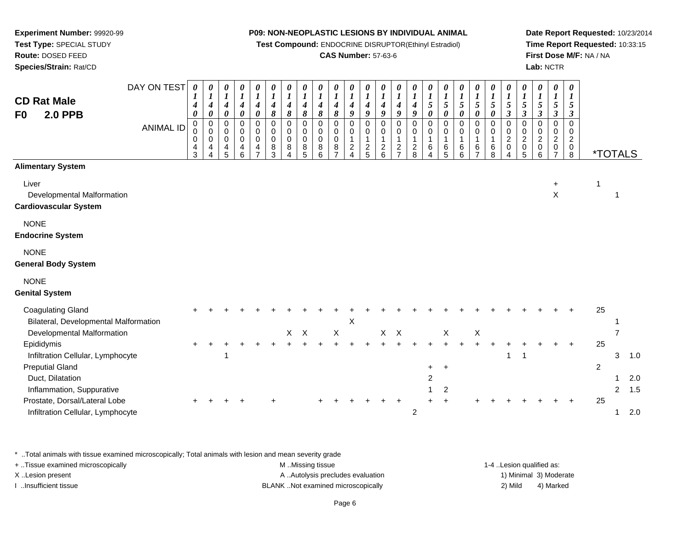**Test Compound:** ENDOCRINE DISRUPTOR(Ethinyl Estradiol)

# **CAS Number:** 57-63-6

**Date Report Requested:** 10/23/2014**Time Report Requested:** 10:33:15**First Dose M/F:** NA / NA**Lab:** NCTR

| <b>CD Rat Male</b><br><b>2.0 PPB</b><br>F0                                    | DAY ON TEST<br><b>ANIMAL ID</b> | $\boldsymbol{\theta}$<br>4<br>0<br>$\mathbf 0$<br>0<br>0<br>4<br>3 | 0<br>$\boldsymbol{l}$<br>$\boldsymbol{4}$<br>0<br>0<br>0<br>0<br>4 | 0<br>$\boldsymbol{I}$<br>$\boldsymbol{4}$<br>$\boldsymbol{\theta}$<br>0<br>$\mathbf 0$<br>$\mathbf 0$<br>$\frac{4}{5}$ | 0<br>$\boldsymbol{I}$<br>$\boldsymbol{4}$<br>0<br>0<br>0<br>$\mathbf 0$<br>4<br>6 | 0<br>$\boldsymbol{l}$<br>$\boldsymbol{4}$<br>$\boldsymbol{\theta}$<br>$\mathbf 0$<br>$\mathbf 0$<br>$\mathbf 0$<br>4<br>$\overline{ }$ | 0<br>$\boldsymbol{l}$<br>4<br>8<br>$\mathbf 0$<br>$\mathbf 0$<br>0<br>8<br>3 | 0<br>$\boldsymbol{l}$<br>4<br>$\pmb{8}$<br>$\mathbf 0$<br>$\Omega$<br>0<br>8<br>4 | 0<br>$\boldsymbol{l}$<br>$\boldsymbol{4}$<br>8<br>$\mathbf 0$<br>$\Omega$<br>$\mathbf 0$<br>8<br>5 | 0<br>$\boldsymbol{l}$<br>4<br>8<br>$\mathbf 0$<br>0<br>$\mathbf 0$<br>8<br>6 | 0<br>$\boldsymbol{l}$<br>$\boldsymbol{4}$<br>8<br>0<br>0<br>$\pmb{0}$<br>8<br>$\overline{ }$ | 0<br>$\boldsymbol{l}$<br>$\boldsymbol{4}$<br>9<br>0<br>0<br>$\overline{1}$<br>$\frac{2}{4}$ | 0<br>$\boldsymbol{l}$<br>$\boldsymbol{4}$<br>9<br>$\mathbf 0$<br>$\mathbf 0$<br>$\mathbf{1}$<br>$rac{2}{5}$ | 0<br>$\boldsymbol{l}$<br>$\boldsymbol{4}$<br>9<br>$\mathbf 0$<br>$\mathbf 0$<br>$\mathbf 1$<br>$\frac{2}{6}$ | 0<br>$\boldsymbol{l}$<br>$\boldsymbol{4}$<br>$\boldsymbol{g}$<br>$\mathbf 0$<br>0<br>1<br>$\frac{2}{7}$ | 0<br>$\boldsymbol{l}$<br>$\frac{4}{9}$<br>$\pmb{0}$<br>0<br>$\mathbf{1}$<br>$\frac{2}{8}$ | 0<br>$\boldsymbol{l}$<br>$\mathfrak{s}$<br>$\pmb{\theta}$<br>$\mathbf 0$<br>0<br>$\mathbf{1}$<br>$\,6$ | 0<br>$\boldsymbol{l}$<br>5<br>$\pmb{\theta}$<br>$\mathsf 0$<br>$\pmb{0}$<br>1<br>$6\over 5$ | $\frac{\boldsymbol{\theta}}{\boldsymbol{I}}$<br>$\mathfrak{s}$<br>$\pmb{\theta}$<br>0<br>$\mathbf 0$<br>$6\overline{6}$ | 0<br>$\boldsymbol{l}$<br>$\mathfrak{s}$<br>$\pmb{\theta}$<br>0<br>$\mathbf 0$<br>$\mathbf{1}$<br>6<br>$\overline{ }$ | 0<br>$\boldsymbol{l}$<br>$5\overline{)}$<br>$\pmb{\theta}$<br>$\pmb{0}$<br>$\mathbf 0$<br>$\mathbf{1}$<br>$\,6\,$<br>8 | 0<br>$\boldsymbol{l}$<br>5<br>$\mathfrak{z}$<br>$\pmb{0}$<br>$\pmb{0}$<br>$\overline{2}$<br>$\pmb{0}$<br>$\overline{4}$ | 0<br>$\boldsymbol{l}$<br>$5\overline{)}$<br>$\boldsymbol{\beta}$<br>$\mathbf 0$<br>$\mathbf 0$<br>$\overline{a}$<br>$\begin{matrix}0\\5\end{matrix}$ | 0<br>$\boldsymbol{l}$<br>$\mathfrak{s}$<br>$\mathfrak{z}$<br>$\mathbf 0$<br>$\mathbf 0$<br>$\overline{c}$<br>$\pmb{0}$<br>6 | 0<br>$\boldsymbol{l}$<br>5<br>$\boldsymbol{\beta}$<br>$\mathbf 0$<br>$\mathbf 0$<br>$\boldsymbol{2}$<br>0<br>$\overline{7}$ | 0<br>1<br>5<br>$\boldsymbol{\beta}$<br>$\overline{0}$<br>0<br>$\overline{c}$<br>$_{\rm 8}^{\rm 0}$ |                | <i><b>*TOTALS</b></i> |            |
|-------------------------------------------------------------------------------|---------------------------------|--------------------------------------------------------------------|--------------------------------------------------------------------|------------------------------------------------------------------------------------------------------------------------|-----------------------------------------------------------------------------------|----------------------------------------------------------------------------------------------------------------------------------------|------------------------------------------------------------------------------|-----------------------------------------------------------------------------------|----------------------------------------------------------------------------------------------------|------------------------------------------------------------------------------|----------------------------------------------------------------------------------------------|---------------------------------------------------------------------------------------------|-------------------------------------------------------------------------------------------------------------|--------------------------------------------------------------------------------------------------------------|---------------------------------------------------------------------------------------------------------|-------------------------------------------------------------------------------------------|--------------------------------------------------------------------------------------------------------|---------------------------------------------------------------------------------------------|-------------------------------------------------------------------------------------------------------------------------|----------------------------------------------------------------------------------------------------------------------|------------------------------------------------------------------------------------------------------------------------|-------------------------------------------------------------------------------------------------------------------------|------------------------------------------------------------------------------------------------------------------------------------------------------|-----------------------------------------------------------------------------------------------------------------------------|-----------------------------------------------------------------------------------------------------------------------------|----------------------------------------------------------------------------------------------------|----------------|-----------------------|------------|
| <b>Alimentary System</b>                                                      |                                 |                                                                    |                                                                    |                                                                                                                        |                                                                                   |                                                                                                                                        |                                                                              |                                                                                   |                                                                                                    |                                                                              |                                                                                              |                                                                                             |                                                                                                             |                                                                                                              |                                                                                                         |                                                                                           |                                                                                                        |                                                                                             |                                                                                                                         |                                                                                                                      |                                                                                                                        |                                                                                                                         |                                                                                                                                                      |                                                                                                                             |                                                                                                                             |                                                                                                    |                |                       |            |
| Liver<br>Developmental Malformation<br><b>Cardiovascular System</b>           |                                 |                                                                    |                                                                    |                                                                                                                        |                                                                                   |                                                                                                                                        |                                                                              |                                                                                   |                                                                                                    |                                                                              |                                                                                              |                                                                                             |                                                                                                             |                                                                                                              |                                                                                                         |                                                                                           |                                                                                                        |                                                                                             |                                                                                                                         |                                                                                                                      |                                                                                                                        |                                                                                                                         |                                                                                                                                                      |                                                                                                                             | +<br>$\mathsf X$                                                                                                            |                                                                                                    | 1              | $\mathbf 1$           |            |
| <b>NONE</b><br><b>Endocrine System</b>                                        |                                 |                                                                    |                                                                    |                                                                                                                        |                                                                                   |                                                                                                                                        |                                                                              |                                                                                   |                                                                                                    |                                                                              |                                                                                              |                                                                                             |                                                                                                             |                                                                                                              |                                                                                                         |                                                                                           |                                                                                                        |                                                                                             |                                                                                                                         |                                                                                                                      |                                                                                                                        |                                                                                                                         |                                                                                                                                                      |                                                                                                                             |                                                                                                                             |                                                                                                    |                |                       |            |
| <b>NONE</b><br><b>General Body System</b>                                     |                                 |                                                                    |                                                                    |                                                                                                                        |                                                                                   |                                                                                                                                        |                                                                              |                                                                                   |                                                                                                    |                                                                              |                                                                                              |                                                                                             |                                                                                                             |                                                                                                              |                                                                                                         |                                                                                           |                                                                                                        |                                                                                             |                                                                                                                         |                                                                                                                      |                                                                                                                        |                                                                                                                         |                                                                                                                                                      |                                                                                                                             |                                                                                                                             |                                                                                                    |                |                       |            |
| <b>NONE</b><br><b>Genital System</b>                                          |                                 |                                                                    |                                                                    |                                                                                                                        |                                                                                   |                                                                                                                                        |                                                                              |                                                                                   |                                                                                                    |                                                                              |                                                                                              |                                                                                             |                                                                                                             |                                                                                                              |                                                                                                         |                                                                                           |                                                                                                        |                                                                                             |                                                                                                                         |                                                                                                                      |                                                                                                                        |                                                                                                                         |                                                                                                                                                      |                                                                                                                             |                                                                                                                             |                                                                                                    |                |                       |            |
| <b>Coagulating Gland</b><br>Bilateral, Developmental Malformation             |                                 |                                                                    |                                                                    |                                                                                                                        |                                                                                   |                                                                                                                                        |                                                                              |                                                                                   |                                                                                                    |                                                                              |                                                                                              | X                                                                                           |                                                                                                             |                                                                                                              |                                                                                                         |                                                                                           |                                                                                                        |                                                                                             |                                                                                                                         |                                                                                                                      |                                                                                                                        |                                                                                                                         |                                                                                                                                                      |                                                                                                                             |                                                                                                                             |                                                                                                    | 25             |                       |            |
| Developmental Malformation<br>Epididymis<br>Infiltration Cellular, Lymphocyte |                                 |                                                                    |                                                                    | 1                                                                                                                      |                                                                                   |                                                                                                                                        |                                                                              |                                                                                   | $X$ $X$                                                                                            |                                                                              | $\mathsf X$                                                                                  |                                                                                             |                                                                                                             |                                                                                                              | $X$ $X$                                                                                                 |                                                                                           |                                                                                                        | X                                                                                           |                                                                                                                         | X                                                                                                                    |                                                                                                                        | $\mathbf 1$                                                                                                             | $\mathbf 1$                                                                                                                                          |                                                                                                                             |                                                                                                                             |                                                                                                    | 25             | 7<br>3                | 1.0        |
| <b>Preputial Gland</b><br>Duct, Dilatation<br>Inflammation, Suppurative       |                                 |                                                                    |                                                                    |                                                                                                                        |                                                                                   |                                                                                                                                        |                                                                              |                                                                                   |                                                                                                    |                                                                              |                                                                                              |                                                                                             |                                                                                                             |                                                                                                              |                                                                                                         |                                                                                           | +<br>2                                                                                                 | $\ddot{}$<br>$\overline{c}$                                                                 |                                                                                                                         |                                                                                                                      |                                                                                                                        |                                                                                                                         |                                                                                                                                                      |                                                                                                                             |                                                                                                                             |                                                                                                    | $\overline{c}$ | $\overline{2}$        | 2.0<br>1.5 |
| Prostate, Dorsal/Lateral Lobe<br>Infiltration Cellular, Lymphocyte            |                                 |                                                                    |                                                                    |                                                                                                                        |                                                                                   |                                                                                                                                        |                                                                              |                                                                                   |                                                                                                    |                                                                              |                                                                                              |                                                                                             |                                                                                                             |                                                                                                              |                                                                                                         | $\overline{2}$                                                                            |                                                                                                        |                                                                                             |                                                                                                                         |                                                                                                                      |                                                                                                                        |                                                                                                                         |                                                                                                                                                      |                                                                                                                             |                                                                                                                             |                                                                                                    | 25             | 1                     | 2.0        |

\* ..Total animals with tissue examined microscopically; Total animals with lesion and mean severity grade

**Experiment Number:** 99920-99**Test Type:** SPECIAL STUDY**Route:** DOSED FEED**Species/Strain:** Rat/CD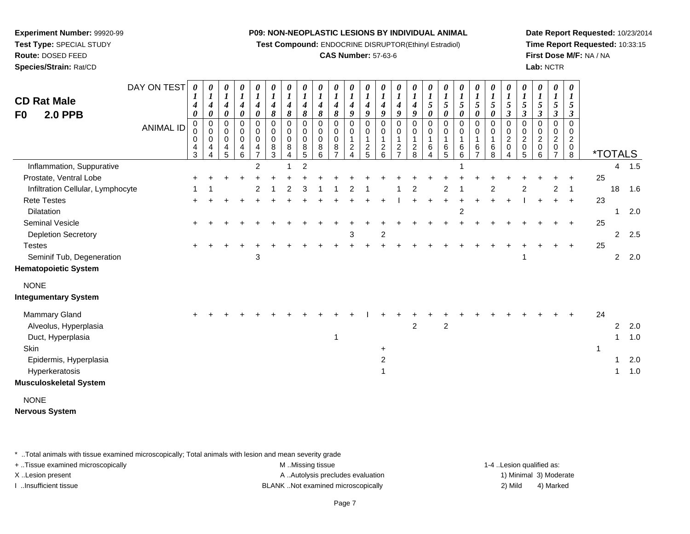**Test Compound:** ENDOCRINE DISRUPTOR(Ethinyl Estradiol)

# **CAS Number:** 57-63-6

**Date Report Requested:** 10/23/2014**Time Report Requested:** 10:33:15**First Dose M/F:** NA / NA**Lab:** NCTR

| <b>CD Rat Male</b><br><b>2.0 PPB</b><br>F0 | DAY ON TEST      | $\boldsymbol{\theta}$<br>4<br>0 | 0<br>$\boldsymbol{l}$<br>4<br>0 | 0<br>$\boldsymbol{I}$<br>$\boldsymbol{4}$<br>$\pmb{\theta}$ | 0<br>$\boldsymbol{l}$<br>4<br>0    | 0<br>$\boldsymbol{l}$<br>4<br>$\boldsymbol{\theta}$ | 0<br>$\boldsymbol{l}$<br>4<br>8 | $\theta$<br>$\boldsymbol{l}$<br>$\boldsymbol{4}$<br>8 | $\boldsymbol{\theta}$<br>$\boldsymbol{l}$<br>4<br>8 | $\boldsymbol{\theta}$<br>$\boldsymbol{l}$<br>4<br>8 | 0<br>$\boldsymbol{l}$<br>4<br>8          | 0<br>$\boldsymbol{l}$<br>$\boldsymbol{4}$<br>9 | $\boldsymbol{\theta}$<br>$\boldsymbol{l}$<br>$\boldsymbol{4}$<br>9 | 0<br>$\boldsymbol{l}$<br>4<br>9                                | $\boldsymbol{\theta}$<br>$\boldsymbol{l}$<br>4<br>9 | 0<br>$\boldsymbol{l}$<br>$\boldsymbol{4}$<br>9 | $\boldsymbol{\theta}$<br>$\boldsymbol{l}$<br>$\mathfrak{s}$<br>$\boldsymbol{\theta}$ | 0<br>$\boldsymbol{l}$<br>5<br>$\boldsymbol{\theta}$ | $\frac{\boldsymbol{0}}{\boldsymbol{I}}$<br>$\sqrt{5}$<br>$\pmb{\theta}$ | 0<br>$\boldsymbol{l}$<br>5<br>0    | 0<br>$\boldsymbol{l}$<br>5<br>$\boldsymbol{\theta}$ | 0<br>$\boldsymbol{l}$<br>$\sqrt{5}$<br>$\mathfrak{z}$  | 0<br>$\boldsymbol{l}$<br>$5\overline{)}$<br>$\boldsymbol{\beta}$ | $\boldsymbol{\theta}$<br>$\boldsymbol{l}$<br>$\sqrt{5}$<br>$\mathfrak{z}$ | 0<br>$\boldsymbol{l}$<br>5<br>$\boldsymbol{\beta}$        | 0<br>1<br>5<br>3                                       |    |                |     |
|--------------------------------------------|------------------|---------------------------------|---------------------------------|-------------------------------------------------------------|------------------------------------|-----------------------------------------------------|---------------------------------|-------------------------------------------------------|-----------------------------------------------------|-----------------------------------------------------|------------------------------------------|------------------------------------------------|--------------------------------------------------------------------|----------------------------------------------------------------|-----------------------------------------------------|------------------------------------------------|--------------------------------------------------------------------------------------|-----------------------------------------------------|-------------------------------------------------------------------------|------------------------------------|-----------------------------------------------------|--------------------------------------------------------|------------------------------------------------------------------|---------------------------------------------------------------------------|-----------------------------------------------------------|--------------------------------------------------------|----|----------------|-----|
|                                            | <b>ANIMAL ID</b> | $\mathbf 0$<br>0<br>0<br>4<br>3 | $\mathbf 0$<br>0<br>0<br>4      | 0<br>0<br>0<br>4<br>5                                       | 0<br>0<br>0<br>4<br>$6\phantom{a}$ | $\mathbf 0$<br>0<br>0<br>4<br>$\overline{7}$        | 0<br>0<br>0<br>8<br>3           | 0<br>0<br>0<br>8<br>$\overline{4}$                    | $\Omega$<br>0<br>0<br>8<br>$\overline{5}$           | $\mathbf 0$<br>0<br>0<br>8<br>6                     | 0<br>0<br>0<br>$\,8\,$<br>$\overline{7}$ | 0<br>0<br>$\mathbf{1}$<br>$\frac{2}{4}$        | $\mathbf 0$<br>0<br>$\mathbf{1}$<br>$\frac{2}{5}$                  | $\mathbf 0$<br>0<br>1<br>$\begin{array}{c} 2 \\ 6 \end{array}$ | 0<br>0<br>1<br>$\frac{2}{7}$                        | 0<br>0<br>$\frac{2}{8}$                        | $\mathbf 0$<br>0<br>1<br>6<br>$\Delta$                                               | $\mathbf 0$<br>0<br>6<br>5                          | 0<br>0<br>1<br>$6\over 6$                                               | 0<br>0<br>1<br>6<br>$\overline{7}$ | $\mathbf 0$<br>0<br>$\mathbf{1}$<br>$\,6\,$<br>8    | $\mathbf 0$<br>0<br>$\overline{c}$<br>$\mathbf 0$<br>4 | $\mathbf 0$<br>0<br>$\overline{c}$<br>$\pmb{0}$<br>5             | 0<br>0<br>$\overline{c}$<br>0<br>6                                        | $\mathbf 0$<br>0<br>$\overline{2}$<br>0<br>$\overline{ }$ | $\mathbf 0$<br>0<br>$\boldsymbol{2}$<br>$\pmb{0}$<br>8 |    | *TOTALS        |     |
| Inflammation, Suppurative                  |                  |                                 |                                 |                                                             |                                    | $\overline{2}$                                      |                                 |                                                       | $\overline{2}$                                      |                                                     |                                          |                                                |                                                                    |                                                                |                                                     |                                                |                                                                                      |                                                     |                                                                         |                                    |                                                     |                                                        |                                                                  |                                                                           |                                                           |                                                        |    | 4              | 1.5 |
| Prostate, Ventral Lobe                     |                  |                                 |                                 |                                                             |                                    |                                                     |                                 |                                                       |                                                     |                                                     |                                          |                                                |                                                                    |                                                                |                                                     |                                                |                                                                                      |                                                     |                                                                         |                                    |                                                     |                                                        |                                                                  |                                                                           |                                                           |                                                        | 25 |                |     |
| Infiltration Cellular, Lymphocyte          |                  |                                 |                                 |                                                             |                                    | 2                                                   |                                 | 2                                                     |                                                     |                                                     |                                          |                                                |                                                                    |                                                                |                                                     |                                                |                                                                                      | 2                                                   |                                                                         |                                    | 2                                                   |                                                        | 2                                                                |                                                                           | 2                                                         | $\mathbf{1}$                                           |    | 18             | 1.6 |
| <b>Rete Testes</b>                         |                  |                                 |                                 |                                                             |                                    |                                                     |                                 |                                                       |                                                     |                                                     |                                          |                                                |                                                                    |                                                                |                                                     |                                                |                                                                                      |                                                     |                                                                         |                                    |                                                     |                                                        |                                                                  |                                                                           |                                                           | $\ddot{}$                                              | 23 |                |     |
| <b>Dilatation</b>                          |                  |                                 |                                 |                                                             |                                    |                                                     |                                 |                                                       |                                                     |                                                     |                                          |                                                |                                                                    |                                                                |                                                     |                                                |                                                                                      |                                                     | $\overline{c}$                                                          |                                    |                                                     |                                                        |                                                                  |                                                                           |                                                           |                                                        |    | 1              | 2.0 |
| Seminal Vesicle                            |                  |                                 |                                 |                                                             |                                    |                                                     |                                 |                                                       |                                                     |                                                     |                                          |                                                |                                                                    |                                                                |                                                     |                                                |                                                                                      |                                                     |                                                                         |                                    |                                                     |                                                        |                                                                  |                                                                           |                                                           | $\ddot{}$                                              | 25 |                |     |
| <b>Depletion Secretory</b>                 |                  |                                 |                                 |                                                             |                                    |                                                     |                                 |                                                       |                                                     |                                                     |                                          | 3                                              |                                                                    | 2                                                              |                                                     |                                                |                                                                                      |                                                     |                                                                         |                                    |                                                     |                                                        |                                                                  |                                                                           |                                                           |                                                        |    | 2              | 2.5 |
| <b>Testes</b>                              |                  |                                 |                                 |                                                             |                                    |                                                     |                                 |                                                       |                                                     |                                                     |                                          |                                                |                                                                    |                                                                |                                                     |                                                |                                                                                      |                                                     |                                                                         |                                    |                                                     |                                                        |                                                                  |                                                                           |                                                           | ÷                                                      | 25 |                |     |
| Seminif Tub, Degeneration                  |                  |                                 |                                 |                                                             |                                    | 3                                                   |                                 |                                                       |                                                     |                                                     |                                          |                                                |                                                                    |                                                                |                                                     |                                                |                                                                                      |                                                     |                                                                         |                                    |                                                     |                                                        | 1                                                                |                                                                           |                                                           |                                                        |    | $\overline{2}$ | 2.0 |
| <b>Hematopoietic System</b>                |                  |                                 |                                 |                                                             |                                    |                                                     |                                 |                                                       |                                                     |                                                     |                                          |                                                |                                                                    |                                                                |                                                     |                                                |                                                                                      |                                                     |                                                                         |                                    |                                                     |                                                        |                                                                  |                                                                           |                                                           |                                                        |    |                |     |
| <b>NONE</b>                                |                  |                                 |                                 |                                                             |                                    |                                                     |                                 |                                                       |                                                     |                                                     |                                          |                                                |                                                                    |                                                                |                                                     |                                                |                                                                                      |                                                     |                                                                         |                                    |                                                     |                                                        |                                                                  |                                                                           |                                                           |                                                        |    |                |     |
| <b>Integumentary System</b>                |                  |                                 |                                 |                                                             |                                    |                                                     |                                 |                                                       |                                                     |                                                     |                                          |                                                |                                                                    |                                                                |                                                     |                                                |                                                                                      |                                                     |                                                                         |                                    |                                                     |                                                        |                                                                  |                                                                           |                                                           |                                                        |    |                |     |
| Mammary Gland                              |                  |                                 |                                 |                                                             |                                    |                                                     |                                 |                                                       |                                                     |                                                     |                                          |                                                |                                                                    |                                                                |                                                     |                                                |                                                                                      |                                                     |                                                                         |                                    |                                                     |                                                        |                                                                  |                                                                           |                                                           |                                                        | 24 |                |     |
| Alveolus, Hyperplasia                      |                  |                                 |                                 |                                                             |                                    |                                                     |                                 |                                                       |                                                     |                                                     |                                          |                                                |                                                                    |                                                                |                                                     | $\overline{c}$                                 |                                                                                      | $\boldsymbol{2}$                                    |                                                                         |                                    |                                                     |                                                        |                                                                  |                                                                           |                                                           |                                                        |    | 2              | 2.0 |
| Duct, Hyperplasia                          |                  |                                 |                                 |                                                             |                                    |                                                     |                                 |                                                       |                                                     |                                                     | 1                                        |                                                |                                                                    |                                                                |                                                     |                                                |                                                                                      |                                                     |                                                                         |                                    |                                                     |                                                        |                                                                  |                                                                           |                                                           |                                                        |    | 1              | 1.0 |
| Skin                                       |                  |                                 |                                 |                                                             |                                    |                                                     |                                 |                                                       |                                                     |                                                     |                                          |                                                |                                                                    | $\ddot{}$                                                      |                                                     |                                                |                                                                                      |                                                     |                                                                         |                                    |                                                     |                                                        |                                                                  |                                                                           |                                                           |                                                        | 1  |                |     |
| Epidermis, Hyperplasia                     |                  |                                 |                                 |                                                             |                                    |                                                     |                                 |                                                       |                                                     |                                                     |                                          |                                                |                                                                    | $\overline{c}$                                                 |                                                     |                                                |                                                                                      |                                                     |                                                                         |                                    |                                                     |                                                        |                                                                  |                                                                           |                                                           |                                                        |    | 1              | 2.0 |
| Hyperkeratosis                             |                  |                                 |                                 |                                                             |                                    |                                                     |                                 |                                                       |                                                     |                                                     |                                          |                                                |                                                                    |                                                                |                                                     |                                                |                                                                                      |                                                     |                                                                         |                                    |                                                     |                                                        |                                                                  |                                                                           |                                                           |                                                        |    | 1              | 1.0 |
| Musculoskeletal System                     |                  |                                 |                                 |                                                             |                                    |                                                     |                                 |                                                       |                                                     |                                                     |                                          |                                                |                                                                    |                                                                |                                                     |                                                |                                                                                      |                                                     |                                                                         |                                    |                                                     |                                                        |                                                                  |                                                                           |                                                           |                                                        |    |                |     |
| <b>NONE</b>                                |                  |                                 |                                 |                                                             |                                    |                                                     |                                 |                                                       |                                                     |                                                     |                                          |                                                |                                                                    |                                                                |                                                     |                                                |                                                                                      |                                                     |                                                                         |                                    |                                                     |                                                        |                                                                  |                                                                           |                                                           |                                                        |    |                |     |
| Nervous System                             |                  |                                 |                                 |                                                             |                                    |                                                     |                                 |                                                       |                                                     |                                                     |                                          |                                                |                                                                    |                                                                |                                                     |                                                |                                                                                      |                                                     |                                                                         |                                    |                                                     |                                                        |                                                                  |                                                                           |                                                           |                                                        |    |                |     |

\* ..Total animals with tissue examined microscopically; Total animals with lesion and mean severity grade

**Experiment Number:** 99920-99**Test Type:** SPECIAL STUDY**Route:** DOSED FEED**Species/Strain:** Rat/CD

+ ..Tissue examined microscopically examined microscopically examined as:  $M$  ..Missing tissue 1-4 ..Lesion qualified as: X..Lesion present **A ..Autolysis precludes evaluation** A ..Autolysis precludes evaluation 1) Minimal 3) Moderate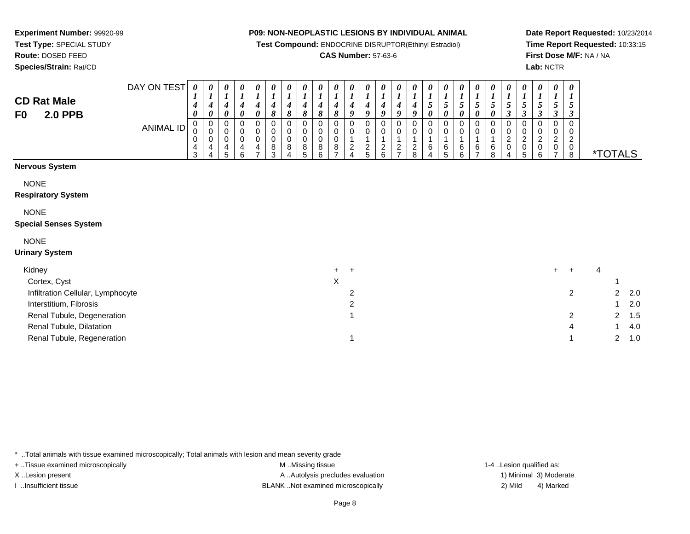**Test Compound:** ENDOCRINE DISRUPTOR(Ethinyl Estradiol)

# **CAS Number:** 57-63-6

**Date Report Requested:** 10/23/2014**Time Report Requested:** 10:33:15**First Dose M/F:** NA / NA**Lab:** NCTR

| <b>CD Rat Male</b><br><b>2.0 PPB</b><br>F0 | DAY ON TEST<br><b>ANIMAL ID</b> | 0<br>4<br>0<br>4<br>3 | $\boldsymbol{\theta}$<br>4<br>0<br>4 | 0<br>$\boldsymbol{l}$<br>$\boldsymbol{4}$<br>0<br>0<br>0<br>$\pmb{0}$<br>4<br>5 | 0<br>$\boldsymbol{l}$<br>4<br>0<br>0<br>0<br>0<br>4<br>6 | $\boldsymbol{\theta}$<br>$\boldsymbol{l}$<br>$\boldsymbol{4}$<br>0<br>$\mathbf 0$<br>$\mathbf 0$<br>$\mathbf 0$<br>4<br>$\overline{ }$ | 0<br>$\boldsymbol{l}$<br>4<br>8<br>0<br>$\pmb{0}$<br>$\pmb{0}$<br>8<br>3 | 0<br>$\boldsymbol{l}$<br>4<br>8<br>0<br>0<br>$\pmb{0}$<br>8<br>4 | 0<br>$\boldsymbol{l}$<br>8<br>0<br>8<br>5 | 0<br>$\boldsymbol{l}$<br>4<br>8<br>0<br>0<br>$\mathbf 0$<br>8<br>6 | 0<br>$\boldsymbol{l}$<br>4<br>8<br>0<br>0<br>0<br>8<br>$\overline{\phantom{0}}$ | 0<br>$\boldsymbol{l}$<br>4<br>9<br>0<br>$\overline{c}$<br>$\overline{4}$ | $\boldsymbol{\theta}$<br>$\boldsymbol{l}$<br>4<br>9<br>$\Omega$<br>0<br>$\frac{2}{5}$ | 0<br>$\boldsymbol{l}$<br>4<br>$\boldsymbol{q}$<br>0<br>$\pmb{0}$<br>$\mathbf 1$<br>$\frac{2}{6}$ | 0<br>$\boldsymbol{l}$<br>4<br>9<br>0<br>0<br>$\overline{1}$<br>$\frac{2}{7}$ | 0<br>4<br>9<br>$\overline{c}$<br>8 | 0<br>$\mathfrak{s}$<br>0<br>0<br>0<br>6<br>4 | 0<br>5<br>0<br>0<br>0<br>$\,6$<br>5 | 0<br>$\boldsymbol{l}$<br>5<br>0<br>0<br>6<br>6 | 0<br>$\boldsymbol{l}$<br>5<br>$\mathbf 0$<br>1<br>$\,6$<br>$\overline{ }$ | 0<br>5<br>0<br>0<br>0<br>6<br>8 | 0<br>5<br>$\boldsymbol{\beta}$<br>$\Omega$<br>0<br>$\overline{\mathbf{c}}$<br>0<br>4 | 0<br>5<br>3<br>$\overline{\mathbf{c}}$<br>0<br>5 | 0<br>5<br>3<br>$\Omega$<br>0<br>$\overline{c}$<br>0<br>6 | 0<br>5<br>3<br>0<br>0<br>$\overline{a}$<br>0<br>$\overline{ }$ | 0<br>$\boldsymbol{l}$<br>5<br>$\Omega$<br>$\overline{c}$<br>$_{8}^{\rm 0}$ |   | <i><b>*TOTALS</b></i> |     |
|--------------------------------------------|---------------------------------|-----------------------|--------------------------------------|---------------------------------------------------------------------------------|----------------------------------------------------------|----------------------------------------------------------------------------------------------------------------------------------------|--------------------------------------------------------------------------|------------------------------------------------------------------|-------------------------------------------|--------------------------------------------------------------------|---------------------------------------------------------------------------------|--------------------------------------------------------------------------|---------------------------------------------------------------------------------------|--------------------------------------------------------------------------------------------------|------------------------------------------------------------------------------|------------------------------------|----------------------------------------------|-------------------------------------|------------------------------------------------|---------------------------------------------------------------------------|---------------------------------|--------------------------------------------------------------------------------------|--------------------------------------------------|----------------------------------------------------------|----------------------------------------------------------------|----------------------------------------------------------------------------|---|-----------------------|-----|
| <b>Nervous System</b>                      |                                 |                       |                                      |                                                                                 |                                                          |                                                                                                                                        |                                                                          |                                                                  |                                           |                                                                    |                                                                                 |                                                                          |                                                                                       |                                                                                                  |                                                                              |                                    |                                              |                                     |                                                |                                                                           |                                 |                                                                                      |                                                  |                                                          |                                                                |                                                                            |   |                       |     |
| <b>NONE</b>                                |                                 |                       |                                      |                                                                                 |                                                          |                                                                                                                                        |                                                                          |                                                                  |                                           |                                                                    |                                                                                 |                                                                          |                                                                                       |                                                                                                  |                                                                              |                                    |                                              |                                     |                                                |                                                                           |                                 |                                                                                      |                                                  |                                                          |                                                                |                                                                            |   |                       |     |
| <b>Respiratory System</b>                  |                                 |                       |                                      |                                                                                 |                                                          |                                                                                                                                        |                                                                          |                                                                  |                                           |                                                                    |                                                                                 |                                                                          |                                                                                       |                                                                                                  |                                                                              |                                    |                                              |                                     |                                                |                                                                           |                                 |                                                                                      |                                                  |                                                          |                                                                |                                                                            |   |                       |     |
| <b>NONE</b>                                |                                 |                       |                                      |                                                                                 |                                                          |                                                                                                                                        |                                                                          |                                                                  |                                           |                                                                    |                                                                                 |                                                                          |                                                                                       |                                                                                                  |                                                                              |                                    |                                              |                                     |                                                |                                                                           |                                 |                                                                                      |                                                  |                                                          |                                                                |                                                                            |   |                       |     |
| <b>Special Senses System</b>               |                                 |                       |                                      |                                                                                 |                                                          |                                                                                                                                        |                                                                          |                                                                  |                                           |                                                                    |                                                                                 |                                                                          |                                                                                       |                                                                                                  |                                                                              |                                    |                                              |                                     |                                                |                                                                           |                                 |                                                                                      |                                                  |                                                          |                                                                |                                                                            |   |                       |     |
| <b>NONE</b>                                |                                 |                       |                                      |                                                                                 |                                                          |                                                                                                                                        |                                                                          |                                                                  |                                           |                                                                    |                                                                                 |                                                                          |                                                                                       |                                                                                                  |                                                                              |                                    |                                              |                                     |                                                |                                                                           |                                 |                                                                                      |                                                  |                                                          |                                                                |                                                                            |   |                       |     |
| <b>Urinary System</b>                      |                                 |                       |                                      |                                                                                 |                                                          |                                                                                                                                        |                                                                          |                                                                  |                                           |                                                                    |                                                                                 |                                                                          |                                                                                       |                                                                                                  |                                                                              |                                    |                                              |                                     |                                                |                                                                           |                                 |                                                                                      |                                                  |                                                          |                                                                |                                                                            |   |                       |     |
| Kidney                                     |                                 |                       |                                      |                                                                                 |                                                          |                                                                                                                                        |                                                                          |                                                                  |                                           |                                                                    | $+$                                                                             | $+$                                                                      |                                                                                       |                                                                                                  |                                                                              |                                    |                                              |                                     |                                                |                                                                           |                                 |                                                                                      |                                                  |                                                          | $+$                                                            | $\ddot{}$                                                                  | 4 |                       |     |
| Cortex, Cyst                               |                                 |                       |                                      |                                                                                 |                                                          |                                                                                                                                        |                                                                          |                                                                  |                                           |                                                                    | X                                                                               |                                                                          |                                                                                       |                                                                                                  |                                                                              |                                    |                                              |                                     |                                                |                                                                           |                                 |                                                                                      |                                                  |                                                          |                                                                |                                                                            |   |                       |     |
| Infiltration Cellular, Lymphocyte          |                                 |                       |                                      |                                                                                 |                                                          |                                                                                                                                        |                                                                          |                                                                  |                                           |                                                                    |                                                                                 | 2                                                                        |                                                                                       |                                                                                                  |                                                                              |                                    |                                              |                                     |                                                |                                                                           |                                 |                                                                                      |                                                  |                                                          |                                                                | $\overline{2}$                                                             |   | 2                     | 2.0 |
| Interstitium, Fibrosis                     |                                 |                       |                                      |                                                                                 |                                                          |                                                                                                                                        |                                                                          |                                                                  |                                           |                                                                    |                                                                                 | 2                                                                        |                                                                                       |                                                                                                  |                                                                              |                                    |                                              |                                     |                                                |                                                                           |                                 |                                                                                      |                                                  |                                                          |                                                                |                                                                            |   |                       | 2.0 |
| Renal Tubule, Degeneration                 |                                 |                       |                                      |                                                                                 |                                                          |                                                                                                                                        |                                                                          |                                                                  |                                           |                                                                    |                                                                                 |                                                                          |                                                                                       |                                                                                                  |                                                                              |                                    |                                              |                                     |                                                |                                                                           |                                 |                                                                                      |                                                  |                                                          |                                                                | $\overline{2}$                                                             |   | 2                     | 1.5 |
| Renal Tubule, Dilatation                   |                                 |                       |                                      |                                                                                 |                                                          |                                                                                                                                        |                                                                          |                                                                  |                                           |                                                                    |                                                                                 |                                                                          |                                                                                       |                                                                                                  |                                                                              |                                    |                                              |                                     |                                                |                                                                           |                                 |                                                                                      |                                                  |                                                          |                                                                | 4                                                                          |   |                       | 4.0 |
| Renal Tubule, Regeneration                 |                                 |                       |                                      |                                                                                 |                                                          |                                                                                                                                        |                                                                          |                                                                  |                                           |                                                                    |                                                                                 |                                                                          |                                                                                       |                                                                                                  |                                                                              |                                    |                                              |                                     |                                                |                                                                           |                                 |                                                                                      |                                                  |                                                          |                                                                |                                                                            |   | $\overline{2}$        | 1.0 |

\* ..Total animals with tissue examined microscopically; Total animals with lesion and mean severity grade

**Experiment Number:** 99920-99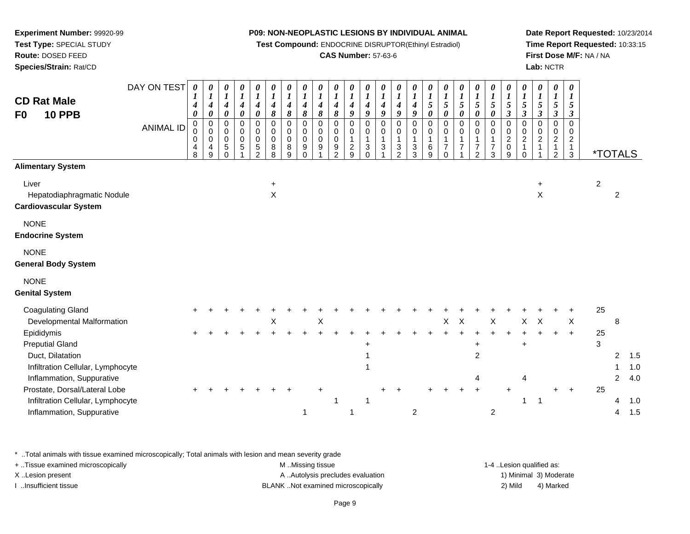**Test Compound:** ENDOCRINE DISRUPTOR(Ethinyl Estradiol)

# **CAS Number:** 57-63-6

**Date Report Requested:** 10/23/2014**Time Report Requested:** 10:33:15**First Dose M/F:** NA / NA**Lab:** NCTR

| <b>CD Rat Male</b><br><b>10 PPB</b><br>F <sub>0</sub><br><b>Alimentary System</b>                                                                                                                                                                                                       | DAY ON TEST<br><b>ANIMAL ID</b> | 0<br>$\boldsymbol{I}$<br>$\boldsymbol{4}$<br>$\boldsymbol{\theta}$<br>$\Omega$<br>0<br>0<br>$\overline{4}$<br>8 | 0<br>$\boldsymbol{l}$<br>4<br>$\boldsymbol{\theta}$<br>$\boldsymbol{0}$<br>$\mathbf 0$<br>$\mathbf 0$<br>4<br>9 | 0<br>$\boldsymbol{l}$<br>$\boldsymbol{4}$<br>0<br>0<br>0<br>$\pmb{0}$<br>5<br>$\mathbf{0}$ | 0<br>$\boldsymbol{l}$<br>$\boldsymbol{4}$<br>$\pmb{\theta}$<br>$\pmb{0}$<br>$\mathbf 0$<br>$\mathbf 0$<br>$\sqrt{5}$ | 0<br>$\boldsymbol{l}$<br>$\boldsymbol{4}$<br>$\pmb{\theta}$<br>$\mathbf 0$<br>$\pmb{0}$<br>$\mathsf 0$<br>$\mathbf 5$<br>$\mathcal{P}$ | 0<br>$\boldsymbol{l}$<br>$\boldsymbol{4}$<br>$\pmb{8}$<br>$\pmb{0}$<br>$\mathbf 0$<br>$\pmb{0}$<br>8<br>8 | 0<br>$\boldsymbol{l}$<br>$\boldsymbol{4}$<br>8<br>$\Omega$<br>0<br>0<br>8<br>9 | 0<br>$\boldsymbol{l}$<br>$\boldsymbol{4}$<br>8<br>$\mathbf 0$<br>0<br>0<br>9<br>$\Omega$ | 0<br>$\boldsymbol{l}$<br>4<br>8<br>$\mathbf 0$<br>0<br>$\mathbf 0$<br>9 | 0<br>$\boldsymbol{l}$<br>$\boldsymbol{4}$<br>8<br>0<br>0<br>$\mathsf 0$<br>9<br>$\mathfrak{p}$ | 0<br>$\boldsymbol{l}$<br>$\boldsymbol{4}$<br>9<br>$\pmb{0}$<br>0<br>$\mathbf{1}$<br>$\frac{2}{9}$ | 0<br>$\boldsymbol{l}$<br>$\boldsymbol{4}$<br>$\boldsymbol{9}$<br>$\mathbf 0$<br>$\mathbf 0$<br>$\mathbf{1}$<br>$\ensuremath{\mathsf{3}}$<br>$\Omega$ | 0<br>$\boldsymbol{l}$<br>$\boldsymbol{4}$<br>$\boldsymbol{g}$<br>$\pmb{0}$<br>$\pmb{0}$<br>$\mathbf{1}$<br>$\ensuremath{\mathsf{3}}$ | 0<br>$\boldsymbol{l}$<br>$\boldsymbol{4}$<br>$\boldsymbol{9}$<br>$\pmb{0}$<br>0<br>$\mathbf{1}$<br>$\mathbf{3}$<br>$\overline{2}$ | 0<br>$\boldsymbol{l}$<br>$\boldsymbol{4}$<br>$\boldsymbol{9}$<br>$\pmb{0}$<br>$\mathbf 0$<br>$\mathbf{1}$<br>$\ensuremath{\mathsf{3}}$<br>3 | 0<br>$\boldsymbol{l}$<br>$\mathfrak{s}$<br>$\boldsymbol{\theta}$<br>$\pmb{0}$<br>$\mathbf 0$<br>1<br>$\,6\,$<br>9 | 0<br>$\boldsymbol{l}$<br>5<br>$\boldsymbol{\theta}$<br>$\mathsf{O}$<br>$\boldsymbol{0}$<br>$\mathbf{1}$<br>$\overline{7}$<br>$\Omega$ | 0<br>$\boldsymbol{l}$<br>$\mathfrak{s}$<br>$\boldsymbol{\theta}$<br>$\pmb{0}$<br>$\mathsf{O}\xspace$<br>$\mathbf{1}$<br>$\overline{7}$ | 0<br>$\boldsymbol{l}$<br>$\sqrt{5}$<br>$\boldsymbol{\theta}$<br>$\pmb{0}$<br>$\mathbf 0$<br>$\mathbf{1}$<br>$\overline{7}$<br>$\overline{2}$ | 0<br>$\boldsymbol{l}$<br>$\mathfrak{z}$<br>$\boldsymbol{\theta}$<br>$\mathbf 0$<br>0<br>$\mathbf{1}$<br>$\overline{7}$<br>3 | $\boldsymbol{\theta}$<br>$\boldsymbol{l}$<br>$\sqrt{5}$<br>$\mathfrak{z}$<br>$\Omega$<br>$\mathbf 0$<br>$\sqrt{2}$<br>$\mathbf 0$<br>9 | 0<br>$\boldsymbol{l}$<br>5<br>$\boldsymbol{\beta}$<br>$\Omega$<br>$\mathbf 0$<br>$\overline{c}$<br>$\mathbf{1}$<br>$\Omega$ | 0<br>$\boldsymbol{l}$<br>$\sqrt{5}$<br>$\mathfrak{z}$<br>$\mathbf 0$<br>$\mathbf 0$<br>$\sqrt{2}$<br>$\mathbf{1}$ | 0<br>$\boldsymbol{l}$<br>5<br>$\boldsymbol{\beta}$<br>0<br>$\mathbf 0$<br>$\overline{a}$<br>1<br>$\overline{2}$ | $\boldsymbol{\theta}$<br>$\boldsymbol{I}$<br>5<br>$\mathfrak{z}$<br>$\Omega$<br>0<br>$\overline{2}$<br>$\mathbf{1}$<br>3 | <i><b>*TOTALS</b></i> |                                    |                                 |
|-----------------------------------------------------------------------------------------------------------------------------------------------------------------------------------------------------------------------------------------------------------------------------------------|---------------------------------|-----------------------------------------------------------------------------------------------------------------|-----------------------------------------------------------------------------------------------------------------|--------------------------------------------------------------------------------------------|----------------------------------------------------------------------------------------------------------------------|----------------------------------------------------------------------------------------------------------------------------------------|-----------------------------------------------------------------------------------------------------------|--------------------------------------------------------------------------------|------------------------------------------------------------------------------------------|-------------------------------------------------------------------------|------------------------------------------------------------------------------------------------|---------------------------------------------------------------------------------------------------|------------------------------------------------------------------------------------------------------------------------------------------------------|--------------------------------------------------------------------------------------------------------------------------------------|-----------------------------------------------------------------------------------------------------------------------------------|---------------------------------------------------------------------------------------------------------------------------------------------|-------------------------------------------------------------------------------------------------------------------|---------------------------------------------------------------------------------------------------------------------------------------|----------------------------------------------------------------------------------------------------------------------------------------|----------------------------------------------------------------------------------------------------------------------------------------------|-----------------------------------------------------------------------------------------------------------------------------|----------------------------------------------------------------------------------------------------------------------------------------|-----------------------------------------------------------------------------------------------------------------------------|-------------------------------------------------------------------------------------------------------------------|-----------------------------------------------------------------------------------------------------------------|--------------------------------------------------------------------------------------------------------------------------|-----------------------|------------------------------------|---------------------------------|
| Liver<br>Hepatodiaphragmatic Nodule<br><b>Cardiovascular System</b>                                                                                                                                                                                                                     |                                 |                                                                                                                 |                                                                                                                 |                                                                                            |                                                                                                                      |                                                                                                                                        | $\ddot{}$<br>$\mathsf X$                                                                                  |                                                                                |                                                                                          |                                                                         |                                                                                                |                                                                                                   |                                                                                                                                                      |                                                                                                                                      |                                                                                                                                   |                                                                                                                                             |                                                                                                                   |                                                                                                                                       |                                                                                                                                        |                                                                                                                                              |                                                                                                                             |                                                                                                                                        |                                                                                                                             | $\ddot{}$<br>X                                                                                                    |                                                                                                                 |                                                                                                                          | $\overline{c}$        | $\overline{c}$                     |                                 |
| <b>NONE</b><br><b>Endocrine System</b>                                                                                                                                                                                                                                                  |                                 |                                                                                                                 |                                                                                                                 |                                                                                            |                                                                                                                      |                                                                                                                                        |                                                                                                           |                                                                                |                                                                                          |                                                                         |                                                                                                |                                                                                                   |                                                                                                                                                      |                                                                                                                                      |                                                                                                                                   |                                                                                                                                             |                                                                                                                   |                                                                                                                                       |                                                                                                                                        |                                                                                                                                              |                                                                                                                             |                                                                                                                                        |                                                                                                                             |                                                                                                                   |                                                                                                                 |                                                                                                                          |                       |                                    |                                 |
| <b>NONE</b><br><b>General Body System</b>                                                                                                                                                                                                                                               |                                 |                                                                                                                 |                                                                                                                 |                                                                                            |                                                                                                                      |                                                                                                                                        |                                                                                                           |                                                                                |                                                                                          |                                                                         |                                                                                                |                                                                                                   |                                                                                                                                                      |                                                                                                                                      |                                                                                                                                   |                                                                                                                                             |                                                                                                                   |                                                                                                                                       |                                                                                                                                        |                                                                                                                                              |                                                                                                                             |                                                                                                                                        |                                                                                                                             |                                                                                                                   |                                                                                                                 |                                                                                                                          |                       |                                    |                                 |
| <b>NONE</b><br><b>Genital System</b>                                                                                                                                                                                                                                                    |                                 |                                                                                                                 |                                                                                                                 |                                                                                            |                                                                                                                      |                                                                                                                                        |                                                                                                           |                                                                                |                                                                                          |                                                                         |                                                                                                |                                                                                                   |                                                                                                                                                      |                                                                                                                                      |                                                                                                                                   |                                                                                                                                             |                                                                                                                   |                                                                                                                                       |                                                                                                                                        |                                                                                                                                              |                                                                                                                             |                                                                                                                                        |                                                                                                                             |                                                                                                                   |                                                                                                                 |                                                                                                                          |                       |                                    |                                 |
| <b>Coagulating Gland</b><br>Developmental Malformation<br>Epididymis<br><b>Preputial Gland</b><br>Duct, Dilatation<br>Infiltration Cellular, Lymphocyte<br>Inflammation, Suppurative<br>Prostate, Dorsal/Lateral Lobe<br>Infiltration Cellular, Lymphocyte<br>Inflammation, Suppurative |                                 |                                                                                                                 |                                                                                                                 |                                                                                            |                                                                                                                      |                                                                                                                                        | $\boldsymbol{\mathsf{X}}$                                                                                 |                                                                                | 1                                                                                        | X                                                                       | 1                                                                                              | $\overline{1}$                                                                                    | ÷<br>1                                                                                                                                               |                                                                                                                                      |                                                                                                                                   | $\overline{2}$                                                                                                                              |                                                                                                                   | X                                                                                                                                     | $\mathsf X$                                                                                                                            | $\ddot{}$<br>$\overline{2}$<br>4                                                                                                             | $\boldsymbol{\mathsf{X}}$<br>$\overline{c}$                                                                                 |                                                                                                                                        | $\mathsf{X}$<br>$\ddot{}$<br>Δ<br>1                                                                                         | $\boldsymbol{\mathsf{X}}$<br>$\overline{\phantom{0}}$                                                             | $\ddot{}$                                                                                                       | $\boldsymbol{X}$<br>$+$<br>$\pm$                                                                                         | 25<br>25<br>3<br>25   | 8<br>$\overline{2}$<br>2<br>4<br>4 | 1.5<br>1.0<br>4.0<br>1.0<br>1.5 |

\* ..Total animals with tissue examined microscopically; Total animals with lesion and mean severity grade

**Experiment Number:** 99920-99**Test Type:** SPECIAL STUDY**Route:** DOSED FEED**Species/Strain:** Rat/CD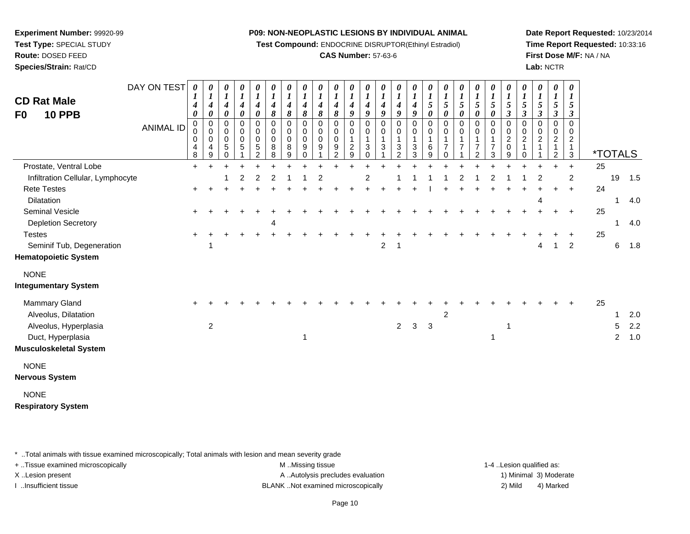**Test Compound:** ENDOCRINE DISRUPTOR(Ethinyl Estradiol)

# **CAS Number:** 57-63-6

**Date Report Requested:** 10/23/2014**Time Report Requested:** 10:33:16**First Dose M/F:** NA / NA**Lab:** NCTR

| <b>CD Rat Male</b><br><b>10 PPB</b><br>F0                                                                     | DAY ON TEST<br><b>ANIMAL ID</b> | $\boldsymbol{\theta}$<br>4<br>0<br>$\mathbf 0$<br>0<br>4<br>8 | 0<br>$\boldsymbol{l}$<br>4<br>$\pmb{\theta}$<br>0<br>$\pmb{0}$<br>$\mathbf 0$<br>4<br>$\boldsymbol{9}$ | 0<br>$\boldsymbol{l}$<br>$\boldsymbol{4}$<br>0<br>0<br>$\mathbf 0$<br>$\pmb{0}$<br>5<br>$\mathbf 0$ | 0<br>$\boldsymbol{l}$<br>$\boldsymbol{4}$<br>$\pmb{\theta}$<br>0<br>$\pmb{0}$<br>$\pmb{0}$<br>$\sqrt{5}$ | $\boldsymbol{\theta}$<br>$\boldsymbol{l}$<br>4<br>$\boldsymbol{\theta}$<br>$\pmb{0}$<br>$\pmb{0}$<br>$\pmb{0}$<br>$\mathbf 5$<br>$\overline{2}$ | 0<br>$\boldsymbol{l}$<br>$\boldsymbol{4}$<br>$\pmb{8}$<br>$\pmb{0}$<br>$\pmb{0}$<br>$\mathbf 0$<br>8<br>8 | $\boldsymbol{\theta}$<br>$\boldsymbol{l}$<br>$\boldsymbol{4}$<br>$\boldsymbol{\delta}$<br>0<br>$\pmb{0}$<br>$\mathbf 0$<br>8<br>9 | 0<br>$\boldsymbol{l}$<br>4<br>8<br>0<br>0<br>0<br>9<br>0 | 0<br>$\boldsymbol{l}$<br>4<br>8<br>0<br>0<br>$\mathbf 0$<br>9 | 0<br>$\boldsymbol{l}$<br>4<br>8<br>$\Omega$<br>0<br>$\mathbf 0$<br>9<br>$\overline{c}$ | 0<br>$\boldsymbol{l}$<br>4<br>9<br>$\Omega$<br>0<br>1<br>$\sqrt{2}$<br>9 | 0<br>$\boldsymbol{l}$<br>4<br>9<br>$\Omega$<br>0<br>1<br>3<br>$\Omega$ | 0<br>$\boldsymbol{l}$<br>4<br>9<br>$\Omega$<br>$\mathbf 0$<br>1<br>3 | 0<br>1<br>4<br>9<br>$\Omega$<br>0<br>3<br>2 | 0<br>$\boldsymbol{l}$<br>4<br>9<br>0<br>0<br>-1<br>3<br>3 | 0<br>1<br>5<br>0<br>$\Omega$<br>0<br>1<br>6<br>9 | 0<br>$\boldsymbol{l}$<br>5<br>$\pmb{\theta}$<br>0<br>0<br>1<br>$\overline{7}$<br>$\Omega$ | 0<br>1<br>5<br>0<br>0<br>$\pmb{0}$<br>7 | 0<br>1<br>5<br>0<br>0<br>0<br>$\overline{7}$<br>$\overline{2}$ | 0<br>$\boldsymbol{l}$<br>$\sqrt{5}$<br>0<br>$\pmb{0}$<br>0<br>1<br>$\overline{7}$<br>$\mathbf{3}$ | 0<br>$\boldsymbol{l}$<br>5<br>$\boldsymbol{\beta}$<br>0<br>$\pmb{0}$<br>$\boldsymbol{2}$<br>$\pmb{0}$<br>9 | 0<br>$\boldsymbol{l}$<br>5<br>$\boldsymbol{\beta}$<br>0<br>0<br>$\overline{\mathbf{c}}$<br>1<br>0 | 0<br>$\boldsymbol{l}$<br>5<br>$\boldsymbol{\beta}$<br>0<br>0<br>$\overline{c}$ | 0<br>1<br>5<br>$\boldsymbol{\beta}$<br>0<br>0<br>$\boldsymbol{2}$<br>1<br>$\overline{c}$ | 0<br>1<br>5<br>$\boldsymbol{\beta}$<br>$\mathbf 0$<br>$\mathbf 0$<br>$\boldsymbol{2}$<br>$\mathbf{1}$<br>$\mathbf{3}$ | <i><b>*TOTALS</b></i> |                       |                       |
|---------------------------------------------------------------------------------------------------------------|---------------------------------|---------------------------------------------------------------|--------------------------------------------------------------------------------------------------------|-----------------------------------------------------------------------------------------------------|----------------------------------------------------------------------------------------------------------|-------------------------------------------------------------------------------------------------------------------------------------------------|-----------------------------------------------------------------------------------------------------------|-----------------------------------------------------------------------------------------------------------------------------------|----------------------------------------------------------|---------------------------------------------------------------|----------------------------------------------------------------------------------------|--------------------------------------------------------------------------|------------------------------------------------------------------------|----------------------------------------------------------------------|---------------------------------------------|-----------------------------------------------------------|--------------------------------------------------|-------------------------------------------------------------------------------------------|-----------------------------------------|----------------------------------------------------------------|---------------------------------------------------------------------------------------------------|------------------------------------------------------------------------------------------------------------|---------------------------------------------------------------------------------------------------|--------------------------------------------------------------------------------|------------------------------------------------------------------------------------------|-----------------------------------------------------------------------------------------------------------------------|-----------------------|-----------------------|-----------------------|
| Prostate, Ventral Lobe                                                                                        |                                 | $\ddot{}$                                                     | $\ddot{}$                                                                                              |                                                                                                     |                                                                                                          |                                                                                                                                                 |                                                                                                           |                                                                                                                                   |                                                          |                                                               |                                                                                        |                                                                          |                                                                        |                                                                      |                                             |                                                           |                                                  |                                                                                           |                                         |                                                                |                                                                                                   |                                                                                                            |                                                                                                   |                                                                                |                                                                                          | $\ddot{}$                                                                                                             | 25                    |                       |                       |
| Infiltration Cellular, Lymphocyte                                                                             |                                 |                                                               |                                                                                                        |                                                                                                     | $\overline{c}$                                                                                           | 2                                                                                                                                               | $\overline{2}$                                                                                            |                                                                                                                                   |                                                          |                                                               |                                                                                        |                                                                          | 2                                                                      |                                                                      |                                             |                                                           |                                                  |                                                                                           |                                         |                                                                |                                                                                                   |                                                                                                            |                                                                                                   | 2                                                                              |                                                                                          | $\overline{c}$                                                                                                        |                       | 19                    | 1.5                   |
| <b>Rete Testes</b>                                                                                            |                                 |                                                               |                                                                                                        |                                                                                                     |                                                                                                          |                                                                                                                                                 |                                                                                                           |                                                                                                                                   |                                                          |                                                               |                                                                                        |                                                                          |                                                                        |                                                                      |                                             |                                                           |                                                  |                                                                                           |                                         |                                                                |                                                                                                   |                                                                                                            |                                                                                                   |                                                                                |                                                                                          |                                                                                                                       | 24                    |                       |                       |
| Dilatation                                                                                                    |                                 |                                                               |                                                                                                        |                                                                                                     |                                                                                                          |                                                                                                                                                 |                                                                                                           |                                                                                                                                   |                                                          |                                                               |                                                                                        |                                                                          |                                                                        |                                                                      |                                             |                                                           |                                                  |                                                                                           |                                         |                                                                |                                                                                                   |                                                                                                            |                                                                                                   | 4                                                                              |                                                                                          |                                                                                                                       |                       |                       | 4.0                   |
| Seminal Vesicle                                                                                               |                                 |                                                               |                                                                                                        |                                                                                                     |                                                                                                          |                                                                                                                                                 |                                                                                                           |                                                                                                                                   |                                                          |                                                               |                                                                                        |                                                                          |                                                                        |                                                                      |                                             |                                                           |                                                  |                                                                                           |                                         |                                                                |                                                                                                   |                                                                                                            |                                                                                                   |                                                                                |                                                                                          |                                                                                                                       | 25                    |                       |                       |
| <b>Depletion Secretory</b>                                                                                    |                                 |                                                               |                                                                                                        |                                                                                                     |                                                                                                          |                                                                                                                                                 | 4                                                                                                         |                                                                                                                                   |                                                          |                                                               |                                                                                        |                                                                          |                                                                        |                                                                      |                                             |                                                           |                                                  |                                                                                           |                                         |                                                                |                                                                                                   |                                                                                                            |                                                                                                   |                                                                                |                                                                                          |                                                                                                                       |                       | 1                     | 4.0                   |
| <b>Testes</b>                                                                                                 |                                 |                                                               |                                                                                                        |                                                                                                     |                                                                                                          |                                                                                                                                                 |                                                                                                           |                                                                                                                                   |                                                          |                                                               |                                                                                        |                                                                          |                                                                        |                                                                      |                                             |                                                           |                                                  |                                                                                           |                                         |                                                                |                                                                                                   |                                                                                                            |                                                                                                   |                                                                                |                                                                                          |                                                                                                                       | 25                    |                       |                       |
| Seminif Tub, Degeneration<br><b>Hematopoietic System</b>                                                      |                                 |                                                               |                                                                                                        |                                                                                                     |                                                                                                          |                                                                                                                                                 |                                                                                                           |                                                                                                                                   |                                                          |                                                               |                                                                                        |                                                                          |                                                                        | $\overline{2}$                                                       | -1                                          |                                                           |                                                  |                                                                                           |                                         |                                                                |                                                                                                   |                                                                                                            |                                                                                                   | 4                                                                              |                                                                                          | $\overline{2}$                                                                                                        |                       | $\,6$                 | 1.8                   |
| <b>NONE</b><br><b>Integumentary System</b>                                                                    |                                 |                                                               |                                                                                                        |                                                                                                     |                                                                                                          |                                                                                                                                                 |                                                                                                           |                                                                                                                                   |                                                          |                                                               |                                                                                        |                                                                          |                                                                        |                                                                      |                                             |                                                           |                                                  |                                                                                           |                                         |                                                                |                                                                                                   |                                                                                                            |                                                                                                   |                                                                                |                                                                                          |                                                                                                                       |                       |                       |                       |
| Mammary Gland<br>Alveolus, Dilatation<br>Alveolus, Hyperplasia<br>Duct, Hyperplasia<br>Musculoskeletal System |                                 |                                                               | $\boldsymbol{2}$                                                                                       |                                                                                                     |                                                                                                          |                                                                                                                                                 |                                                                                                           |                                                                                                                                   | 1                                                        |                                                               |                                                                                        |                                                                          |                                                                        |                                                                      | $2^{\circ}$                                 | $\mathbf{3}$                                              | $\mathbf{3}$                                     | $\overline{c}$                                                                            |                                         |                                                                | 1                                                                                                 | -1                                                                                                         |                                                                                                   |                                                                                |                                                                                          |                                                                                                                       | 25                    | 5<br>$\boldsymbol{2}$ | 2.0<br>$2.2\,$<br>1.0 |
| <b>NONE</b><br>Nervous System                                                                                 |                                 |                                                               |                                                                                                        |                                                                                                     |                                                                                                          |                                                                                                                                                 |                                                                                                           |                                                                                                                                   |                                                          |                                                               |                                                                                        |                                                                          |                                                                        |                                                                      |                                             |                                                           |                                                  |                                                                                           |                                         |                                                                |                                                                                                   |                                                                                                            |                                                                                                   |                                                                                |                                                                                          |                                                                                                                       |                       |                       |                       |
| <b>NONE</b><br><b>Respiratory System</b>                                                                      |                                 |                                                               |                                                                                                        |                                                                                                     |                                                                                                          |                                                                                                                                                 |                                                                                                           |                                                                                                                                   |                                                          |                                                               |                                                                                        |                                                                          |                                                                        |                                                                      |                                             |                                                           |                                                  |                                                                                           |                                         |                                                                |                                                                                                   |                                                                                                            |                                                                                                   |                                                                                |                                                                                          |                                                                                                                       |                       |                       |                       |

\* ..Total animals with tissue examined microscopically; Total animals with lesion and mean severity grade

**Experiment Number:** 99920-99**Test Type:** SPECIAL STUDY**Route:** DOSED FEED**Species/Strain:** Rat/CD

+ ..Tissue examined microscopically examined microscopically examined as:  $M$  ..Missing tissue 1-4 ..Lesion qualified as: X..Lesion present **A ..Autolysis precludes evaluation** A ..Autolysis precludes evaluation 1) Minimal 3) Moderate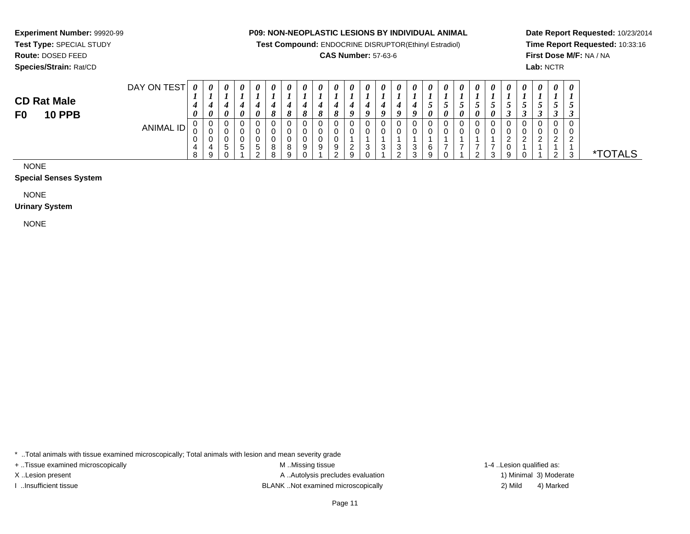**Test Compound:** ENDOCRINE DISRUPTOR(Ethinyl Estradiol)

# **CAS Number:** 57-63-6

**Date Report Requested:** 10/23/2014**Time Report Requested:** 10:33:16**First Dose M/F:** NA / NA**Lab:** NCTR

# **Test Type:** SPECIAL STUDY**Route:** DOSED FEED**Species/Strain:** Rat/CD

**Experiment Number:** 99920-99

| DAY ON TEST      | $\boldsymbol{\theta}$ | $\boldsymbol{\theta}$ | $\theta$              | $\theta$ | 0  | 0 | 0 | 0 | $\boldsymbol{\theta}$ | U | 0             | 0                | $\theta$ | 0          | $\boldsymbol{\theta}$ | $\theta$ | $\boldsymbol{\theta}$ | $\theta$             | 0 | 0 | 0                  | $\boldsymbol{\theta}$ | $\boldsymbol{\theta}$ | 0 | $\boldsymbol{\theta}$ |      |
|------------------|-----------------------|-----------------------|-----------------------|----------|----|---|---|---|-----------------------|---|---------------|------------------|----------|------------|-----------------------|----------|-----------------------|----------------------|---|---|--------------------|-----------------------|-----------------------|---|-----------------------|------|
|                  | л.                    |                       |                       |          |    |   |   |   |                       |   |               |                  |          |            |                       |          |                       |                      |   |   |                    |                       |                       |   |                       |      |
|                  |                       |                       |                       |          | 4  |   |   | " |                       |   |               |                  |          |            |                       | ◡        | $\ddot{\phantom{a}}$  | $\ddot{\phantom{1}}$ | ູ |   | J                  |                       | ູ                     | J | ◡                     |      |
|                  | $\boldsymbol{\theta}$ | $\theta$              | $\boldsymbol{\theta}$ |          |    | 8 | 8 | 8 | $\mathbf o$<br>ø      |   | 9             | $\boldsymbol{0}$ | o        | Q          | $\boldsymbol{a}$      | $\theta$ | U                     | 0                    | 0 | 0 | $\rightarrow$<br>J | ູ                     | ◡                     | Ĵ | ◡                     |      |
| <b>ANIMAL ID</b> | υ                     | v                     | <b>U</b>              |          |    | 0 |   | υ |                       |   |               | υ                | C        |            | v                     |          |                       |                      | v | 0 | U                  | ∼                     |                       | 0 |                       |      |
|                  | U                     | v                     | J                     |          |    | 0 |   | υ |                       |   |               | 0                |          |            |                       |          |                       |                      | U | 0 |                    |                       |                       | 0 |                       |      |
|                  | υ                     | U                     | v                     |          |    | 0 |   | υ |                       |   |               |                  |          |            |                       |          |                       |                      |   |   | $\gamma$           | ົ                     | $\sim$                | ົ |                       |      |
|                  | 4                     |                       | ∽<br>◡                | b.       | b. | 8 |   | 9 | 9                     | Y | റ<br><u>_</u> | ົ<br>ت           | 3        | 3          | 3                     | R        |                       |                      | – |   | u                  |                       |                       |   |                       |      |
|                  | $\circ$<br>$\circ$    | 9                     |                       |          | ◠  | 8 |   |   |                       |   | 9             | ັບ               |          | $\sqrt{2}$ | 3                     |          |                       |                      | ົ | 3 | 9                  |                       |                       | ົ |                       | TALS |

NONE

**CD Rat MaleF0 10 PPB**

#### **Special Senses System**

NONE

**Urinary System**

NONE

\* ..Total animals with tissue examined microscopically; Total animals with lesion and mean severity grade

+ ..Tissue examined microscopically examined microscopically examined as:  $M$  ..Missing tissue 1-4 ..Lesion qualified as:

X..Lesion present **A ..Autolysis precludes evaluation** A ..Autolysis precludes evaluation 1) Minimal 3) Moderate I ..Insufficient tissue BLANK ..Not examined microscopically 2) Mild 4) Marked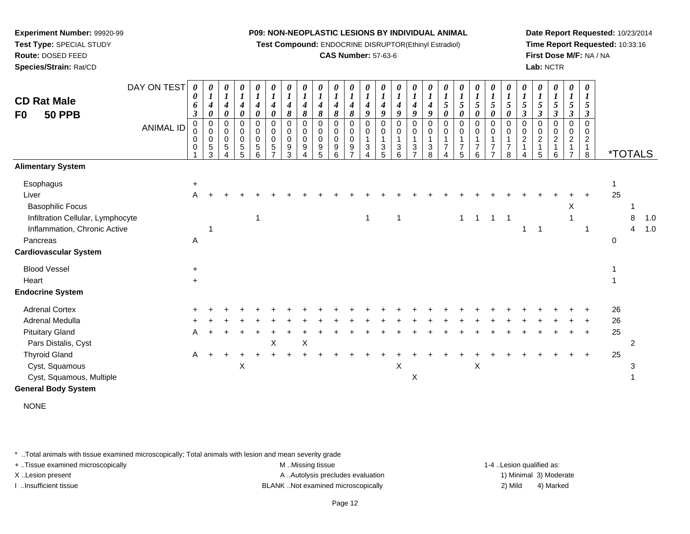**Test Compound:** ENDOCRINE DISRUPTOR(Ethinyl Estradiol)

# **CAS Number:** 57-63-6

**Date Report Requested:** 10/23/2014**Time Report Requested:** 10:33:16**First Dose M/F:** NA / NA**Lab:** NCTR

| <b>CD Rat Male</b><br>F <sub>0</sub><br><b>50 PPB</b> | DAY ON TEST<br><b>ANIMAL ID</b> | 0<br>0<br>6<br>3<br>0<br>0<br>0<br>0<br>1 | $\boldsymbol{\theta}$<br>$\overline{4}$<br>0<br>$\mathbf 0$<br>$\pmb{0}$<br>$\mathbf 0$<br>5<br>3 | 0<br>$\boldsymbol{l}$<br>$\boldsymbol{4}$<br>$\boldsymbol{\theta}$<br>$\mathbf 0$<br>$\mathbf 0$<br>$\mathbf 0$<br>$\sqrt{5}$<br>Δ | 0<br>$\boldsymbol{l}$<br>4<br>0<br>$\mathbf 0$<br>$\mathbf 0$<br>$\mathbf 0$<br>5<br>5 | 0<br>$\boldsymbol{l}$<br>4<br>0<br>0<br>0<br>$\pmb{0}$<br>$\,$ 5 $\,$<br>6 | 0<br>4<br>0<br>0<br>0<br>0<br>$\sqrt{5}$<br>$\overline{z}$ | $\boldsymbol{\theta}$<br>$\boldsymbol{l}$<br>4<br>8<br>$\mathbf 0$<br>0<br>$\mathbf 0$<br>9<br>3 | 0<br>$\boldsymbol{4}$<br>8<br>$\pmb{0}$<br>0<br>0<br>9 | 0<br>$\boldsymbol{l}$<br>4<br>$\pmb{8}$<br>$\mathsf 0$<br>$\mathbf 0$<br>$\mathsf 0$<br>$\begin{array}{c} 9 \\ 5 \end{array}$ | 0<br>$\boldsymbol{l}$<br>4<br>$\pmb{8}$<br>$\mathbf 0$<br>$\pmb{0}$<br>$\pmb{0}$<br>9<br>6 | 0<br>4<br>8<br>0<br>$\mathbf 0$<br>0<br>9<br>$\overline{ }$ | $\boldsymbol{\theta}$<br>$\overline{4}$<br>9<br>0<br>0<br>$\mathbf 1$<br>$\sqrt{3}$<br>$\Delta$ | $\boldsymbol{\theta}$<br>$\boldsymbol{l}$<br>4<br>9<br>$\pmb{0}$<br>$\mathbf 0$<br>$\overline{1}$<br>$\sqrt{3}$<br>5 | $\boldsymbol{\theta}$<br>$\boldsymbol{l}$<br>4<br>9<br>$\mathbf 0$<br>0<br>3<br>6 | 0<br>$\boldsymbol{l}$<br>9<br>0<br>0<br>$\mathbf{1}$<br>$\mathbf{3}$<br>$\overline{ }$ | 0<br>4<br>9<br>$\pmb{0}$<br>0<br>$\sqrt{3}$<br>8 | 0<br>$\boldsymbol{l}$<br>5<br>0<br>0<br>0<br>1<br>$\overline{7}$<br>Δ | 0<br>$\boldsymbol{l}$<br>$\mathfrak{s}$<br>0<br>$\mathbf 0$<br>0<br>$\overline{1}$<br>$\overline{7}$<br>5 | 0<br>5<br>0<br>$\pmb{0}$<br>0<br>$\overline{7}$<br>6 | 0<br>$\boldsymbol{l}$<br>$\sqrt{5}$<br>0<br>0<br>0<br>$\mathbf{1}$<br>$\overline{7}$<br>$\overline{ }$ | 5<br>0<br>$\mathbf 0$<br>0<br>1<br>$\overline{7}$<br>8 | 0<br>$\boldsymbol{l}$<br>$\sqrt{5}$<br>$\boldsymbol{\beta}$<br>$\mathbf 0$<br>$\pmb{0}$<br>$\boldsymbol{2}$<br>$\overline{1}$ | 0<br>$\boldsymbol{l}$<br>$\mathfrak{s}$<br>$\boldsymbol{\beta}$<br>0<br>0<br>$\overline{c}$<br>5 | 0<br>$\boldsymbol{l}$<br>$\sqrt{5}$<br>$\mathfrak{z}$<br>$\mathbf 0$<br>$\mathbf 0$<br>$\overline{c}$<br>$\mathbf{1}$<br>6 | 0<br>$\boldsymbol{l}$<br>$\sqrt{5}$<br>$\boldsymbol{\beta}$<br>$\mathsf 0$<br>$\pmb{0}$<br>$\overline{c}$<br>$\mathbf{1}$<br>$\overline{7}$ | 0<br>1<br>5<br>3<br>$\Omega$<br>0<br>$\overline{2}$<br>$\mathbf{1}$<br>8 | <i><b>*TOTALS</b></i> |   |     |
|-------------------------------------------------------|---------------------------------|-------------------------------------------|---------------------------------------------------------------------------------------------------|------------------------------------------------------------------------------------------------------------------------------------|----------------------------------------------------------------------------------------|----------------------------------------------------------------------------|------------------------------------------------------------|--------------------------------------------------------------------------------------------------|--------------------------------------------------------|-------------------------------------------------------------------------------------------------------------------------------|--------------------------------------------------------------------------------------------|-------------------------------------------------------------|-------------------------------------------------------------------------------------------------|----------------------------------------------------------------------------------------------------------------------|-----------------------------------------------------------------------------------|----------------------------------------------------------------------------------------|--------------------------------------------------|-----------------------------------------------------------------------|-----------------------------------------------------------------------------------------------------------|------------------------------------------------------|--------------------------------------------------------------------------------------------------------|--------------------------------------------------------|-------------------------------------------------------------------------------------------------------------------------------|--------------------------------------------------------------------------------------------------|----------------------------------------------------------------------------------------------------------------------------|---------------------------------------------------------------------------------------------------------------------------------------------|--------------------------------------------------------------------------|-----------------------|---|-----|
| <b>Alimentary System</b>                              |                                 |                                           |                                                                                                   |                                                                                                                                    |                                                                                        |                                                                            |                                                            |                                                                                                  |                                                        |                                                                                                                               |                                                                                            |                                                             |                                                                                                 |                                                                                                                      |                                                                                   |                                                                                        |                                                  |                                                                       |                                                                                                           |                                                      |                                                                                                        |                                                        |                                                                                                                               |                                                                                                  |                                                                                                                            |                                                                                                                                             |                                                                          |                       |   |     |
| Esophagus                                             |                                 | $\ddot{}$                                 |                                                                                                   |                                                                                                                                    |                                                                                        |                                                                            |                                                            |                                                                                                  |                                                        |                                                                                                                               |                                                                                            |                                                             |                                                                                                 |                                                                                                                      |                                                                                   |                                                                                        |                                                  |                                                                       |                                                                                                           |                                                      |                                                                                                        |                                                        |                                                                                                                               |                                                                                                  |                                                                                                                            |                                                                                                                                             |                                                                          | 1                     |   |     |
| Liver                                                 |                                 | A                                         |                                                                                                   |                                                                                                                                    |                                                                                        |                                                                            |                                                            |                                                                                                  |                                                        |                                                                                                                               |                                                                                            |                                                             |                                                                                                 |                                                                                                                      |                                                                                   |                                                                                        |                                                  |                                                                       |                                                                                                           |                                                      |                                                                                                        |                                                        |                                                                                                                               |                                                                                                  |                                                                                                                            |                                                                                                                                             |                                                                          | 25                    |   |     |
| <b>Basophilic Focus</b>                               |                                 |                                           |                                                                                                   |                                                                                                                                    |                                                                                        |                                                                            |                                                            |                                                                                                  |                                                        |                                                                                                                               |                                                                                            |                                                             |                                                                                                 |                                                                                                                      |                                                                                   |                                                                                        |                                                  |                                                                       |                                                                                                           |                                                      |                                                                                                        |                                                        |                                                                                                                               |                                                                                                  |                                                                                                                            | Χ                                                                                                                                           |                                                                          |                       |   |     |
| Infiltration Cellular, Lymphocyte                     |                                 |                                           |                                                                                                   |                                                                                                                                    |                                                                                        | $\overline{1}$                                                             |                                                            |                                                                                                  |                                                        |                                                                                                                               |                                                                                            |                                                             | $\mathbf{1}$                                                                                    |                                                                                                                      | 1                                                                                 |                                                                                        |                                                  |                                                                       | $\mathbf{1}$                                                                                              | $\overline{1}$                                       | $\overline{1}$                                                                                         | $\mathbf{1}$                                           |                                                                                                                               |                                                                                                  |                                                                                                                            |                                                                                                                                             |                                                                          |                       | 8 | 1.0 |
| Inflammation, Chronic Active                          |                                 |                                           |                                                                                                   |                                                                                                                                    |                                                                                        |                                                                            |                                                            |                                                                                                  |                                                        |                                                                                                                               |                                                                                            |                                                             |                                                                                                 |                                                                                                                      |                                                                                   |                                                                                        |                                                  |                                                                       |                                                                                                           |                                                      |                                                                                                        |                                                        | $\mathbf 1$                                                                                                                   | $\overline{\mathbf{1}}$                                                                          |                                                                                                                            |                                                                                                                                             |                                                                          |                       | 4 | 1.0 |
| Pancreas                                              |                                 | Α                                         |                                                                                                   |                                                                                                                                    |                                                                                        |                                                                            |                                                            |                                                                                                  |                                                        |                                                                                                                               |                                                                                            |                                                             |                                                                                                 |                                                                                                                      |                                                                                   |                                                                                        |                                                  |                                                                       |                                                                                                           |                                                      |                                                                                                        |                                                        |                                                                                                                               |                                                                                                  |                                                                                                                            |                                                                                                                                             |                                                                          | 0                     |   |     |
| <b>Cardiovascular System</b>                          |                                 |                                           |                                                                                                   |                                                                                                                                    |                                                                                        |                                                                            |                                                            |                                                                                                  |                                                        |                                                                                                                               |                                                                                            |                                                             |                                                                                                 |                                                                                                                      |                                                                                   |                                                                                        |                                                  |                                                                       |                                                                                                           |                                                      |                                                                                                        |                                                        |                                                                                                                               |                                                                                                  |                                                                                                                            |                                                                                                                                             |                                                                          |                       |   |     |
| <b>Blood Vessel</b>                                   |                                 | $\ddot{}$                                 |                                                                                                   |                                                                                                                                    |                                                                                        |                                                                            |                                                            |                                                                                                  |                                                        |                                                                                                                               |                                                                                            |                                                             |                                                                                                 |                                                                                                                      |                                                                                   |                                                                                        |                                                  |                                                                       |                                                                                                           |                                                      |                                                                                                        |                                                        |                                                                                                                               |                                                                                                  |                                                                                                                            |                                                                                                                                             |                                                                          |                       |   |     |
| Heart                                                 |                                 | $+$                                       |                                                                                                   |                                                                                                                                    |                                                                                        |                                                                            |                                                            |                                                                                                  |                                                        |                                                                                                                               |                                                                                            |                                                             |                                                                                                 |                                                                                                                      |                                                                                   |                                                                                        |                                                  |                                                                       |                                                                                                           |                                                      |                                                                                                        |                                                        |                                                                                                                               |                                                                                                  |                                                                                                                            |                                                                                                                                             |                                                                          |                       |   |     |
| <b>Endocrine System</b>                               |                                 |                                           |                                                                                                   |                                                                                                                                    |                                                                                        |                                                                            |                                                            |                                                                                                  |                                                        |                                                                                                                               |                                                                                            |                                                             |                                                                                                 |                                                                                                                      |                                                                                   |                                                                                        |                                                  |                                                                       |                                                                                                           |                                                      |                                                                                                        |                                                        |                                                                                                                               |                                                                                                  |                                                                                                                            |                                                                                                                                             |                                                                          |                       |   |     |
| <b>Adrenal Cortex</b>                                 |                                 |                                           |                                                                                                   |                                                                                                                                    |                                                                                        |                                                                            |                                                            |                                                                                                  |                                                        |                                                                                                                               |                                                                                            |                                                             |                                                                                                 |                                                                                                                      |                                                                                   |                                                                                        |                                                  |                                                                       |                                                                                                           |                                                      |                                                                                                        |                                                        |                                                                                                                               |                                                                                                  |                                                                                                                            |                                                                                                                                             |                                                                          | 26                    |   |     |
| Adrenal Medulla                                       |                                 |                                           |                                                                                                   |                                                                                                                                    |                                                                                        |                                                                            |                                                            |                                                                                                  |                                                        |                                                                                                                               |                                                                                            |                                                             |                                                                                                 |                                                                                                                      |                                                                                   |                                                                                        |                                                  |                                                                       |                                                                                                           |                                                      |                                                                                                        |                                                        |                                                                                                                               |                                                                                                  |                                                                                                                            |                                                                                                                                             |                                                                          | 26                    |   |     |
| <b>Pituitary Gland</b>                                |                                 | A                                         |                                                                                                   |                                                                                                                                    |                                                                                        |                                                                            |                                                            |                                                                                                  |                                                        |                                                                                                                               |                                                                                            |                                                             |                                                                                                 |                                                                                                                      |                                                                                   |                                                                                        |                                                  |                                                                       |                                                                                                           |                                                      |                                                                                                        |                                                        |                                                                                                                               |                                                                                                  |                                                                                                                            |                                                                                                                                             |                                                                          | 25                    |   |     |
| Pars Distalis, Cyst                                   |                                 |                                           |                                                                                                   |                                                                                                                                    |                                                                                        |                                                                            | X                                                          |                                                                                                  | X                                                      |                                                                                                                               |                                                                                            |                                                             |                                                                                                 |                                                                                                                      |                                                                                   |                                                                                        |                                                  |                                                                       |                                                                                                           |                                                      |                                                                                                        |                                                        |                                                                                                                               |                                                                                                  |                                                                                                                            |                                                                                                                                             |                                                                          |                       | 2 |     |
| <b>Thyroid Gland</b>                                  |                                 | A                                         |                                                                                                   |                                                                                                                                    |                                                                                        |                                                                            |                                                            |                                                                                                  |                                                        |                                                                                                                               |                                                                                            |                                                             |                                                                                                 |                                                                                                                      |                                                                                   |                                                                                        |                                                  |                                                                       |                                                                                                           |                                                      |                                                                                                        |                                                        |                                                                                                                               |                                                                                                  |                                                                                                                            |                                                                                                                                             |                                                                          | 25                    |   |     |
| Cyst, Squamous                                        |                                 |                                           |                                                                                                   |                                                                                                                                    | X                                                                                      |                                                                            |                                                            |                                                                                                  |                                                        |                                                                                                                               |                                                                                            |                                                             |                                                                                                 |                                                                                                                      | X                                                                                 |                                                                                        |                                                  |                                                                       |                                                                                                           | X                                                    |                                                                                                        |                                                        |                                                                                                                               |                                                                                                  |                                                                                                                            |                                                                                                                                             |                                                                          |                       | з |     |
| Cyst, Squamous, Multiple                              |                                 |                                           |                                                                                                   |                                                                                                                                    |                                                                                        |                                                                            |                                                            |                                                                                                  |                                                        |                                                                                                                               |                                                                                            |                                                             |                                                                                                 |                                                                                                                      |                                                                                   | $\boldsymbol{\mathsf{X}}$                                                              |                                                  |                                                                       |                                                                                                           |                                                      |                                                                                                        |                                                        |                                                                                                                               |                                                                                                  |                                                                                                                            |                                                                                                                                             |                                                                          |                       |   |     |
| <b>General Body System</b>                            |                                 |                                           |                                                                                                   |                                                                                                                                    |                                                                                        |                                                                            |                                                            |                                                                                                  |                                                        |                                                                                                                               |                                                                                            |                                                             |                                                                                                 |                                                                                                                      |                                                                                   |                                                                                        |                                                  |                                                                       |                                                                                                           |                                                      |                                                                                                        |                                                        |                                                                                                                               |                                                                                                  |                                                                                                                            |                                                                                                                                             |                                                                          |                       |   |     |
|                                                       |                                 |                                           |                                                                                                   |                                                                                                                                    |                                                                                        |                                                                            |                                                            |                                                                                                  |                                                        |                                                                                                                               |                                                                                            |                                                             |                                                                                                 |                                                                                                                      |                                                                                   |                                                                                        |                                                  |                                                                       |                                                                                                           |                                                      |                                                                                                        |                                                        |                                                                                                                               |                                                                                                  |                                                                                                                            |                                                                                                                                             |                                                                          |                       |   |     |

NONE

\* ..Total animals with tissue examined microscopically; Total animals with lesion and mean severity grade

**Experiment Number:** 99920-99**Test Type:** SPECIAL STUDY**Route:** DOSED FEED**Species/Strain:** Rat/CD

+ ..Tissue examined microscopically examined microscopically examined as:  $M$  ..Missing tissue 1-4 ..Lesion qualified as: X..Lesion present **A ..Autolysis precludes evaluation** A ..Autolysis precludes evaluation 1) Minimal 3) Moderate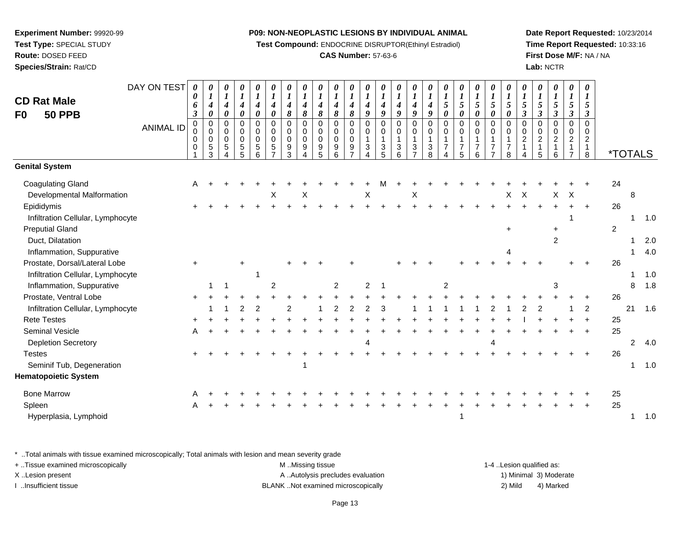**Test Compound:** ENDOCRINE DISRUPTOR(Ethinyl Estradiol)

# **CAS Number:** 57-63-6

**Date Report Requested:** 10/23/2014**Time Report Requested:** 10:33:16**First Dose M/F:** NA / NA**Lab:** NCTR

| <b>CD Rat Male</b><br><b>50 PPB</b><br>F <sub>0</sub> | DAY ON TEST<br><b>ANIMAL ID</b> | 0<br>0<br>6<br>3<br>0<br>0<br>0<br>0 | 0<br>$\boldsymbol{l}$<br>$\boldsymbol{4}$<br>0<br>$\mathbf 0$<br>$\mathbf 0$<br>$\mathbf 0$<br>$\sqrt{5}$<br>3 | 0<br>$\boldsymbol{l}$<br>$\boldsymbol{4}$<br>0<br>$\mathbf 0$<br>0<br>$\Omega$<br>5<br>4 | 0<br>$\boldsymbol{l}$<br>$\boldsymbol{4}$<br>0<br>$\Omega$<br>0<br>$\mathbf 0$<br>$\mathbf 5$<br>5 | $\boldsymbol{\theta}$<br>$\boldsymbol{l}$<br>$\boldsymbol{4}$<br>0<br>$\Omega$<br>$\Omega$<br>$\Omega$<br>5<br>6 | 0<br>$\boldsymbol{l}$<br>$\boldsymbol{4}$<br>$\boldsymbol{\theta}$<br>$\Omega$<br>$\mathbf 0$<br>$\Omega$<br>5<br>$\overline{ }$ | 0<br>$\boldsymbol{l}$<br>$\boldsymbol{4}$<br>8<br>0<br>0<br>$\mathbf 0$<br>9<br>3 | 0<br>$\boldsymbol{l}$<br>$\boldsymbol{4}$<br>8<br>$\mathbf 0$<br>0<br>$\mathbf 0$<br>9<br>4 | $\boldsymbol{\theta}$<br>$\boldsymbol{l}$<br>$\boldsymbol{4}$<br>8<br>0<br>$\mathbf 0$<br>$\Omega$<br>9<br>5 | 0<br>$\boldsymbol{l}$<br>$\boldsymbol{4}$<br>$\pmb{8}$<br>0<br>0<br>$\mathbf 0$<br>$9\,$<br>6 | $\boldsymbol{\theta}$<br>$\boldsymbol{l}$<br>$\boldsymbol{4}$<br>8<br>0<br>$\mathbf 0$<br>$\mathbf 0$<br>9 | 0<br>$\boldsymbol{l}$<br>4<br>9<br>$\Omega$<br>0<br>1<br>3<br>4 | 0<br>$\boldsymbol{l}$<br>$\boldsymbol{4}$<br>9<br>$\Omega$<br>0<br>$\mathbf{1}$<br>3<br>5 | 0<br>$\boldsymbol{l}$<br>$\boldsymbol{4}$<br>9<br>$\mathbf 0$<br>$\mathbf 0$<br>$\mathbf{1}$<br>3<br>6 | 0<br>$\boldsymbol{l}$<br>$\boldsymbol{4}$<br>$\boldsymbol{9}$<br>$\mathbf 0$<br>0<br>$\mathbf{1}$<br>3<br>$\overline{7}$ | $\boldsymbol{l}$<br>4<br>9<br>$\Omega$<br>0<br>$\mathbf{1}$<br>3<br>8 | 0<br>$\boldsymbol{l}$<br>5<br>0<br>$\Omega$<br>0<br>$\overline{7}$ | 0<br>$\boldsymbol{l}$<br>5<br>0<br>0<br>$\mathbf 0$<br>$\overline{1}$<br>7<br>5 | 0<br>$\boldsymbol{l}$<br>5<br>$\boldsymbol{\theta}$<br>$\mathbf 0$<br>$\mathbf 0$<br>$\mathbf{1}$<br>7<br>6 | 0<br>$\boldsymbol{l}$<br>5<br>0<br>$\mathbf 0$<br>0<br>$\mathbf{1}$<br>$\overline{7}$ | 0<br>$\boldsymbol{l}$<br>$\overline{5}$<br>$\boldsymbol{\theta}$<br>$\Omega$<br>0<br>$\overline{7}$<br>8 | $\boldsymbol{\theta}$<br>$\boldsymbol{l}$<br>$\sqrt{5}$<br>$\boldsymbol{\beta}$<br>$\mathbf 0$<br>$\mathbf 0$<br>$\sqrt{2}$<br>1 | 0<br>$\boldsymbol{l}$<br>5<br>$\boldsymbol{\beta}$<br>0<br>0<br>$\boldsymbol{2}$<br>$\mathbf{1}$<br>5 | 0<br>$\boldsymbol{l}$<br>5<br>$\boldsymbol{\beta}$<br>$\mathbf 0$<br>0<br>$\overline{c}$<br>6 | 0<br>$\boldsymbol{l}$<br>5<br>$\mathfrak{z}$<br>$\mathbf 0$<br>$\mathbf 0$<br>$\overline{c}$<br>1<br>$\overline{7}$ | 0<br>$\boldsymbol{l}$<br>5<br>$\boldsymbol{\beta}$<br>$\Omega$<br>0<br>$\overline{c}$<br>$\mathbf{1}$<br>8 | <i><b>*TOTALS</b></i> |                |     |
|-------------------------------------------------------|---------------------------------|--------------------------------------|----------------------------------------------------------------------------------------------------------------|------------------------------------------------------------------------------------------|----------------------------------------------------------------------------------------------------|------------------------------------------------------------------------------------------------------------------|----------------------------------------------------------------------------------------------------------------------------------|-----------------------------------------------------------------------------------|---------------------------------------------------------------------------------------------|--------------------------------------------------------------------------------------------------------------|-----------------------------------------------------------------------------------------------|------------------------------------------------------------------------------------------------------------|-----------------------------------------------------------------|-------------------------------------------------------------------------------------------|--------------------------------------------------------------------------------------------------------|--------------------------------------------------------------------------------------------------------------------------|-----------------------------------------------------------------------|--------------------------------------------------------------------|---------------------------------------------------------------------------------|-------------------------------------------------------------------------------------------------------------|---------------------------------------------------------------------------------------|----------------------------------------------------------------------------------------------------------|----------------------------------------------------------------------------------------------------------------------------------|-------------------------------------------------------------------------------------------------------|-----------------------------------------------------------------------------------------------|---------------------------------------------------------------------------------------------------------------------|------------------------------------------------------------------------------------------------------------|-----------------------|----------------|-----|
| <b>Genital System</b>                                 |                                 |                                      |                                                                                                                |                                                                                          |                                                                                                    |                                                                                                                  |                                                                                                                                  |                                                                                   |                                                                                             |                                                                                                              |                                                                                               |                                                                                                            |                                                                 |                                                                                           |                                                                                                        |                                                                                                                          |                                                                       |                                                                    |                                                                                 |                                                                                                             |                                                                                       |                                                                                                          |                                                                                                                                  |                                                                                                       |                                                                                               |                                                                                                                     |                                                                                                            |                       |                |     |
| <b>Coagulating Gland</b>                              |                                 | A                                    |                                                                                                                |                                                                                          |                                                                                                    |                                                                                                                  |                                                                                                                                  |                                                                                   |                                                                                             |                                                                                                              |                                                                                               |                                                                                                            |                                                                 |                                                                                           |                                                                                                        |                                                                                                                          |                                                                       |                                                                    |                                                                                 |                                                                                                             |                                                                                       |                                                                                                          |                                                                                                                                  |                                                                                                       |                                                                                               |                                                                                                                     |                                                                                                            | 24                    |                |     |
| Developmental Malformation                            |                                 |                                      |                                                                                                                |                                                                                          |                                                                                                    |                                                                                                                  | X                                                                                                                                |                                                                                   | X                                                                                           |                                                                                                              |                                                                                               |                                                                                                            | Χ                                                               |                                                                                           |                                                                                                        | X                                                                                                                        |                                                                       |                                                                    |                                                                                 |                                                                                                             |                                                                                       | Х                                                                                                        | X                                                                                                                                |                                                                                                       | X                                                                                             | $\times$                                                                                                            |                                                                                                            |                       | 8              |     |
| Epididymis                                            |                                 |                                      |                                                                                                                |                                                                                          |                                                                                                    |                                                                                                                  |                                                                                                                                  |                                                                                   |                                                                                             |                                                                                                              |                                                                                               |                                                                                                            |                                                                 |                                                                                           |                                                                                                        |                                                                                                                          |                                                                       |                                                                    |                                                                                 |                                                                                                             |                                                                                       |                                                                                                          |                                                                                                                                  | $\ddot{}$                                                                                             | $+$                                                                                           |                                                                                                                     | $+$                                                                                                        | 26                    |                |     |
| Infiltration Cellular, Lymphocyte                     |                                 |                                      |                                                                                                                |                                                                                          |                                                                                                    |                                                                                                                  |                                                                                                                                  |                                                                                   |                                                                                             |                                                                                                              |                                                                                               |                                                                                                            |                                                                 |                                                                                           |                                                                                                        |                                                                                                                          |                                                                       |                                                                    |                                                                                 |                                                                                                             |                                                                                       |                                                                                                          |                                                                                                                                  |                                                                                                       |                                                                                               |                                                                                                                     |                                                                                                            |                       | 1              | 1.0 |
| <b>Preputial Gland</b>                                |                                 |                                      |                                                                                                                |                                                                                          |                                                                                                    |                                                                                                                  |                                                                                                                                  |                                                                                   |                                                                                             |                                                                                                              |                                                                                               |                                                                                                            |                                                                 |                                                                                           |                                                                                                        |                                                                                                                          |                                                                       |                                                                    |                                                                                 |                                                                                                             |                                                                                       | $\ddot{}$                                                                                                |                                                                                                                                  |                                                                                                       | $\ddot{}$                                                                                     |                                                                                                                     |                                                                                                            | 2                     |                |     |
| Duct, Dilatation                                      |                                 |                                      |                                                                                                                |                                                                                          |                                                                                                    |                                                                                                                  |                                                                                                                                  |                                                                                   |                                                                                             |                                                                                                              |                                                                                               |                                                                                                            |                                                                 |                                                                                           |                                                                                                        |                                                                                                                          |                                                                       |                                                                    |                                                                                 |                                                                                                             |                                                                                       |                                                                                                          |                                                                                                                                  |                                                                                                       | 2                                                                                             |                                                                                                                     |                                                                                                            |                       |                | 2.0 |
| Inflammation, Suppurative                             |                                 |                                      |                                                                                                                |                                                                                          |                                                                                                    |                                                                                                                  |                                                                                                                                  |                                                                                   |                                                                                             |                                                                                                              |                                                                                               |                                                                                                            |                                                                 |                                                                                           |                                                                                                        |                                                                                                                          |                                                                       |                                                                    |                                                                                 |                                                                                                             |                                                                                       | 4                                                                                                        |                                                                                                                                  |                                                                                                       |                                                                                               |                                                                                                                     |                                                                                                            |                       |                | 4.0 |
| Prostate, Dorsal/Lateral Lobe                         |                                 | $+$                                  |                                                                                                                |                                                                                          | $\ddot{}$                                                                                          |                                                                                                                  |                                                                                                                                  |                                                                                   |                                                                                             |                                                                                                              |                                                                                               |                                                                                                            |                                                                 |                                                                                           |                                                                                                        |                                                                                                                          |                                                                       |                                                                    |                                                                                 |                                                                                                             |                                                                                       |                                                                                                          |                                                                                                                                  |                                                                                                       |                                                                                               |                                                                                                                     |                                                                                                            | 26                    |                |     |
| Infiltration Cellular, Lymphocyte                     |                                 |                                      |                                                                                                                |                                                                                          |                                                                                                    |                                                                                                                  |                                                                                                                                  |                                                                                   |                                                                                             |                                                                                                              |                                                                                               |                                                                                                            |                                                                 |                                                                                           |                                                                                                        |                                                                                                                          |                                                                       |                                                                    |                                                                                 |                                                                                                             |                                                                                       |                                                                                                          |                                                                                                                                  |                                                                                                       |                                                                                               |                                                                                                                     |                                                                                                            |                       |                | 1.0 |
| Inflammation, Suppurative                             |                                 |                                      |                                                                                                                |                                                                                          |                                                                                                    |                                                                                                                  | $\overline{2}$                                                                                                                   |                                                                                   |                                                                                             |                                                                                                              | $\overline{2}$                                                                                |                                                                                                            | $\overline{2}$                                                  |                                                                                           |                                                                                                        |                                                                                                                          |                                                                       | $\overline{2}$                                                     |                                                                                 |                                                                                                             |                                                                                       |                                                                                                          |                                                                                                                                  |                                                                                                       | 3                                                                                             |                                                                                                                     |                                                                                                            |                       | 8              | 1.8 |
| Prostate, Ventral Lobe                                |                                 |                                      |                                                                                                                |                                                                                          |                                                                                                    |                                                                                                                  |                                                                                                                                  |                                                                                   |                                                                                             |                                                                                                              |                                                                                               |                                                                                                            |                                                                 |                                                                                           |                                                                                                        |                                                                                                                          |                                                                       |                                                                    |                                                                                 |                                                                                                             |                                                                                       |                                                                                                          |                                                                                                                                  |                                                                                                       |                                                                                               |                                                                                                                     |                                                                                                            | 26                    |                |     |
| Infiltration Cellular, Lymphocyte                     |                                 |                                      |                                                                                                                |                                                                                          |                                                                                                    | 2                                                                                                                |                                                                                                                                  | 2                                                                                 |                                                                                             |                                                                                                              |                                                                                               |                                                                                                            | 2                                                               |                                                                                           |                                                                                                        |                                                                                                                          |                                                                       |                                                                    |                                                                                 |                                                                                                             |                                                                                       |                                                                                                          |                                                                                                                                  |                                                                                                       |                                                                                               |                                                                                                                     | $\overline{c}$                                                                                             |                       | 21             | 1.6 |
| <b>Rete Testes</b>                                    |                                 |                                      |                                                                                                                |                                                                                          |                                                                                                    |                                                                                                                  |                                                                                                                                  |                                                                                   |                                                                                             |                                                                                                              |                                                                                               |                                                                                                            |                                                                 |                                                                                           |                                                                                                        |                                                                                                                          |                                                                       |                                                                    |                                                                                 |                                                                                                             |                                                                                       |                                                                                                          |                                                                                                                                  |                                                                                                       |                                                                                               |                                                                                                                     |                                                                                                            | 25                    |                |     |
| Seminal Vesicle                                       |                                 | A                                    |                                                                                                                |                                                                                          |                                                                                                    |                                                                                                                  |                                                                                                                                  |                                                                                   |                                                                                             |                                                                                                              |                                                                                               |                                                                                                            |                                                                 |                                                                                           |                                                                                                        |                                                                                                                          |                                                                       |                                                                    |                                                                                 |                                                                                                             |                                                                                       |                                                                                                          |                                                                                                                                  |                                                                                                       |                                                                                               |                                                                                                                     | $+$                                                                                                        | 25                    |                |     |
| <b>Depletion Secretory</b>                            |                                 |                                      |                                                                                                                |                                                                                          |                                                                                                    |                                                                                                                  |                                                                                                                                  |                                                                                   |                                                                                             |                                                                                                              |                                                                                               |                                                                                                            | Δ                                                               |                                                                                           |                                                                                                        |                                                                                                                          |                                                                       |                                                                    |                                                                                 |                                                                                                             |                                                                                       |                                                                                                          |                                                                                                                                  |                                                                                                       |                                                                                               |                                                                                                                     |                                                                                                            |                       | $\overline{2}$ | 4.0 |
| <b>Testes</b>                                         |                                 |                                      |                                                                                                                |                                                                                          |                                                                                                    |                                                                                                                  |                                                                                                                                  |                                                                                   |                                                                                             |                                                                                                              |                                                                                               |                                                                                                            |                                                                 |                                                                                           |                                                                                                        |                                                                                                                          |                                                                       |                                                                    |                                                                                 |                                                                                                             |                                                                                       |                                                                                                          |                                                                                                                                  |                                                                                                       |                                                                                               |                                                                                                                     |                                                                                                            | 26                    |                |     |
| Seminif Tub, Degeneration                             |                                 |                                      |                                                                                                                |                                                                                          |                                                                                                    |                                                                                                                  |                                                                                                                                  |                                                                                   |                                                                                             |                                                                                                              |                                                                                               |                                                                                                            |                                                                 |                                                                                           |                                                                                                        |                                                                                                                          |                                                                       |                                                                    |                                                                                 |                                                                                                             |                                                                                       |                                                                                                          |                                                                                                                                  |                                                                                                       |                                                                                               |                                                                                                                     |                                                                                                            |                       | 1              | 1.0 |
| <b>Hematopoietic System</b>                           |                                 |                                      |                                                                                                                |                                                                                          |                                                                                                    |                                                                                                                  |                                                                                                                                  |                                                                                   |                                                                                             |                                                                                                              |                                                                                               |                                                                                                            |                                                                 |                                                                                           |                                                                                                        |                                                                                                                          |                                                                       |                                                                    |                                                                                 |                                                                                                             |                                                                                       |                                                                                                          |                                                                                                                                  |                                                                                                       |                                                                                               |                                                                                                                     |                                                                                                            |                       |                |     |
| <b>Bone Marrow</b>                                    |                                 |                                      |                                                                                                                |                                                                                          |                                                                                                    |                                                                                                                  |                                                                                                                                  |                                                                                   |                                                                                             |                                                                                                              |                                                                                               |                                                                                                            |                                                                 |                                                                                           |                                                                                                        |                                                                                                                          |                                                                       |                                                                    |                                                                                 |                                                                                                             |                                                                                       |                                                                                                          |                                                                                                                                  |                                                                                                       |                                                                                               |                                                                                                                     |                                                                                                            | 25                    |                |     |
| Spleen                                                |                                 |                                      |                                                                                                                |                                                                                          |                                                                                                    |                                                                                                                  |                                                                                                                                  |                                                                                   |                                                                                             |                                                                                                              |                                                                                               |                                                                                                            |                                                                 |                                                                                           |                                                                                                        |                                                                                                                          |                                                                       |                                                                    |                                                                                 |                                                                                                             |                                                                                       |                                                                                                          |                                                                                                                                  |                                                                                                       |                                                                                               |                                                                                                                     | $\ddot{+}$                                                                                                 | 25                    |                |     |
| Hyperplasia, Lymphoid                                 |                                 |                                      |                                                                                                                |                                                                                          |                                                                                                    |                                                                                                                  |                                                                                                                                  |                                                                                   |                                                                                             |                                                                                                              |                                                                                               |                                                                                                            |                                                                 |                                                                                           |                                                                                                        |                                                                                                                          |                                                                       |                                                                    |                                                                                 |                                                                                                             |                                                                                       |                                                                                                          |                                                                                                                                  |                                                                                                       |                                                                                               |                                                                                                                     |                                                                                                            |                       |                | 1.0 |
|                                                       |                                 |                                      |                                                                                                                |                                                                                          |                                                                                                    |                                                                                                                  |                                                                                                                                  |                                                                                   |                                                                                             |                                                                                                              |                                                                                               |                                                                                                            |                                                                 |                                                                                           |                                                                                                        |                                                                                                                          |                                                                       |                                                                    |                                                                                 |                                                                                                             |                                                                                       |                                                                                                          |                                                                                                                                  |                                                                                                       |                                                                                               |                                                                                                                     |                                                                                                            |                       |                |     |

\* ..Total animals with tissue examined microscopically; Total animals with lesion and mean severity grade

| + Tissue examined microscopically | M Missing tissue                   | 1-4 Lesion qualified as: |                        |
|-----------------------------------|------------------------------------|--------------------------|------------------------|
| X Lesion present                  | A Autolysis precludes evaluation   |                          | 1) Minimal 3) Moderate |
| Insufficient tissue               | BLANK Not examined microscopically | 2) Mild                  | 4) Marked              |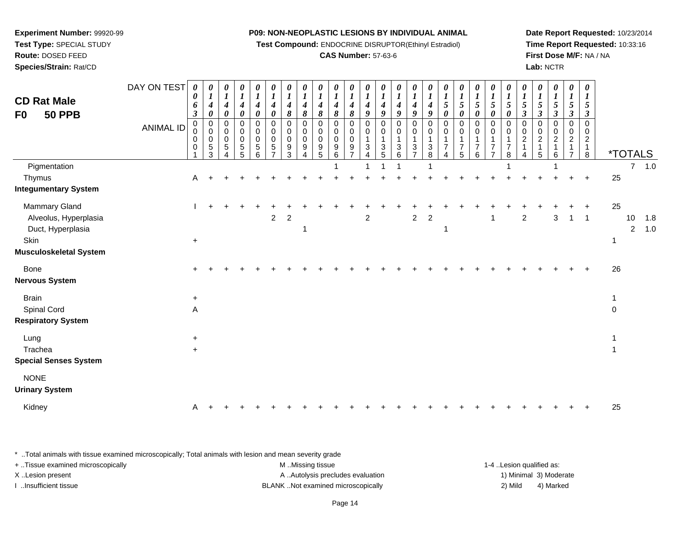**Test Compound:** ENDOCRINE DISRUPTOR(Ethinyl Estradiol)

# **CAS Number:** 57-63-6

**Date Report Requested:** 10/23/2014**Time Report Requested:** 10:33:16**First Dose M/F:** NA / NA**Lab:** NCTR

| <b>CD Rat Male</b><br><b>50 PPB</b><br>F0                                                     | DAY ON TEST<br>ANIMAL ID | 0<br>0<br>6<br>$\boldsymbol{\beta}$<br>0<br>$\mathbf 0$<br>0<br>0 | 0<br>$\boldsymbol{l}$<br>$\boldsymbol{4}$<br>$\boldsymbol{\theta}$<br>$\mathbf 0$<br>$\mathbf 0$<br>0<br>$\sqrt{5}$<br>$\mathbf{3}$ | 0<br>$\boldsymbol{l}$<br>4<br>0<br>0<br>0<br>0<br>5<br>4 | 0<br>$\boldsymbol{l}$<br>$\boldsymbol{4}$<br>0<br>0<br>0<br>0<br>$\sqrt{5}$<br>$\overline{5}$ | 0<br>$\boldsymbol{l}$<br>$\boldsymbol{4}$<br>$\boldsymbol{\theta}$<br>$\mathbf 0$<br>0<br>$\pmb{0}$<br>$\sqrt{5}$<br>6 | 0<br>$\boldsymbol{l}$<br>$\boldsymbol{4}$<br>$\boldsymbol{\theta}$<br>$\mathbf 0$<br>$\mathbf 0$<br>$\mathbf 0$<br>$\,$ 5 $\,$<br>$\overline{7}$ | 0<br>$\boldsymbol{l}$<br>$\boldsymbol{4}$<br>8<br>0<br>0<br>0<br>$\boldsymbol{9}$<br>$\mathfrak{Z}$ | 0<br>$\boldsymbol{l}$<br>$\boldsymbol{4}$<br>$\pmb{8}$<br>$\mathbf 0$<br>0<br>$\mathbf 0$<br>$9\,$<br>$\overline{4}$ | $\boldsymbol{\theta}$<br>$\boldsymbol{l}$<br>4<br>8<br>0<br>0<br>$\mathbf 0$<br>$\boldsymbol{9}$<br>5 | 0<br>$\boldsymbol{l}$<br>$\boldsymbol{4}$<br>8<br>0<br>0<br>0<br>9<br>6 | $\boldsymbol{\theta}$<br>$\boldsymbol{l}$<br>4<br>8<br>0<br>0<br>$\pmb{0}$<br>9 | 0<br>$\boldsymbol{l}$<br>$\boldsymbol{4}$<br>9<br>0<br>0<br>3<br>4 | 0<br>$\boldsymbol{l}$<br>$\boldsymbol{4}$<br>$\boldsymbol{q}$<br>$\pmb{0}$<br>0<br>$\mathbf{1}$<br>$\ensuremath{\mathsf{3}}$<br>$\sqrt{5}$ | $\boldsymbol{\theta}$<br>$\boldsymbol{\mathit{1}}$<br>$\boldsymbol{4}$<br>9<br>$\mathbf 0$<br>0<br>$\overline{1}$<br>$\ensuremath{\mathsf{3}}$<br>6 | $\boldsymbol{\theta}$<br>$\boldsymbol{l}$<br>4<br>9<br>0<br>0<br>1<br>3<br>$\overline{7}$ | 0<br>$\boldsymbol{l}$<br>$\boldsymbol{4}$<br>9<br>0<br>0<br>$\mathbf 1$<br>$\ensuremath{\mathsf{3}}$<br>8 | $\boldsymbol{\theta}$<br>$\boldsymbol{l}$<br>$\sqrt{5}$<br>0<br>0<br>$\Omega$<br>$\overline{7}$<br>Δ | $\boldsymbol{\theta}$<br>$\boldsymbol{l}$<br>$5\overline{)}$<br>0<br>0<br>0<br>$\overline{7}$<br>5 | 0<br>$\boldsymbol{l}$<br>5<br>0<br>0<br>$\Omega$<br>$\mathbf 1$<br>$\overline{7}$<br>6 | $\boldsymbol{\theta}$<br>$\boldsymbol{l}$<br>$\sqrt{5}$<br>0<br>$\mathbf 0$<br>$\mathbf 0$<br>$\overline{1}$<br>$\overline{7}$<br>$\overline{ }$ | $\boldsymbol{\theta}$<br>$\boldsymbol{l}$<br>$\mathfrak{s}$<br>$\boldsymbol{\theta}$<br>0<br>0<br>1<br>$\overline{7}$<br>8 | 0<br>$\boldsymbol{l}$<br>$\sqrt{5}$<br>$\mathfrak{z}$<br>$\pmb{0}$<br>$\mathbf 0$<br>$\overline{c}$<br>$\mathbf{1}$<br>4 | $\boldsymbol{\theta}$<br>$\boldsymbol{l}$<br>$\sqrt{5}$<br>$\mathfrak{z}$<br>$\mathbf 0$<br>0<br>$\sqrt{2}$<br>$\mathbf{1}$<br>$\overline{5}$ | 0<br>$\boldsymbol{l}$<br>5<br>$\boldsymbol{\beta}$<br>0<br>0<br>$\overline{a}$<br>1<br>6 | 0<br>$\boldsymbol{l}$<br>5<br>$\mathfrak{z}$<br>0<br>0<br>$\overline{c}$<br>$\overline{7}$ | 0<br>$\boldsymbol{l}$<br>$\sqrt{5}$<br>$\boldsymbol{\beta}$<br>0<br>$\mathbf 0$<br>$\overline{2}$<br>$\mathbf{1}$<br>8 |                  | <i><b>*TOTALS</b></i> |            |
|-----------------------------------------------------------------------------------------------|--------------------------|-------------------------------------------------------------------|-------------------------------------------------------------------------------------------------------------------------------------|----------------------------------------------------------|-----------------------------------------------------------------------------------------------|------------------------------------------------------------------------------------------------------------------------|--------------------------------------------------------------------------------------------------------------------------------------------------|-----------------------------------------------------------------------------------------------------|----------------------------------------------------------------------------------------------------------------------|-------------------------------------------------------------------------------------------------------|-------------------------------------------------------------------------|---------------------------------------------------------------------------------|--------------------------------------------------------------------|--------------------------------------------------------------------------------------------------------------------------------------------|-----------------------------------------------------------------------------------------------------------------------------------------------------|-------------------------------------------------------------------------------------------|-----------------------------------------------------------------------------------------------------------|------------------------------------------------------------------------------------------------------|----------------------------------------------------------------------------------------------------|----------------------------------------------------------------------------------------|--------------------------------------------------------------------------------------------------------------------------------------------------|----------------------------------------------------------------------------------------------------------------------------|--------------------------------------------------------------------------------------------------------------------------|-----------------------------------------------------------------------------------------------------------------------------------------------|------------------------------------------------------------------------------------------|--------------------------------------------------------------------------------------------|------------------------------------------------------------------------------------------------------------------------|------------------|-----------------------|------------|
| Pigmentation                                                                                  |                          |                                                                   |                                                                                                                                     |                                                          |                                                                                               |                                                                                                                        |                                                                                                                                                  |                                                                                                     |                                                                                                                      |                                                                                                       |                                                                         |                                                                                 |                                                                    |                                                                                                                                            |                                                                                                                                                     |                                                                                           |                                                                                                           |                                                                                                      |                                                                                                    |                                                                                        |                                                                                                                                                  |                                                                                                                            |                                                                                                                          |                                                                                                                                               |                                                                                          |                                                                                            |                                                                                                                        |                  |                       | $7 - 1.0$  |
| Thymus<br><b>Integumentary System</b>                                                         |                          | A                                                                 |                                                                                                                                     |                                                          |                                                                                               |                                                                                                                        |                                                                                                                                                  |                                                                                                     |                                                                                                                      |                                                                                                       |                                                                         |                                                                                 |                                                                    |                                                                                                                                            |                                                                                                                                                     |                                                                                           |                                                                                                           |                                                                                                      |                                                                                                    |                                                                                        |                                                                                                                                                  |                                                                                                                            |                                                                                                                          |                                                                                                                                               |                                                                                          |                                                                                            | $\overline{+}$                                                                                                         | 25               |                       |            |
| Mammary Gland<br>Alveolus, Hyperplasia<br>Duct, Hyperplasia<br>Skin<br>Musculoskeletal System |                          | $+$                                                               |                                                                                                                                     |                                                          |                                                                                               |                                                                                                                        | $\overline{a}$                                                                                                                                   | $\overline{c}$                                                                                      |                                                                                                                      |                                                                                                       |                                                                         |                                                                                 | $\overline{c}$                                                     |                                                                                                                                            |                                                                                                                                                     | $\overline{a}$                                                                            | $\overline{c}$                                                                                            |                                                                                                      |                                                                                                    |                                                                                        | -1                                                                                                                                               |                                                                                                                            | $\overline{c}$                                                                                                           |                                                                                                                                               | $\mathbf{3}$                                                                             | $\mathbf{1}$                                                                               | $\overline{1}$                                                                                                         | 25<br>-1         | 10<br>$\overline{2}$  | 1.8<br>1.0 |
| Bone<br>Nervous System                                                                        |                          |                                                                   |                                                                                                                                     |                                                          |                                                                                               |                                                                                                                        |                                                                                                                                                  |                                                                                                     |                                                                                                                      |                                                                                                       |                                                                         |                                                                                 |                                                                    |                                                                                                                                            |                                                                                                                                                     |                                                                                           |                                                                                                           |                                                                                                      |                                                                                                    |                                                                                        |                                                                                                                                                  |                                                                                                                            |                                                                                                                          |                                                                                                                                               |                                                                                          |                                                                                            |                                                                                                                        | 26               |                       |            |
| <b>Brain</b><br>Spinal Cord<br><b>Respiratory System</b>                                      |                          | $+$<br>A                                                          |                                                                                                                                     |                                                          |                                                                                               |                                                                                                                        |                                                                                                                                                  |                                                                                                     |                                                                                                                      |                                                                                                       |                                                                         |                                                                                 |                                                                    |                                                                                                                                            |                                                                                                                                                     |                                                                                           |                                                                                                           |                                                                                                      |                                                                                                    |                                                                                        |                                                                                                                                                  |                                                                                                                            |                                                                                                                          |                                                                                                                                               |                                                                                          |                                                                                            |                                                                                                                        | 1<br>$\mathbf 0$ |                       |            |
| Lung<br>Trachea<br><b>Special Senses System</b>                                               |                          | $\ddot{}$<br>$+$                                                  |                                                                                                                                     |                                                          |                                                                                               |                                                                                                                        |                                                                                                                                                  |                                                                                                     |                                                                                                                      |                                                                                                       |                                                                         |                                                                                 |                                                                    |                                                                                                                                            |                                                                                                                                                     |                                                                                           |                                                                                                           |                                                                                                      |                                                                                                    |                                                                                        |                                                                                                                                                  |                                                                                                                            |                                                                                                                          |                                                                                                                                               |                                                                                          |                                                                                            |                                                                                                                        |                  |                       |            |
| <b>NONE</b><br><b>Urinary System</b>                                                          |                          |                                                                   |                                                                                                                                     |                                                          |                                                                                               |                                                                                                                        |                                                                                                                                                  |                                                                                                     |                                                                                                                      |                                                                                                       |                                                                         |                                                                                 |                                                                    |                                                                                                                                            |                                                                                                                                                     |                                                                                           |                                                                                                           |                                                                                                      |                                                                                                    |                                                                                        |                                                                                                                                                  |                                                                                                                            |                                                                                                                          |                                                                                                                                               |                                                                                          |                                                                                            |                                                                                                                        |                  |                       |            |
| Kidney                                                                                        |                          | A                                                                 |                                                                                                                                     |                                                          |                                                                                               |                                                                                                                        |                                                                                                                                                  |                                                                                                     |                                                                                                                      |                                                                                                       |                                                                         |                                                                                 |                                                                    |                                                                                                                                            |                                                                                                                                                     |                                                                                           |                                                                                                           |                                                                                                      |                                                                                                    |                                                                                        |                                                                                                                                                  |                                                                                                                            |                                                                                                                          |                                                                                                                                               |                                                                                          |                                                                                            |                                                                                                                        | 25               |                       |            |
|                                                                                               |                          |                                                                   |                                                                                                                                     |                                                          |                                                                                               |                                                                                                                        |                                                                                                                                                  |                                                                                                     |                                                                                                                      |                                                                                                       |                                                                         |                                                                                 |                                                                    |                                                                                                                                            |                                                                                                                                                     |                                                                                           |                                                                                                           |                                                                                                      |                                                                                                    |                                                                                        |                                                                                                                                                  |                                                                                                                            |                                                                                                                          |                                                                                                                                               |                                                                                          |                                                                                            |                                                                                                                        |                  |                       |            |

\* ..Total animals with tissue examined microscopically; Total animals with lesion and mean severity grade

| + Tissue examined microscopically | M Missing tissue                  | 1-4 . Lesion qualified as: |                        |
|-----------------------------------|-----------------------------------|----------------------------|------------------------|
| X Lesion present                  | A Autolysis precludes evaluation  |                            | 1) Minimal 3) Moderate |
| …Insufficient tissue              | BLANKNot examined microscopically | 2) Mild                    | 4) Marked              |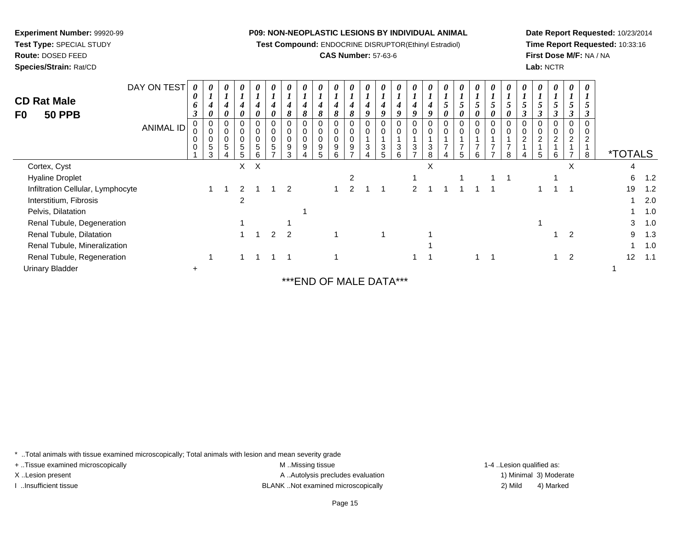**Test Compound:** ENDOCRINE DISRUPTOR(Ethinyl Estradiol)

# **CAS Number:** 57-63-6

n and  $\frac{1}{1}$  1.0

<sup>1</sup> <sup>1</sup> <sup>1</sup> <sup>1</sup> <sup>1</sup> <sup>1</sup> <sup>1</sup> <sup>1</sup> <sup>1</sup> <sup>1</sup> <sup>1</sup> <sup>2</sup> <sup>12</sup> 1.1

**Date Report Requested:** 10/23/2014**Time Report Requested:** 10:33:16**First Dose M/F:** NA / NA**Lab:** NCTR

| <b>CD Rat Male</b>                | DAY ON TEST      | $\boldsymbol{\theta}$<br>0<br>6 | $\boldsymbol{\theta}$<br>4 | $\boldsymbol{\theta}$<br>4 | $\boldsymbol{\theta}$<br>4 | $\boldsymbol{\theta}$<br>4      | $\boldsymbol{\theta}$<br>4      | $\boldsymbol{\theta}$<br>4                          | $\theta$<br>4                 | $\theta$<br>4                      | $\boldsymbol{\theta}$<br>$\boldsymbol{4}$ | $\boldsymbol{\theta}$<br>$\boldsymbol{4}$ | $\boldsymbol{\theta}$<br>$\mathbf{I}$<br>$\boldsymbol{4}$ | $\boldsymbol{\theta}$<br>$\boldsymbol{4}$ | 0<br>4                | $\boldsymbol{\theta}$<br>4 | $\boldsymbol{\theta}$<br>4 | $\boldsymbol{\theta}$ | $\boldsymbol{\theta}$<br>5    | $\boldsymbol{\theta}$<br>5                             | $\boldsymbol{\theta}$<br>$\mathcal{L}$ | 5 | $\boldsymbol{\theta}$<br>$\mathfrak{I}$ | $\boldsymbol{\theta}$<br>5    | $\boldsymbol{\theta}$<br>$\mathfrak{s}$ | 0<br>C                           | $\boldsymbol{\theta}$<br>$\mathbf{I}$<br>5 |                       |     |
|-----------------------------------|------------------|---------------------------------|----------------------------|----------------------------|----------------------------|---------------------------------|---------------------------------|-----------------------------------------------------|-------------------------------|------------------------------------|-------------------------------------------|-------------------------------------------|-----------------------------------------------------------|-------------------------------------------|-----------------------|----------------------------|----------------------------|-----------------------|-------------------------------|--------------------------------------------------------|----------------------------------------|---|-----------------------------------------|-------------------------------|-----------------------------------------|----------------------------------|--------------------------------------------|-----------------------|-----|
| <b>50 PPB</b><br>F0               | <b>ANIMAL ID</b> | J<br>0<br>0<br>0                | 0<br>0<br>υ<br>0<br>5<br>3 | 0<br>0<br>5                | $\theta$<br>5<br>5         | 0<br>0<br>$\pmb{0}$<br>.5<br>R. | 0<br>0<br>0<br>$\mathbf 0$<br>5 | 8<br>0<br>$\mathbf 0$<br>0<br>$\boldsymbol{9}$<br>3 | 8<br>0<br>0<br>$\pmb{0}$<br>9 | $\sigma$<br>0<br>0<br>$\,0\,$<br>9 | 8<br>0<br>$\pmb{0}$<br>9                  | 8<br>0<br>0<br>0<br>9                     | 9<br>0<br>0<br>3                                          | 0<br>3                                    | Q<br>0<br>0<br>3<br>6 | 0<br>0<br>3                | 3<br>8                     | 0                     | 0<br>0<br>$\overline{ }$<br>5 | $\boldsymbol{\theta}$<br>0<br>0<br>$\overline{ }$<br>6 | 0<br>0                                 | 8 | J<br>0<br>0<br>2                        | 0<br>0<br>$\overline{c}$<br>5 | J<br>$\overline{c}$                     | 0<br>0<br>$\Omega$<br>$\epsilon$ | 3<br>0<br>$\overline{2}$<br>8              | <i><b>*TOTALS</b></i> |     |
| Cortex, Cyst                      |                  |                                 |                            |                            |                            | $X$ $X$                         |                                 |                                                     |                               |                                    |                                           |                                           |                                                           |                                           |                       |                            | X                          |                       |                               |                                                        |                                        |   |                                         |                               |                                         | X                                |                                            | 4                     |     |
| <b>Hyaline Droplet</b>            |                  |                                 |                            |                            |                            |                                 |                                 |                                                     |                               |                                    |                                           | 2                                         |                                                           |                                           |                       |                            |                            |                       |                               |                                                        |                                        |   |                                         |                               |                                         |                                  |                                            | 6                     | 1.2 |
| Infiltration Cellular, Lymphocyte |                  |                                 |                            |                            | $\mathcal{P}$              |                                 |                                 | 2                                                   |                               |                                    |                                           | 2                                         |                                                           |                                           |                       | $\mathbf{2}^{\circ}$       |                            |                       |                               |                                                        |                                        |   |                                         |                               |                                         |                                  |                                            | 19                    | 1.2 |
| Interstitium, Fibrosis            |                  |                                 |                            |                            | 2                          |                                 |                                 |                                                     |                               |                                    |                                           |                                           |                                                           |                                           |                       |                            |                            |                       |                               |                                                        |                                        |   |                                         |                               |                                         |                                  |                                            |                       | 2.0 |
| Pelvis, Dilatation                |                  |                                 |                            |                            |                            |                                 |                                 |                                                     |                               |                                    |                                           |                                           |                                                           |                                           |                       |                            |                            |                       |                               |                                                        |                                        |   |                                         |                               |                                         |                                  |                                            |                       | 1.0 |
| Renal Tubule, Degeneration        |                  |                                 |                            |                            |                            |                                 |                                 |                                                     |                               |                                    |                                           |                                           |                                                           |                                           |                       |                            |                            |                       |                               |                                                        |                                        |   |                                         |                               |                                         |                                  |                                            | 3                     | 1.0 |
| Renal Tubule, Dilatation          |                  |                                 |                            |                            |                            |                                 |                                 |                                                     |                               |                                    |                                           |                                           |                                                           |                                           |                       |                            |                            |                       |                               |                                                        |                                        |   |                                         |                               |                                         | $\overline{2}$                   |                                            | 9                     | 1.3 |
|                                   |                  |                                 |                            |                            |                            |                                 |                                 |                                                     |                               |                                    |                                           |                                           |                                                           |                                           |                       |                            |                            |                       |                               |                                                        |                                        |   |                                         |                               |                                         |                                  |                                            |                       |     |

 + 1\*\*\*END OF MALE DATA\*\*\*

\* ..Total animals with tissue examined microscopically; Total animals with lesion and mean severity grade

+ ..Tissue examined microscopically examined microscopically examined as:  $M$  ..Missing tissue 1-4 ..Lesion qualified as:

**Experiment Number:** 99920-99**Test Type:** SPECIAL STUDY**Route:** DOSED FEED**Species/Strain:** Rat/CD

Renal Tubule, Mineralization

Renal Tubule, Regeneration

Urinary Bladder

X..Lesion present **A ..Autolysis precludes evaluation** A ..Autolysis precludes evaluation 1) Minimal 3) Moderate I ..Insufficient tissue BLANK ..Not examined microscopically 2) Mild 4) Marked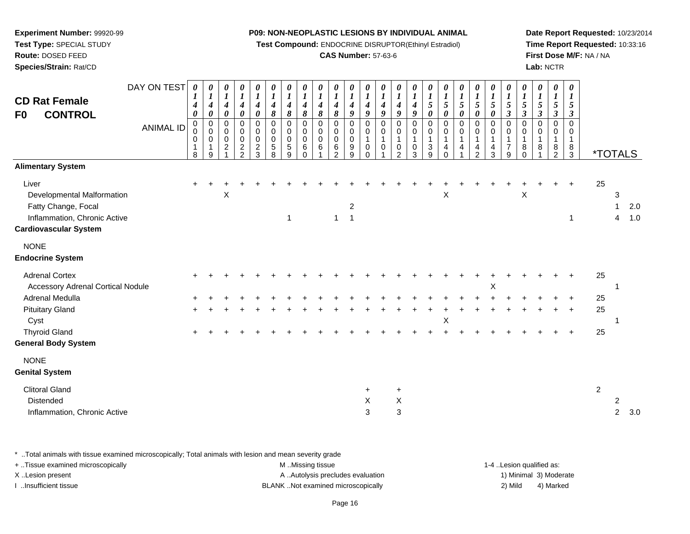**Test Compound:** ENDOCRINE DISRUPTOR(Ethinyl Estradiol)

# **CAS Number:** 57-63-6

**Date Report Requested:** 10/23/2014**Time Report Requested:** 10:33:16**First Dose M/F:** NA / NA**Lab:** NCTR

| <b>CD Rat Female</b><br><b>CONTROL</b><br>F <sub>0</sub>                                                                                                                                                               | DAY ON TEST<br><b>ANIMAL ID</b> | 0<br>$\boldsymbol{l}$<br>4<br>$\boldsymbol{\theta}$<br>$\mathbf 0$<br>0<br>0<br>$\mathbf{1}$<br>8 | 0<br>$\boldsymbol{l}$<br>$\boldsymbol{4}$<br>$\pmb{\theta}$<br>$\mathbf 0$<br>0<br>$\,0\,$<br>1<br>9 | 0<br>$\boldsymbol{l}$<br>$\boldsymbol{4}$<br>$\boldsymbol{\theta}$<br>$\mathsf 0$<br>0<br>$\pmb{0}$<br>$\boldsymbol{2}$ | 0<br>$\boldsymbol{l}$<br>$\boldsymbol{4}$<br>0<br>$\pmb{0}$<br>$\mathbf 0$<br>$\pmb{0}$<br>$\frac{2}{2}$ | $\boldsymbol{\theta}$<br>$\boldsymbol{l}$<br>$\boldsymbol{4}$<br>$\boldsymbol{\theta}$<br>$\boldsymbol{0}$<br>$\mathbf 0$<br>$\pmb{0}$<br>$\sqrt{2}$<br>3 | 0<br>$\boldsymbol{l}$<br>$\boldsymbol{4}$<br>8<br>$\pmb{0}$<br>$\boldsymbol{0}$<br>$\pmb{0}$<br>$\sqrt{5}$<br>8 | 0<br>$\boldsymbol{l}$<br>$\boldsymbol{4}$<br>8<br>$\mathbf 0$<br>0<br>$\mathbf 0$<br>$\sqrt{5}$<br>9 | 0<br>$\boldsymbol{l}$<br>$\boldsymbol{4}$<br>8<br>$\mathbf 0$<br>$\mathbf 0$<br>0<br>6<br>$\Omega$ | $\boldsymbol{\theta}$<br>$\boldsymbol{l}$<br>$\boldsymbol{4}$<br>8<br>$\mathbf 0$<br>0<br>$\mathbf 0$<br>6 | $\boldsymbol{\theta}$<br>$\boldsymbol{l}$<br>$\boldsymbol{4}$<br>$\pmb{8}$<br>$\mathbf 0$<br>0<br>0<br>$\,6\,$<br>$\mathcal{P}$ | $\boldsymbol{\theta}$<br>$\boldsymbol{l}$<br>$\boldsymbol{4}$<br>9<br>$\mathbf 0$<br>0<br>$\mathbf 0$<br>$\boldsymbol{9}$<br>9 | 0<br>$\boldsymbol{l}$<br>4<br>9<br>$\mathbf 0$<br>$\mathbf 0$<br>$\overline{1}$<br>$\mathbf 0$<br>$\Omega$ | 0<br>$\boldsymbol{l}$<br>4<br>9<br>0<br>0<br>$\mathbf{1}$<br>$\mathbf 0$ | 0<br>$\boldsymbol{I}$<br>4<br>9<br>$\mathbf 0$<br>0<br>$\mathbf{1}$<br>0<br>2 | 0<br>$\boldsymbol{I}$<br>$\boldsymbol{4}$<br>9<br>$\mathbf 0$<br>0<br>$\mathbf{1}$<br>0<br>3 | 0<br>$\boldsymbol{l}$<br>$\sqrt{5}$<br>$\boldsymbol{\theta}$<br>$\mathbf 0$<br>$\overline{0}$<br>$\mathbf{1}$<br>$\sqrt{3}$<br>9 | 0<br>$\boldsymbol{l}$<br>5<br>$\boldsymbol{\theta}$<br>$\mathsf 0$<br>$\pmb{0}$<br>$\mathbf{1}$<br>$\overline{4}$<br>$\Omega$ | 0<br>$\overline{\mathbf{I}}$<br>5<br>$\boldsymbol{\theta}$<br>0<br>0<br>$\mathbf{1}$<br>4 | 0<br>$\boldsymbol{l}$<br>5<br>$\pmb{\theta}$<br>$\pmb{0}$<br>0<br>$\mathbf{1}$<br>$\overline{\mathbf{4}}$<br>$\overline{2}$ | $\boldsymbol{\theta}$<br>$\boldsymbol{l}$<br>5<br>$\boldsymbol{\theta}$<br>$\mathbf 0$<br>0<br>$\mathbf{1}$<br>$\overline{4}$<br>3 | $\boldsymbol{\theta}$<br>$\boldsymbol{l}$<br>$\mathfrak{s}$<br>$\mathbf{3}$<br>$\mathbf 0$<br>0<br>1<br>$\overline{7}$<br>9 | 0<br>$\boldsymbol{l}$<br>5<br>$\boldsymbol{\beta}$<br>$\Omega$<br>$\Omega$<br>8<br>$\Omega$ | $\boldsymbol{l}$<br>5<br>$\boldsymbol{\beta}$<br>$\Omega$<br>0<br>8 | 0<br>$\boldsymbol{l}$<br>5<br>$\boldsymbol{\beta}$<br>0<br>$\Omega$<br>8<br>2 | 0<br>$\boldsymbol{l}$<br>5<br>$\mathbf{3}$<br>$\mathbf 0$<br>$\mathbf 0$<br>1<br>$\frac{8}{3}$ |                      | <i><b>*TOTALS</b></i>    |            |
|------------------------------------------------------------------------------------------------------------------------------------------------------------------------------------------------------------------------|---------------------------------|---------------------------------------------------------------------------------------------------|------------------------------------------------------------------------------------------------------|-------------------------------------------------------------------------------------------------------------------------|----------------------------------------------------------------------------------------------------------|-----------------------------------------------------------------------------------------------------------------------------------------------------------|-----------------------------------------------------------------------------------------------------------------|------------------------------------------------------------------------------------------------------|----------------------------------------------------------------------------------------------------|------------------------------------------------------------------------------------------------------------|---------------------------------------------------------------------------------------------------------------------------------|--------------------------------------------------------------------------------------------------------------------------------|------------------------------------------------------------------------------------------------------------|--------------------------------------------------------------------------|-------------------------------------------------------------------------------|----------------------------------------------------------------------------------------------|----------------------------------------------------------------------------------------------------------------------------------|-------------------------------------------------------------------------------------------------------------------------------|-------------------------------------------------------------------------------------------|-----------------------------------------------------------------------------------------------------------------------------|------------------------------------------------------------------------------------------------------------------------------------|-----------------------------------------------------------------------------------------------------------------------------|---------------------------------------------------------------------------------------------|---------------------------------------------------------------------|-------------------------------------------------------------------------------|------------------------------------------------------------------------------------------------|----------------------|--------------------------|------------|
| <b>Alimentary System</b><br>Liver<br>Developmental Malformation<br>Fatty Change, Focal<br>Inflammation, Chronic Active<br><b>Cardiovascular System</b>                                                                 |                                 |                                                                                                   |                                                                                                      | Χ                                                                                                                       |                                                                                                          |                                                                                                                                                           |                                                                                                                 | 1                                                                                                    |                                                                                                    |                                                                                                            | $\mathbf{1}$                                                                                                                    | $\overline{c}$<br>$\mathbf{1}$                                                                                                 |                                                                                                            |                                                                          |                                                                               |                                                                                              |                                                                                                                                  | Х                                                                                                                             |                                                                                           |                                                                                                                             |                                                                                                                                    |                                                                                                                             | X                                                                                           |                                                                     |                                                                               | 1                                                                                              | 25                   | 3<br>1<br>$\overline{4}$ | 2.0<br>1.0 |
| <b>NONE</b><br><b>Endocrine System</b><br><b>Adrenal Cortex</b><br><b>Accessory Adrenal Cortical Nodule</b><br>Adrenal Medulla<br><b>Pituitary Gland</b><br>Cyst<br><b>Thyroid Gland</b><br><b>General Body System</b> |                                 | $\pm$<br>$\pm$                                                                                    |                                                                                                      |                                                                                                                         |                                                                                                          |                                                                                                                                                           |                                                                                                                 |                                                                                                      |                                                                                                    |                                                                                                            |                                                                                                                                 |                                                                                                                                |                                                                                                            |                                                                          |                                                                               |                                                                                              |                                                                                                                                  | X                                                                                                                             |                                                                                           |                                                                                                                             | Χ                                                                                                                                  |                                                                                                                             |                                                                                             |                                                                     |                                                                               | $\ddot{}$                                                                                      | 25<br>25<br>25<br>25 |                          |            |
| <b>NONE</b><br><b>Genital System</b><br><b>Clitoral Gland</b><br>Distended<br>Inflammation, Chronic Active                                                                                                             |                                 |                                                                                                   |                                                                                                      |                                                                                                                         |                                                                                                          |                                                                                                                                                           |                                                                                                                 |                                                                                                      |                                                                                                    |                                                                                                            |                                                                                                                                 |                                                                                                                                | $\ddot{}$<br>X<br>3                                                                                        |                                                                          | $\ddot{}$<br>X<br>3                                                           |                                                                                              |                                                                                                                                  |                                                                                                                               |                                                                                           |                                                                                                                             |                                                                                                                                    |                                                                                                                             |                                                                                             |                                                                     |                                                                               |                                                                                                | $\overline{2}$       | 2<br>$\overline{2}$      | 3.0        |

\* ..Total animals with tissue examined microscopically; Total animals with lesion and mean severity grade

| + Tissue examined microscopically | M Missing tissue                   | 1-4 Lesion qualified as: |                        |
|-----------------------------------|------------------------------------|--------------------------|------------------------|
| X Lesion present                  | A Autolysis precludes evaluation   |                          | 1) Minimal 3) Moderate |
| Insufficient tissue               | BLANK Not examined microscopically | 2) Mild                  | 4) Marked              |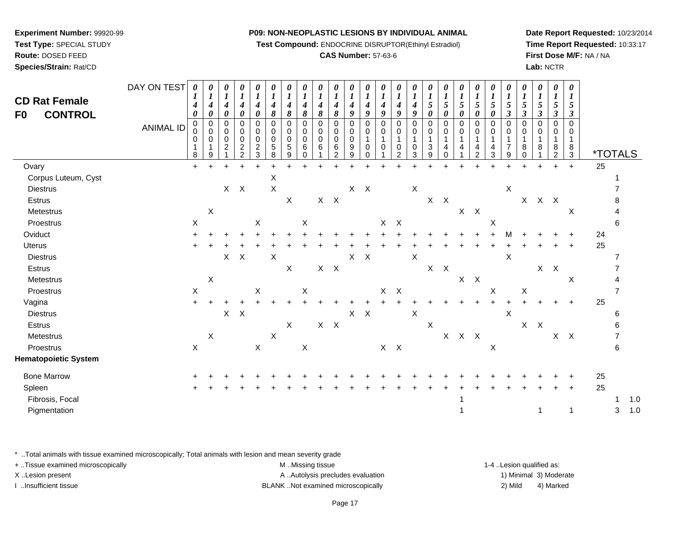**Test Compound:** ENDOCRINE DISRUPTOR(Ethinyl Estradiol)

# **CAS Number:** 57-63-6

**Date Report Requested:** 10/23/2014**Time Report Requested:** 10:33:17**First Dose M/F:** NA / NA**Lab:** NCTR

| <b>CD Rat Female</b><br><b>CONTROL</b><br>F0 | DAY ON TEST<br><b>ANIMAL ID</b> | $\boldsymbol{\theta}$<br>1<br>4<br>$\boldsymbol{\theta}$<br>$\mathbf 0$<br>0<br>0<br>$\mathbf{1}$<br>8 | 0<br>$\boldsymbol{l}$<br>$\boldsymbol{4}$<br>$\pmb{\theta}$<br>0<br>0<br>0<br>9 | 0<br>$\boldsymbol{l}$<br>$\boldsymbol{4}$<br>$\pmb{\theta}$<br>$\mathbf 0$<br>$\mathbf 0$<br>0<br>$\overline{2}$ | 0<br>$\boldsymbol{l}$<br>$\boldsymbol{4}$<br>0<br>$\mathbf 0$<br>$\pmb{0}$<br>$\mathbf 0$<br>$\boldsymbol{2}$<br>$\overline{2}$ | 0<br>$\boldsymbol{l}$<br>4<br>$\boldsymbol{\theta}$<br>$\Omega$<br>0<br>0<br>$\overline{c}$<br>3 | $\boldsymbol{\theta}$<br>$\boldsymbol{l}$<br>$\boldsymbol{4}$<br>8<br>$\Omega$<br>0<br>$\mathbf 0$<br>5<br>8 | $\boldsymbol{\theta}$<br>$\boldsymbol{l}$<br>$\boldsymbol{4}$<br>$\pmb{8}$<br>$\Omega$<br>0<br>$\mathbf 0$<br>$\,$ 5 $\,$<br>9 | 0<br>$\boldsymbol{l}$<br>4<br>8<br>$\mathbf 0$<br>0<br>0<br>6<br>$\Omega$ | $\boldsymbol{\theta}$<br>$\boldsymbol{l}$<br>4<br>$\pmb{8}$<br>$\Omega$<br>0<br>$\mathbf 0$<br>6 | $\boldsymbol{\theta}$<br>$\boldsymbol{l}$<br>$\boldsymbol{4}$<br>8<br>0<br>0<br>0<br>6<br>$\overline{2}$ | 0<br>$\boldsymbol{l}$<br>$\boldsymbol{4}$<br>9<br>$\mathbf 0$<br>0<br>$\mathbf 0$<br>9<br>9 | 0<br>$\boldsymbol{l}$<br>$\boldsymbol{4}$<br>9<br>$\Omega$<br>0<br>$\mathbf{1}$<br>$\mathbf 0$<br>$\Omega$ | 0<br>$\boldsymbol{l}$<br>$\boldsymbol{4}$<br>9<br>$\Omega$<br>0<br>1<br>$\pmb{0}$ | 0<br>$\boldsymbol{l}$<br>4<br>9<br>$\Omega$<br>0<br>1<br>0<br>$\overline{2}$ | 0<br>$\boldsymbol{l}$<br>$\boldsymbol{4}$<br>9<br>$\Omega$<br>0<br>0<br>3 | $\boldsymbol{l}$<br>5<br>0<br>$\Omega$<br>0<br>1<br>3<br>9 | 0<br>$\boldsymbol{l}$<br>5<br>0<br>$\mathbf 0$<br>0<br>4<br>0 | 0<br>$\boldsymbol{l}$<br>5<br>0<br>$\mathbf 0$<br>0<br>$\mathbf{1}$<br>4 | 0<br>$\boldsymbol{l}$<br>5<br>0<br>$\pmb{0}$<br>$\pmb{0}$<br>-1<br>4<br>$\overline{2}$ | 0<br>$\boldsymbol{l}$<br>5<br>$\boldsymbol{\theta}$<br>$\Omega$<br>$\mathbf 0$<br>$\mathbf{1}$<br>4<br>3 | $\boldsymbol{\theta}$<br>$\boldsymbol{l}$<br>5<br>$\boldsymbol{\beta}$<br>$\mathbf 0$<br>0<br>$\mathbf 1$<br>$\overline{7}$<br>9 | 0<br>$\boldsymbol{l}$<br>5<br>$\boldsymbol{\beta}$<br>$\mathbf 0$<br>0<br>$\mathbf{1}$<br>8<br>0 | 0<br>$\boldsymbol{l}$<br>$\mathfrak{H}$<br>$\boldsymbol{\beta}$<br>$\Omega$<br>$\Omega$<br>$\mathbf{1}$<br>8 | 0<br>$\boldsymbol{l}$<br>$\mathfrak{s}$<br>$\boldsymbol{\beta}$<br>$\mathbf 0$<br>0<br>1<br>8<br>$\overline{2}$ | 0<br>$\boldsymbol{l}$<br>5<br>3<br>0<br>0<br>1<br>8<br>$\mathbf{3}$ | <i><b>*TOTALS</b></i> |                           |       |
|----------------------------------------------|---------------------------------|--------------------------------------------------------------------------------------------------------|---------------------------------------------------------------------------------|------------------------------------------------------------------------------------------------------------------|---------------------------------------------------------------------------------------------------------------------------------|--------------------------------------------------------------------------------------------------|--------------------------------------------------------------------------------------------------------------|--------------------------------------------------------------------------------------------------------------------------------|---------------------------------------------------------------------------|--------------------------------------------------------------------------------------------------|----------------------------------------------------------------------------------------------------------|---------------------------------------------------------------------------------------------|------------------------------------------------------------------------------------------------------------|-----------------------------------------------------------------------------------|------------------------------------------------------------------------------|---------------------------------------------------------------------------|------------------------------------------------------------|---------------------------------------------------------------|--------------------------------------------------------------------------|----------------------------------------------------------------------------------------|----------------------------------------------------------------------------------------------------------|----------------------------------------------------------------------------------------------------------------------------------|--------------------------------------------------------------------------------------------------|--------------------------------------------------------------------------------------------------------------|-----------------------------------------------------------------------------------------------------------------|---------------------------------------------------------------------|-----------------------|---------------------------|-------|
| Ovary                                        |                                 | $+$                                                                                                    | $\ddot{}$                                                                       | $\ddot{}$                                                                                                        | $+$                                                                                                                             | $\ddot{}$                                                                                        | $\ddot{}$                                                                                                    | $\ddot{}$                                                                                                                      |                                                                           |                                                                                                  |                                                                                                          |                                                                                             |                                                                                                            |                                                                                   |                                                                              |                                                                           |                                                            |                                                               | $\ddot{}$                                                                | $\ddot{}$                                                                              |                                                                                                          | $\ddot{}$                                                                                                                        | $\ddot{}$                                                                                        | ÷                                                                                                            |                                                                                                                 | $\ddot{}$                                                           | 25                    |                           |       |
| Corpus Luteum, Cyst                          |                                 |                                                                                                        |                                                                                 |                                                                                                                  |                                                                                                                                 |                                                                                                  | $\pmb{\times}$                                                                                               |                                                                                                                                |                                                                           |                                                                                                  |                                                                                                          |                                                                                             |                                                                                                            |                                                                                   |                                                                              |                                                                           |                                                            |                                                               |                                                                          |                                                                                        |                                                                                                          |                                                                                                                                  |                                                                                                  |                                                                                                              |                                                                                                                 |                                                                     |                       |                           |       |
| <b>Diestrus</b>                              |                                 |                                                                                                        |                                                                                 |                                                                                                                  | $X$ $X$                                                                                                                         |                                                                                                  | $\pmb{\times}$                                                                                               |                                                                                                                                |                                                                           |                                                                                                  |                                                                                                          |                                                                                             | $X$ $X$                                                                                                    |                                                                                   |                                                                              | X                                                                         |                                                            |                                                               |                                                                          |                                                                                        |                                                                                                          | $\boldsymbol{\mathsf{X}}$                                                                                                        |                                                                                                  |                                                                                                              |                                                                                                                 |                                                                     |                       |                           |       |
| Estrus                                       |                                 |                                                                                                        |                                                                                 |                                                                                                                  |                                                                                                                                 |                                                                                                  |                                                                                                              | $\mathsf X$                                                                                                                    |                                                                           |                                                                                                  | $X$ $X$                                                                                                  |                                                                                             |                                                                                                            |                                                                                   |                                                                              |                                                                           | X                                                          | $\mathsf{X}$                                                  |                                                                          |                                                                                        |                                                                                                          |                                                                                                                                  | $\mathsf{X}$                                                                                     |                                                                                                              | $X$ $X$                                                                                                         |                                                                     |                       |                           |       |
| Metestrus                                    |                                 |                                                                                                        | X                                                                               |                                                                                                                  |                                                                                                                                 |                                                                                                  |                                                                                                              |                                                                                                                                |                                                                           |                                                                                                  |                                                                                                          |                                                                                             |                                                                                                            |                                                                                   |                                                                              |                                                                           |                                                            |                                                               |                                                                          | $X$ $X$                                                                                |                                                                                                          |                                                                                                                                  |                                                                                                  |                                                                                                              |                                                                                                                 | X                                                                   |                       |                           |       |
| Proestrus                                    |                                 | $\mathsf X$                                                                                            |                                                                                 |                                                                                                                  |                                                                                                                                 | X                                                                                                |                                                                                                              |                                                                                                                                | $\boldsymbol{\mathsf{X}}$                                                 |                                                                                                  |                                                                                                          |                                                                                             |                                                                                                            | X                                                                                 | $\mathsf{X}$                                                                 |                                                                           |                                                            |                                                               |                                                                          |                                                                                        | $\boldsymbol{\mathsf{X}}$                                                                                |                                                                                                                                  |                                                                                                  |                                                                                                              |                                                                                                                 |                                                                     |                       | 6                         |       |
| Oviduct                                      |                                 |                                                                                                        |                                                                                 |                                                                                                                  |                                                                                                                                 |                                                                                                  |                                                                                                              |                                                                                                                                |                                                                           |                                                                                                  |                                                                                                          |                                                                                             |                                                                                                            |                                                                                   |                                                                              |                                                                           |                                                            |                                                               |                                                                          |                                                                                        |                                                                                                          |                                                                                                                                  |                                                                                                  |                                                                                                              |                                                                                                                 |                                                                     | 24                    |                           |       |
| <b>Uterus</b>                                |                                 | $\ddot{}$                                                                                              |                                                                                 |                                                                                                                  |                                                                                                                                 |                                                                                                  |                                                                                                              |                                                                                                                                |                                                                           |                                                                                                  |                                                                                                          |                                                                                             |                                                                                                            |                                                                                   |                                                                              |                                                                           |                                                            |                                                               |                                                                          |                                                                                        |                                                                                                          |                                                                                                                                  |                                                                                                  |                                                                                                              |                                                                                                                 |                                                                     | 25                    |                           |       |
| <b>Diestrus</b>                              |                                 |                                                                                                        |                                                                                 | $\mathsf{X}^-$                                                                                                   | $\mathsf{X}$                                                                                                                    |                                                                                                  | $\boldsymbol{\mathsf{X}}$                                                                                    |                                                                                                                                |                                                                           |                                                                                                  |                                                                                                          | X                                                                                           | $\mathsf{X}$                                                                                               |                                                                                   |                                                                              | $\mathsf X$                                                               |                                                            |                                                               |                                                                          |                                                                                        |                                                                                                          | X                                                                                                                                |                                                                                                  |                                                                                                              |                                                                                                                 |                                                                     |                       |                           |       |
| Estrus                                       |                                 |                                                                                                        |                                                                                 |                                                                                                                  |                                                                                                                                 |                                                                                                  |                                                                                                              | $\mathsf X$                                                                                                                    |                                                                           |                                                                                                  | $X$ $X$                                                                                                  |                                                                                             |                                                                                                            |                                                                                   |                                                                              |                                                                           |                                                            | $X$ $X$                                                       |                                                                          |                                                                                        |                                                                                                          |                                                                                                                                  |                                                                                                  |                                                                                                              | $X$ $X$                                                                                                         |                                                                     |                       |                           |       |
| Metestrus                                    |                                 |                                                                                                        | X                                                                               |                                                                                                                  |                                                                                                                                 |                                                                                                  |                                                                                                              |                                                                                                                                |                                                                           |                                                                                                  |                                                                                                          |                                                                                             |                                                                                                            |                                                                                   |                                                                              |                                                                           |                                                            |                                                               | X                                                                        | $\mathsf{X}$                                                                           |                                                                                                          |                                                                                                                                  |                                                                                                  |                                                                                                              |                                                                                                                 | X                                                                   |                       |                           |       |
| Proestrus                                    |                                 | $\mathsf X$                                                                                            |                                                                                 |                                                                                                                  |                                                                                                                                 | X                                                                                                |                                                                                                              |                                                                                                                                | $\boldsymbol{\mathsf{X}}$                                                 |                                                                                                  |                                                                                                          |                                                                                             |                                                                                                            | X                                                                                 | $\boldsymbol{\mathsf{X}}$                                                    |                                                                           |                                                            |                                                               |                                                                          |                                                                                        | $\mathsf X$                                                                                              |                                                                                                                                  | $\boldsymbol{X}$                                                                                 |                                                                                                              |                                                                                                                 |                                                                     |                       |                           |       |
| Vagina                                       |                                 | $+$                                                                                                    | $\ddot{}$                                                                       | $\ddot{}$                                                                                                        |                                                                                                                                 |                                                                                                  |                                                                                                              |                                                                                                                                |                                                                           |                                                                                                  |                                                                                                          |                                                                                             |                                                                                                            |                                                                                   |                                                                              |                                                                           |                                                            |                                                               |                                                                          |                                                                                        |                                                                                                          |                                                                                                                                  |                                                                                                  |                                                                                                              |                                                                                                                 |                                                                     | 25                    |                           |       |
| <b>Diestrus</b>                              |                                 |                                                                                                        |                                                                                 |                                                                                                                  | $X$ $X$                                                                                                                         |                                                                                                  |                                                                                                              |                                                                                                                                |                                                                           |                                                                                                  |                                                                                                          |                                                                                             | $X$ $X$                                                                                                    |                                                                                   |                                                                              | $\mathsf X$                                                               |                                                            |                                                               |                                                                          |                                                                                        |                                                                                                          | $\boldsymbol{\mathsf{X}}$                                                                                                        |                                                                                                  |                                                                                                              |                                                                                                                 |                                                                     |                       | 6                         |       |
| Estrus                                       |                                 |                                                                                                        |                                                                                 |                                                                                                                  |                                                                                                                                 |                                                                                                  |                                                                                                              | $\mathsf X$                                                                                                                    |                                                                           |                                                                                                  | $\mathsf{X} \quad \mathsf{X}$                                                                            |                                                                                             |                                                                                                            |                                                                                   |                                                                              |                                                                           | $\mathsf X$                                                |                                                               |                                                                          |                                                                                        |                                                                                                          |                                                                                                                                  |                                                                                                  | $X$ $X$                                                                                                      |                                                                                                                 |                                                                     |                       |                           |       |
| Metestrus                                    |                                 |                                                                                                        | X                                                                               |                                                                                                                  |                                                                                                                                 |                                                                                                  | $\boldsymbol{\mathsf{X}}$                                                                                    |                                                                                                                                |                                                                           |                                                                                                  |                                                                                                          |                                                                                             |                                                                                                            |                                                                                   |                                                                              |                                                                           |                                                            | X                                                             |                                                                          | $X$ $X$                                                                                |                                                                                                          |                                                                                                                                  |                                                                                                  |                                                                                                              |                                                                                                                 | $X$ $X$                                                             |                       | 7                         |       |
| Proestrus                                    |                                 | $\mathsf X$                                                                                            |                                                                                 |                                                                                                                  |                                                                                                                                 | $\mathsf X$                                                                                      |                                                                                                              |                                                                                                                                | $\mathsf X$                                                               |                                                                                                  |                                                                                                          |                                                                                             |                                                                                                            |                                                                                   | $X$ $X$                                                                      |                                                                           |                                                            |                                                               |                                                                          |                                                                                        | $\boldsymbol{\mathsf{X}}$                                                                                |                                                                                                                                  |                                                                                                  |                                                                                                              |                                                                                                                 |                                                                     |                       | 6                         |       |
| <b>Hematopoietic System</b>                  |                                 |                                                                                                        |                                                                                 |                                                                                                                  |                                                                                                                                 |                                                                                                  |                                                                                                              |                                                                                                                                |                                                                           |                                                                                                  |                                                                                                          |                                                                                             |                                                                                                            |                                                                                   |                                                                              |                                                                           |                                                            |                                                               |                                                                          |                                                                                        |                                                                                                          |                                                                                                                                  |                                                                                                  |                                                                                                              |                                                                                                                 |                                                                     |                       |                           |       |
| <b>Bone Marrow</b>                           |                                 |                                                                                                        |                                                                                 |                                                                                                                  |                                                                                                                                 |                                                                                                  |                                                                                                              |                                                                                                                                |                                                                           |                                                                                                  |                                                                                                          |                                                                                             |                                                                                                            |                                                                                   |                                                                              |                                                                           |                                                            |                                                               |                                                                          |                                                                                        |                                                                                                          |                                                                                                                                  |                                                                                                  |                                                                                                              |                                                                                                                 |                                                                     | 25                    |                           |       |
| Spleen                                       |                                 | ÷                                                                                                      |                                                                                 |                                                                                                                  |                                                                                                                                 |                                                                                                  |                                                                                                              |                                                                                                                                |                                                                           |                                                                                                  |                                                                                                          |                                                                                             |                                                                                                            |                                                                                   |                                                                              |                                                                           |                                                            |                                                               |                                                                          |                                                                                        |                                                                                                          |                                                                                                                                  |                                                                                                  |                                                                                                              |                                                                                                                 |                                                                     | 25                    |                           |       |
| Fibrosis, Focal                              |                                 |                                                                                                        |                                                                                 |                                                                                                                  |                                                                                                                                 |                                                                                                  |                                                                                                              |                                                                                                                                |                                                                           |                                                                                                  |                                                                                                          |                                                                                             |                                                                                                            |                                                                                   |                                                                              |                                                                           |                                                            |                                                               |                                                                          |                                                                                        |                                                                                                          |                                                                                                                                  |                                                                                                  |                                                                                                              |                                                                                                                 |                                                                     |                       | -1                        | 1.0   |
| Pigmentation                                 |                                 |                                                                                                        |                                                                                 |                                                                                                                  |                                                                                                                                 |                                                                                                  |                                                                                                              |                                                                                                                                |                                                                           |                                                                                                  |                                                                                                          |                                                                                             |                                                                                                            |                                                                                   |                                                                              |                                                                           |                                                            |                                                               |                                                                          |                                                                                        |                                                                                                          |                                                                                                                                  |                                                                                                  | 1                                                                                                            |                                                                                                                 | $\mathbf{1}$                                                        |                       | $\ensuremath{\mathsf{3}}$ | $1.0$ |
|                                              |                                 |                                                                                                        |                                                                                 |                                                                                                                  |                                                                                                                                 |                                                                                                  |                                                                                                              |                                                                                                                                |                                                                           |                                                                                                  |                                                                                                          |                                                                                             |                                                                                                            |                                                                                   |                                                                              |                                                                           |                                                            |                                                               |                                                                          |                                                                                        |                                                                                                          |                                                                                                                                  |                                                                                                  |                                                                                                              |                                                                                                                 |                                                                     |                       |                           |       |

\* ..Total animals with tissue examined microscopically; Total animals with lesion and mean severity grade

**Experiment Number:** 99920-99**Test Type:** SPECIAL STUDY**Route:** DOSED FEED**Species/Strain:** Rat/CD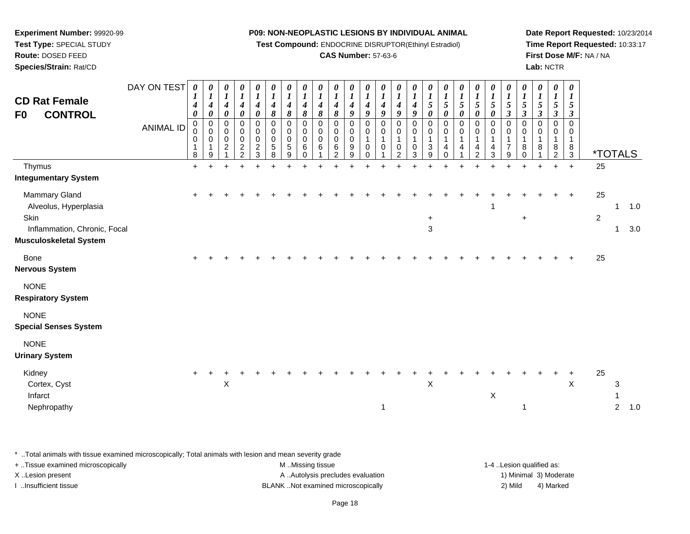**Test Compound:** ENDOCRINE DISRUPTOR(Ethinyl Estradiol)

# **CAS Number:** 57-63-6

**Date Report Requested:** 10/23/2014**Time Report Requested:** 10:33:17**First Dose M/F:** NA / NA**Lab:** NCTR

| <b>CD Rat Female</b><br><b>CONTROL</b><br>F <sub>0</sub><br>Thymus<br><b>Integumentary System</b>               | DAY ON TEST<br><b>ANIMAL ID</b> | 0<br>$\boldsymbol{l}$<br>$\boldsymbol{4}$<br>$\boldsymbol{\theta}$<br>$\mathbf 0$<br>0<br>0<br>$\mathbf{1}$<br>8<br>$+$ | 0<br>$\boldsymbol{l}$<br>$\boldsymbol{4}$<br>$\pmb{\theta}$<br>$\overline{\mathbf{0}}$<br>$\pmb{0}$<br>$\pmb{0}$<br>$\mathbf{1}$<br>$\boldsymbol{9}$ | 0<br>$\boldsymbol{l}$<br>$\boldsymbol{4}$<br>0<br>0<br>$\mathsf{O}$<br>$\mathbf 0$<br>$\overline{c}$<br>$\mathbf{1}$ | $\pmb{\theta}$<br>$\boldsymbol{l}$<br>$\boldsymbol{4}$<br>$\pmb{\theta}$<br>$\pmb{0}$<br>$\mathbf 0$<br>$\boldsymbol{0}$<br>$\frac{2}{2}$ | 0<br>$\boldsymbol{l}$<br>$\boldsymbol{4}$<br>$\boldsymbol{\theta}$<br>$\pmb{0}$<br>$\mathbf 0$<br>$\mathbf 0$<br>$\sqrt{2}$<br>$\mathbf{3}$ | 0<br>$\boldsymbol{l}$<br>$\boldsymbol{4}$<br>8<br>$\mathbf 0$<br>0<br>0<br>5<br>8 | 0<br>$\boldsymbol{l}$<br>$\boldsymbol{4}$<br>8<br>$\mathbf 0$<br>$\mathbf 0$<br>0<br>5<br>9 | 0<br>$\boldsymbol{l}$<br>$\boldsymbol{4}$<br>8<br>$\mathbf 0$<br>$\mathbf 0$<br>$\mathbf 0$<br>6<br>$\Omega$ | $\pmb{\theta}$<br>$\boldsymbol{l}$<br>$\boldsymbol{4}$<br>$\pmb{8}$<br>$\mathbf 0$<br>$\mathbf 0$<br>$\mathbf 0$<br>$\,6\,$ | 0<br>$\boldsymbol{l}$<br>$\boldsymbol{4}$<br>8<br>0<br>$\mathbf 0$<br>0<br>6<br>$\overline{2}$ | 0<br>$\boldsymbol{l}$<br>$\boldsymbol{4}$<br>9<br>$\pmb{0}$<br>$\pmb{0}$<br>$\pmb{0}$<br>9<br>9 | 0<br>$\boldsymbol{l}$<br>$\boldsymbol{4}$<br>9<br>$\pmb{0}$<br>$\pmb{0}$<br>$\mathbf{1}$<br>$\mathbf 0$<br>$\Omega$ | 0<br>$\boldsymbol{l}$<br>$\boldsymbol{4}$<br>9<br>$\mathbf 0$<br>$\mathbf 0$<br>$\mathbf{1}$<br>$\mathbf 0$ | 0<br>$\boldsymbol{l}$<br>$\boldsymbol{4}$<br>$\boldsymbol{g}$<br>$\mathbf 0$<br>0<br>$\overline{1}$<br>0<br>$\overline{2}$ | 0<br>$\boldsymbol{l}$<br>$\boldsymbol{4}$<br>9<br>$\mathbf 0$<br>0<br>1<br>$\Omega$<br>3 | $\boldsymbol{\theta}$<br>$\boldsymbol{l}$<br>$\mathfrak{s}$<br>$\pmb{\theta}$<br>$\mathbf 0$<br>$\pmb{0}$<br>1<br>$\ensuremath{\mathsf{3}}$<br>9 | 0<br>$\boldsymbol{l}$<br>$\mathfrak{s}$<br>$\boldsymbol{\theta}$<br>0<br>$\mathsf{O}\xspace$<br>$\mathbf{1}$<br>4<br>$\Omega$ | 0<br>$\boldsymbol{l}$<br>5<br>0<br>0<br>$\pmb{0}$<br>$\mathbf{1}$<br>$\overline{4}$ | 0<br>$\boldsymbol{I}$<br>$\mathfrak{s}$<br>$\pmb{\theta}$<br>$\pmb{0}$<br>$\mathsf 0$<br>$\mathbf{1}$<br>$\overline{4}$<br>$\overline{2}$ | $\pmb{\theta}$<br>$\boldsymbol{l}$<br>5<br>$\pmb{\theta}$<br>$\pmb{0}$<br>$\pmb{0}$<br>$\mathbf{1}$<br>$\overline{\mathbf{4}}$<br>$\mathfrak{S}$ | $\boldsymbol{\theta}$<br>$\boldsymbol{l}$<br>$\sqrt{5}$<br>$\mathfrak{z}$<br>$\mathbf 0$<br>$\mathbf 0$<br>$\mathbf{1}$<br>$\overline{7}$<br>9 | 0<br>$\boldsymbol{l}$<br>5<br>$\boldsymbol{\beta}$<br>$\mathbf 0$<br>$\mathbf 0$<br>1<br>8<br>$\mathbf 0$ | $\pmb{\theta}$<br>$\boldsymbol{l}$<br>$\overline{5}$<br>$\boldsymbol{\beta}$<br>$\mathbf 0$<br>$\Omega$<br>8 | 0<br>$\boldsymbol{I}$<br>5<br>$\overline{\mathbf{3}}$<br>$\mathbf 0$<br>0<br>$\mathbf{1}$<br>8<br>$\overline{2}$ | $\boldsymbol{\theta}$<br>$\boldsymbol{l}$<br>5<br>$\boldsymbol{\mathfrak{z}}$<br>$\mathbf 0$<br>0<br>$\mathbf{1}$<br>$\frac{8}{3}$<br>$+$ | 25                   | <i><b>*TOTALS</b></i> |            |
|-----------------------------------------------------------------------------------------------------------------|---------------------------------|-------------------------------------------------------------------------------------------------------------------------|------------------------------------------------------------------------------------------------------------------------------------------------------|----------------------------------------------------------------------------------------------------------------------|-------------------------------------------------------------------------------------------------------------------------------------------|---------------------------------------------------------------------------------------------------------------------------------------------|-----------------------------------------------------------------------------------|---------------------------------------------------------------------------------------------|--------------------------------------------------------------------------------------------------------------|-----------------------------------------------------------------------------------------------------------------------------|------------------------------------------------------------------------------------------------|-------------------------------------------------------------------------------------------------|---------------------------------------------------------------------------------------------------------------------|-------------------------------------------------------------------------------------------------------------|----------------------------------------------------------------------------------------------------------------------------|------------------------------------------------------------------------------------------|--------------------------------------------------------------------------------------------------------------------------------------------------|-------------------------------------------------------------------------------------------------------------------------------|-------------------------------------------------------------------------------------|-------------------------------------------------------------------------------------------------------------------------------------------|--------------------------------------------------------------------------------------------------------------------------------------------------|------------------------------------------------------------------------------------------------------------------------------------------------|-----------------------------------------------------------------------------------------------------------|--------------------------------------------------------------------------------------------------------------|------------------------------------------------------------------------------------------------------------------|-------------------------------------------------------------------------------------------------------------------------------------------|----------------------|-----------------------|------------|
| Mammary Gland<br>Alveolus, Hyperplasia<br>Skin<br>Inflammation, Chronic, Focal<br><b>Musculoskeletal System</b> |                                 |                                                                                                                         |                                                                                                                                                      |                                                                                                                      |                                                                                                                                           |                                                                                                                                             |                                                                                   |                                                                                             |                                                                                                              |                                                                                                                             |                                                                                                |                                                                                                 |                                                                                                                     |                                                                                                             |                                                                                                                            |                                                                                          | $\ddot{}$<br>$\mathbf{3}$                                                                                                                        |                                                                                                                               |                                                                                     |                                                                                                                                           | $\mathbf 1$                                                                                                                                      |                                                                                                                                                | $\ddot{}$                                                                                                 |                                                                                                              |                                                                                                                  | $\div$                                                                                                                                    | 25<br>$\overline{2}$ | 1<br>1                | 1.0<br>3.0 |
| <b>Bone</b><br><b>Nervous System</b><br><b>NONE</b><br><b>Respiratory System</b>                                |                                 |                                                                                                                         |                                                                                                                                                      |                                                                                                                      |                                                                                                                                           |                                                                                                                                             |                                                                                   |                                                                                             |                                                                                                              |                                                                                                                             |                                                                                                |                                                                                                 |                                                                                                                     |                                                                                                             |                                                                                                                            |                                                                                          |                                                                                                                                                  |                                                                                                                               |                                                                                     |                                                                                                                                           |                                                                                                                                                  |                                                                                                                                                |                                                                                                           |                                                                                                              |                                                                                                                  |                                                                                                                                           | 25                   |                       |            |
| <b>NONE</b><br><b>Special Senses System</b><br><b>NONE</b><br><b>Urinary System</b>                             |                                 |                                                                                                                         |                                                                                                                                                      |                                                                                                                      |                                                                                                                                           |                                                                                                                                             |                                                                                   |                                                                                             |                                                                                                              |                                                                                                                             |                                                                                                |                                                                                                 |                                                                                                                     |                                                                                                             |                                                                                                                            |                                                                                          |                                                                                                                                                  |                                                                                                                               |                                                                                     |                                                                                                                                           |                                                                                                                                                  |                                                                                                                                                |                                                                                                           |                                                                                                              |                                                                                                                  |                                                                                                                                           |                      |                       |            |
| Kidney<br>Cortex, Cyst<br>Infarct<br>Nephropathy                                                                |                                 | $\pm$                                                                                                                   | $\ddot{}$                                                                                                                                            | $\ddot{}$<br>$\mathsf X$                                                                                             |                                                                                                                                           |                                                                                                                                             |                                                                                   |                                                                                             |                                                                                                              |                                                                                                                             |                                                                                                |                                                                                                 |                                                                                                                     | $\mathbf{1}$                                                                                                |                                                                                                                            |                                                                                          | X                                                                                                                                                |                                                                                                                               |                                                                                     |                                                                                                                                           | $\pmb{\times}$                                                                                                                                   |                                                                                                                                                | 1                                                                                                         |                                                                                                              |                                                                                                                  | $\ddot{}$<br>$\mathsf X$                                                                                                                  | 25                   | 3<br>$\overline{2}$   | 1.0        |

\* ..Total animals with tissue examined microscopically; Total animals with lesion and mean severity grade

| + Tissue examined microscopically | M Missing tissue                  | 1-4 Lesion qualified as: |
|-----------------------------------|-----------------------------------|--------------------------|
| X Lesion present                  | A Autolysis precludes evaluation  | 1) Minimal 3) Moderate   |
| …Insufficient tissue              | BLANKNot examined microscopically | 2) Mild<br>4) Marked     |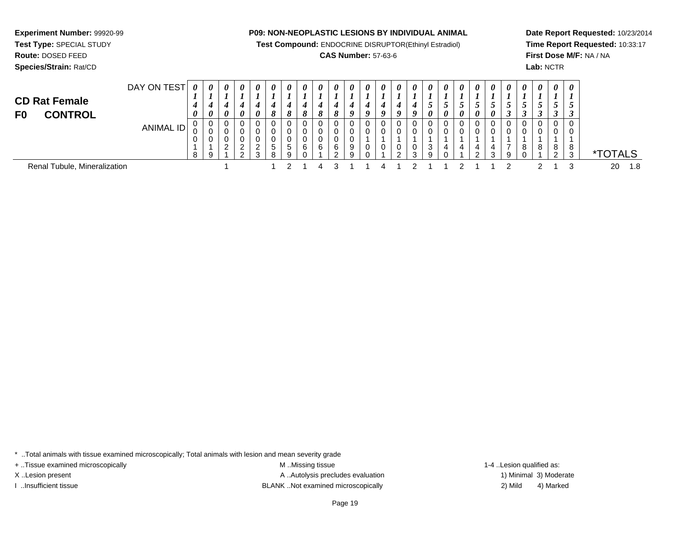**Test Compound:** ENDOCRINE DISRUPTOR(Ethinyl Estradiol)

# **CAS Number:** 57-63-6

**Date Report Requested:** 10/23/2014**Time Report Requested:** 10:33:17**First Dose M/F:** NA / NA**Lab:** NCTR

| <b>CD Rat Female</b><br><b>CONTROL</b><br>F <sub>0</sub> | DAY ON TEST | $\boldsymbol{\theta}$<br>$\theta$ | $\boldsymbol{\theta}$<br>$\boldsymbol{\theta}$ | 0<br>$\theta$           | 0<br>$\boldsymbol{\theta}$ | 0<br>0                | 0<br>8 | 0<br>8 | 0<br>$\mathbf o$ | 0<br>$\mathbf{o}$ | 0      | 0<br>o | 0<br>0 | 0<br>o | $\boldsymbol{\theta}$<br>0 | 0<br>$\boldsymbol{o}$ | $\boldsymbol{\theta}$<br>ູ<br>0 | 0<br>$\theta$ | $\boldsymbol{\theta}$<br>$\boldsymbol{\theta}$ | 0<br>$\boldsymbol{\theta}$ | 0<br>$\boldsymbol{\theta}$ | 0<br>I | $\boldsymbol{\theta}$ | $\boldsymbol{\theta}$<br>ັ | $\boldsymbol{\theta}$<br>$\mathcal{L}$<br>ູ | $\boldsymbol{\theta}$ |             |     |
|----------------------------------------------------------|-------------|-----------------------------------|------------------------------------------------|-------------------------|----------------------------|-----------------------|--------|--------|------------------|-------------------|--------|--------|--------|--------|----------------------------|-----------------------|---------------------------------|---------------|------------------------------------------------|----------------------------|----------------------------|--------|-----------------------|----------------------------|---------------------------------------------|-----------------------|-------------|-----|
|                                                          | ANIMAL ID   | 0<br>0<br>0<br>8                  | $\mathbf 0$<br>◡<br>v<br>Q                     | 0<br>0<br>ົ<br><u>_</u> | 0<br>າ<br><u>_</u><br>റ    | v<br>ົ<br>$\sim$<br>ົ | b.     |        | 0.<br>6          | 0<br>6            | 6<br>ົ | 9      |        | U      | ົ                          | 0<br>0<br>0<br>3      | U<br>3<br>9                     |               | 4                                              | 4<br>$\sim$                | ີ                          | q      | 8                     | 0<br>8                     | 8                                           | 0<br>0<br>8<br>3      | <b>TALS</b> |     |
| Renal Tubule, Mineralization                             |             |                                   |                                                |                         |                            |                       |        |        |                  |                   |        |        |        |        |                            |                       |                                 |               |                                                |                            |                            |        |                       |                            |                                             |                       | 20          | 1.8 |

\* ..Total animals with tissue examined microscopically; Total animals with lesion and mean severity grade

+ ..Tissue examined microscopically examined microscopically examined as:  $M$  ..Missing tissue 1-4 ..Lesion qualified as:

**Experiment Number:** 99920-99**Test Type:** SPECIAL STUDY**Route:** DOSED FEED**Species/Strain:** Rat/CD

X..Lesion present **A ..Autolysis precludes evaluation** A ..Autolysis precludes evaluation 1) Minimal 3) Moderate I ..Insufficient tissue BLANK ..Not examined microscopically 2) Mild 4) Marked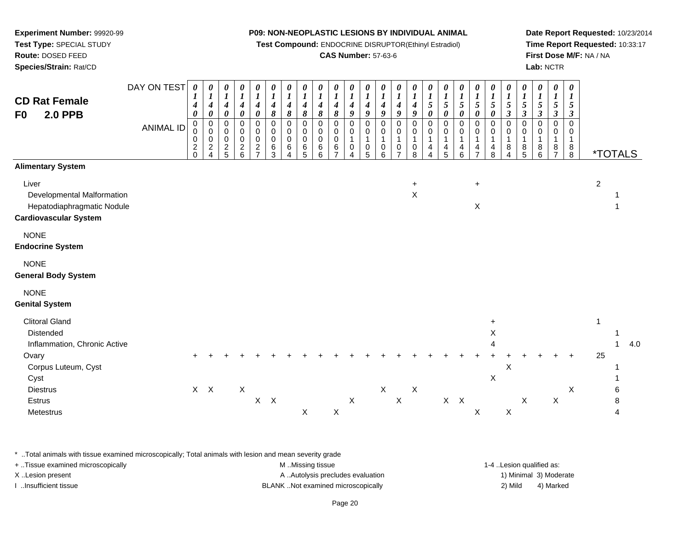**Test Compound:** ENDOCRINE DISRUPTOR(Ethinyl Estradiol)

# **CAS Number:** 57-63-6

**Date Report Requested:** 10/23/2014**Time Report Requested:** 10:33:17**First Dose M/F:** NA / NA**Lab:** NCTR

| <b>CD Rat Female</b><br><b>2.0 PPB</b><br>F <sub>0</sub>                                                                                             | DAY ON TEST<br><b>ANIMAL ID</b> | 0<br>1<br>4<br>0<br>$\mathbf 0$<br>0<br>0<br>$\overline{c}$<br>$\Omega$ | $\boldsymbol{\theta}$<br>$\boldsymbol{l}$<br>$\boldsymbol{4}$<br>$\pmb{\theta}$<br>$\pmb{0}$<br>$\mathbf 0$<br>$\pmb{0}$<br>$\sqrt{2}$<br>$\Delta$ | 0<br>$\boldsymbol{l}$<br>$\boldsymbol{4}$<br>$\pmb{\theta}$<br>$\pmb{0}$<br>0<br>0<br>$\frac{2}{5}$ | 0<br>$\boldsymbol{l}$<br>$\boldsymbol{4}$<br>$\pmb{\theta}$<br>$\mathbf 0$<br>$\pmb{0}$<br>$\pmb{0}$<br>$\frac{2}{6}$ | 0<br>$\boldsymbol{l}$<br>$\boldsymbol{4}$<br>$\pmb{\theta}$<br>0<br>0<br>$\pmb{0}$<br>$\overline{c}$<br>$\overline{7}$ | 0<br>$\boldsymbol{l}$<br>$\boldsymbol{4}$<br>$\pmb{8}$<br>0<br>$\mathbf 0$<br>$\mathbf 0$<br>6<br>3 | 0<br>$\boldsymbol{l}$<br>$\boldsymbol{4}$<br>8<br>$\mathbf 0$<br>$\mathbf 0$<br>0<br>6<br>4 | $\boldsymbol{\theta}$<br>$\boldsymbol{l}$<br>$\boldsymbol{4}$<br>$\pmb{8}$<br>$\mathbf 0$<br>0<br>$\mathbf 0$<br>6<br>5 | 0<br>$\boldsymbol{l}$<br>$\boldsymbol{4}$<br>$\boldsymbol{\delta}$<br>$\mathbf 0$<br>$\mathbf 0$<br>$\pmb{0}$<br>$\,6$<br>6 | $\frac{\boldsymbol{0}}{\boldsymbol{1}}$<br>$\boldsymbol{4}$<br>8<br>$\pmb{0}$<br>$\mathsf 0$<br>$\pmb{0}$<br>6 | 0<br>$\boldsymbol{l}$<br>$\boldsymbol{4}$<br>$\boldsymbol{g}$<br>0<br>0<br>$\mathbf{1}$<br>$\mathbf 0$<br>4 | 0<br>$\boldsymbol{l}$<br>$\boldsymbol{4}$<br>9<br>$\pmb{0}$<br>0<br>$\mathbf{1}$<br>$\pmb{0}$<br>5 | 0<br>$\boldsymbol{l}$<br>4<br>9<br>$\mathbf 0$<br>0<br>$\mathbf{1}$<br>0<br>6 | 0<br>$\boldsymbol{l}$<br>$\boldsymbol{4}$<br>9<br>$\mathbf 0$<br>0<br>$\mathbf{1}$<br>$\pmb{0}$<br>$\overline{7}$ | 0<br>$\boldsymbol{l}$<br>$\boldsymbol{4}$<br>9<br>$\mathbf 0$<br>0<br>$\mathbf{1}$<br>0<br>8 | $\boldsymbol{\theta}$<br>$\boldsymbol{l}$<br>5<br>$\boldsymbol{\theta}$<br>$\mathbf 0$<br>$\Omega$<br>$\mathbf 1$<br>4 | 0<br>$\boldsymbol{l}$<br>$\mathfrak{s}$<br>$\pmb{\theta}$<br>$\mathbf 0$<br>$\pmb{0}$<br>1<br>$\overline{\mathbf{4}}$<br>5 | 0<br>$\boldsymbol{l}$<br>$\mathfrak{H}$<br>0<br>0<br>0<br>1<br>4<br>6 | 0<br>$\boldsymbol{l}$<br>5<br>0<br>0<br>$\mathbf 0$<br>1<br>$\overline{4}$ | 0<br>$\boldsymbol{l}$<br>$\mathfrak{I}$<br>$\boldsymbol{\theta}$<br>$\pmb{0}$<br>$\mathbf 0$<br>$\mathbf{1}$<br>4<br>8 | 0<br>$\boldsymbol{l}$<br>5<br>$\mathfrak{z}$<br>$\mathbf 0$<br>0<br>$\mathbf{1}$<br>8<br>4 | 0<br>$\boldsymbol{l}$<br>$\sqrt{5}$<br>$\mathfrak{z}$<br>$\Omega$<br>0<br>$\mathbf{1}$<br>8<br>5 | 0<br>$\boldsymbol{l}$<br>5<br>$\boldsymbol{\beta}$<br>$\mathbf 0$<br>0<br>1<br>8<br>6 | 0<br>$\boldsymbol{l}$<br>$\overline{5}$<br>$\mathfrak{z}$<br>$\Omega$<br>0<br>1<br>8 | 0<br>$\boldsymbol{l}$<br>5<br>$\boldsymbol{\beta}$<br>$\mathbf 0$<br>0<br>1<br>$_{8}^8$ |                    | <i><b>*TOTALS</b></i> |     |
|------------------------------------------------------------------------------------------------------------------------------------------------------|---------------------------------|-------------------------------------------------------------------------|----------------------------------------------------------------------------------------------------------------------------------------------------|-----------------------------------------------------------------------------------------------------|-----------------------------------------------------------------------------------------------------------------------|------------------------------------------------------------------------------------------------------------------------|-----------------------------------------------------------------------------------------------------|---------------------------------------------------------------------------------------------|-------------------------------------------------------------------------------------------------------------------------|-----------------------------------------------------------------------------------------------------------------------------|----------------------------------------------------------------------------------------------------------------|-------------------------------------------------------------------------------------------------------------|----------------------------------------------------------------------------------------------------|-------------------------------------------------------------------------------|-------------------------------------------------------------------------------------------------------------------|----------------------------------------------------------------------------------------------|------------------------------------------------------------------------------------------------------------------------|----------------------------------------------------------------------------------------------------------------------------|-----------------------------------------------------------------------|----------------------------------------------------------------------------|------------------------------------------------------------------------------------------------------------------------|--------------------------------------------------------------------------------------------|--------------------------------------------------------------------------------------------------|---------------------------------------------------------------------------------------|--------------------------------------------------------------------------------------|-----------------------------------------------------------------------------------------|--------------------|-----------------------|-----|
| <b>Alimentary System</b><br>Liver<br>Developmental Malformation<br>Hepatodiaphragmatic Nodule<br><b>Cardiovascular System</b>                        |                                 |                                                                         |                                                                                                                                                    |                                                                                                     |                                                                                                                       |                                                                                                                        |                                                                                                     |                                                                                             |                                                                                                                         |                                                                                                                             |                                                                                                                |                                                                                                             |                                                                                                    |                                                                               |                                                                                                                   | $\ddot{}$<br>$\mathsf X$                                                                     |                                                                                                                        |                                                                                                                            |                                                                       | $+$<br>X                                                                   |                                                                                                                        |                                                                                            |                                                                                                  |                                                                                       |                                                                                      |                                                                                         | $\overline{2}$     | 1                     |     |
| <b>NONE</b><br><b>Endocrine System</b>                                                                                                               |                                 |                                                                         |                                                                                                                                                    |                                                                                                     |                                                                                                                       |                                                                                                                        |                                                                                                     |                                                                                             |                                                                                                                         |                                                                                                                             |                                                                                                                |                                                                                                             |                                                                                                    |                                                                               |                                                                                                                   |                                                                                              |                                                                                                                        |                                                                                                                            |                                                                       |                                                                            |                                                                                                                        |                                                                                            |                                                                                                  |                                                                                       |                                                                                      |                                                                                         |                    |                       |     |
| <b>NONE</b><br><b>General Body System</b>                                                                                                            |                                 |                                                                         |                                                                                                                                                    |                                                                                                     |                                                                                                                       |                                                                                                                        |                                                                                                     |                                                                                             |                                                                                                                         |                                                                                                                             |                                                                                                                |                                                                                                             |                                                                                                    |                                                                               |                                                                                                                   |                                                                                              |                                                                                                                        |                                                                                                                            |                                                                       |                                                                            |                                                                                                                        |                                                                                            |                                                                                                  |                                                                                       |                                                                                      |                                                                                         |                    |                       |     |
| <b>NONE</b><br><b>Genital System</b>                                                                                                                 |                                 |                                                                         |                                                                                                                                                    |                                                                                                     |                                                                                                                       |                                                                                                                        |                                                                                                     |                                                                                             |                                                                                                                         |                                                                                                                             |                                                                                                                |                                                                                                             |                                                                                                    |                                                                               |                                                                                                                   |                                                                                              |                                                                                                                        |                                                                                                                            |                                                                       |                                                                            |                                                                                                                        |                                                                                            |                                                                                                  |                                                                                       |                                                                                      |                                                                                         |                    |                       |     |
| <b>Clitoral Gland</b><br>Distended<br>Inflammation, Chronic Active<br>Ovary<br>Corpus Luteum, Cyst<br>Cyst<br><b>Diestrus</b><br>Estrus<br>Metestrus |                                 |                                                                         | $X$ $X$                                                                                                                                            |                                                                                                     | $\mathsf X$                                                                                                           | $X$ $X$                                                                                                                |                                                                                                     |                                                                                             | $\boldsymbol{\mathsf{X}}$                                                                                               |                                                                                                                             | X                                                                                                              | $\mathsf X$                                                                                                 |                                                                                                    | $\mathsf X$                                                                   | $\mathsf X$                                                                                                       | $\boldsymbol{\mathsf{X}}$                                                                    |                                                                                                                        | $X$ $X$                                                                                                                    |                                                                       | X                                                                          | X<br>Δ<br>$\mathsf X$                                                                                                  | X<br>$\boldsymbol{\mathsf{X}}$                                                             | $\mathsf X$                                                                                      |                                                                                       | $\mathsf X$                                                                          | X                                                                                       | $\mathbf{1}$<br>25 | 1<br>6<br>8<br>4      | 4.0 |

\* ..Total animals with tissue examined microscopically; Total animals with lesion and mean severity grade

| + Tissue examined microscopically | M Missing tissue                   | 1-4 Lesion qualified as: |                        |
|-----------------------------------|------------------------------------|--------------------------|------------------------|
| X Lesion present                  | A Autolysis precludes evaluation   |                          | 1) Minimal 3) Moderate |
| Insufficient tissue               | BLANK Not examined microscopically | 2) Mild                  | 4) Marked              |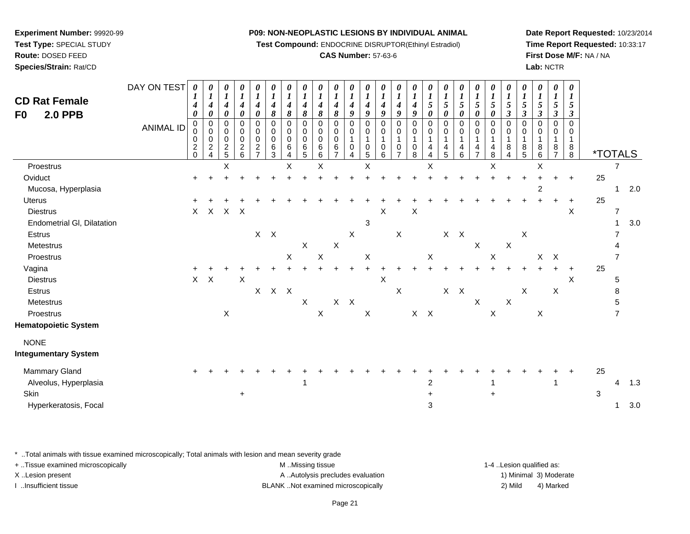**Test Compound:** ENDOCRINE DISRUPTOR(Ethinyl Estradiol)

# **CAS Number:** 57-63-6

**Date Report Requested:** 10/23/2014**Time Report Requested:** 10:33:17**First Dose M/F:** NA / NA**Lab:** NCTR

| <b>CD Rat Female</b><br><b>2.0 PPB</b><br>F0                              | DAY ON TEST<br><b>ANIMAL ID</b> | 0<br>4<br>$\boldsymbol{\theta}$<br>$\mathbf 0$<br>0<br>$\pmb{0}$<br>$\frac{2}{0}$ | 0<br>$\boldsymbol{l}$<br>4<br>$\boldsymbol{\theta}$<br>0<br>$\mathbf 0$<br>$\mathbf 0$<br>$\frac{2}{4}$ | 0<br>$\boldsymbol{l}$<br>$\boldsymbol{4}$<br>0<br>0<br>0<br>$\pmb{0}$<br>$\frac{2}{5}$ | 0<br>$\boldsymbol{l}$<br>$\boldsymbol{4}$<br>$\boldsymbol{\theta}$<br>$\mathbf 0$<br>0<br>$\mathbf 0$<br>$\begin{array}{c} 2 \\ 6 \end{array}$ | 0<br>$\boldsymbol{l}$<br>4<br>0<br>$\mathbf 0$<br>0<br>$\pmb{0}$<br>$\boldsymbol{2}$<br>$\overline{7}$ | 0<br>$\boldsymbol{l}$<br>$\boldsymbol{4}$<br>8<br>0<br>0<br>0<br>6<br>3 | 0<br>$\boldsymbol{l}$<br>$\boldsymbol{4}$<br>8<br>0<br>0<br>0<br>6<br>$\overline{4}$ | $\boldsymbol{\theta}$<br>$\boldsymbol{l}$<br>$\boldsymbol{4}$<br>8<br>0<br>0<br>0<br>6<br>5 | $\boldsymbol{\theta}$<br>$\boldsymbol{l}$<br>4<br>8<br>0<br>0<br>$\pmb{0}$<br>$\,6\,$<br>6 | $\boldsymbol{\theta}$<br>$\boldsymbol{l}$<br>4<br>8<br>0<br>0<br>0<br>6<br>$\overline{7}$ | $\boldsymbol{\theta}$<br>$\boldsymbol{l}$<br>4<br>9<br>0<br>0<br>$\mathbf{1}$<br>0<br>4 | U<br>9<br>$\Omega$<br>0<br>-1<br>0<br>5 | $\boldsymbol{\theta}$<br>$\boldsymbol{l}$<br>$\boldsymbol{4}$<br>9<br>$\Omega$<br>0<br>1<br>0<br>6 | $\theta$<br>$\boldsymbol{l}$<br>4<br>9<br>$\Omega$<br>0<br>-1<br>0<br>$\overline{7}$ | $\bm{l}$<br>4<br>9<br>$\Omega$<br>0<br>1<br>0<br>8 | U<br>$\boldsymbol{l}$<br>5<br>0<br>0<br>0<br>4<br>4 | 0<br>$\boldsymbol{l}$<br>5<br>0<br>0<br>0<br>$\mathbf{1}$<br>4<br>5 | 0<br>$\boldsymbol{l}$<br>$\sqrt{5}$<br>0<br>0<br>0<br>1<br>4<br>6 | $\boldsymbol{\theta}$<br>$\boldsymbol{l}$<br>5<br>0<br>$\mathbf 0$<br>0<br>$\mathbf{1}$<br>4<br>$\overline{7}$ | 0<br>$\boldsymbol{l}$<br>5<br>0<br>$\mathbf 0$<br>$\mathbf 0$<br>1<br>4<br>8 | $\boldsymbol{\theta}$<br>$\boldsymbol{l}$<br>5<br>$\mathbf{3}$<br>$\Omega$<br>$\Omega$<br>8<br>4 | 0<br>$\boldsymbol{l}$<br>5<br>3<br>0<br>0<br>8<br>5 | $\boldsymbol{\theta}$<br>$\boldsymbol{l}$<br>$\mathfrak{s}$<br>$\boldsymbol{\beta}$<br>0<br>0<br>8<br>6 | 0<br>$\boldsymbol{l}$<br>$\sqrt{5}$<br>$\mathfrak{z}$<br>$\mathbf 0$<br>0<br>1<br>8<br>$\overline{7}$ | 0<br>$\bm{l}$<br>5<br>$\mathbf{3}$<br>0<br>0<br>$\mathbf{1}$<br>$_{8}^8$ |                  | <i><b>*TOTALS</b></i>    |            |
|---------------------------------------------------------------------------|---------------------------------|-----------------------------------------------------------------------------------|---------------------------------------------------------------------------------------------------------|----------------------------------------------------------------------------------------|------------------------------------------------------------------------------------------------------------------------------------------------|--------------------------------------------------------------------------------------------------------|-------------------------------------------------------------------------|--------------------------------------------------------------------------------------|---------------------------------------------------------------------------------------------|--------------------------------------------------------------------------------------------|-------------------------------------------------------------------------------------------|-----------------------------------------------------------------------------------------|-----------------------------------------|----------------------------------------------------------------------------------------------------|--------------------------------------------------------------------------------------|----------------------------------------------------|-----------------------------------------------------|---------------------------------------------------------------------|-------------------------------------------------------------------|----------------------------------------------------------------------------------------------------------------|------------------------------------------------------------------------------|--------------------------------------------------------------------------------------------------|-----------------------------------------------------|---------------------------------------------------------------------------------------------------------|-------------------------------------------------------------------------------------------------------|--------------------------------------------------------------------------|------------------|--------------------------|------------|
| Proestrus                                                                 |                                 |                                                                                   |                                                                                                         | X                                                                                      |                                                                                                                                                |                                                                                                        |                                                                         | X                                                                                    |                                                                                             | X                                                                                          |                                                                                           |                                                                                         | $\mathsf X$                             |                                                                                                    |                                                                                      |                                                    | Χ                                                   |                                                                     |                                                                   |                                                                                                                | $\sf X$                                                                      |                                                                                                  |                                                     | Χ                                                                                                       |                                                                                                       |                                                                          |                  | 7                        |            |
| Oviduct<br>Mucosa, Hyperplasia                                            |                                 |                                                                                   |                                                                                                         |                                                                                        |                                                                                                                                                |                                                                                                        |                                                                         |                                                                                      |                                                                                             |                                                                                            |                                                                                           |                                                                                         |                                         |                                                                                                    |                                                                                      |                                                    |                                                     |                                                                     |                                                                   |                                                                                                                |                                                                              |                                                                                                  |                                                     | $\overline{\mathbf{c}}$                                                                                 |                                                                                                       | $\ddot{}$                                                                | 25               | -1                       | $2.0\,$    |
| <b>Uterus</b><br><b>Diestrus</b><br>Endometrial GI, Dilatation            |                                 | X                                                                                 | $\boldsymbol{\mathsf{X}}$                                                                               | X X                                                                                    |                                                                                                                                                |                                                                                                        |                                                                         |                                                                                      |                                                                                             |                                                                                            |                                                                                           |                                                                                         | 3                                       | Χ                                                                                                  |                                                                                      | Χ                                                  |                                                     |                                                                     |                                                                   |                                                                                                                |                                                                              |                                                                                                  |                                                     |                                                                                                         |                                                                                                       | X                                                                        | 25               | $\overline{7}$<br>-1     | 3.0        |
| Estrus<br>Metestrus                                                       |                                 |                                                                                   |                                                                                                         |                                                                                        |                                                                                                                                                |                                                                                                        | $X$ $X$                                                                 |                                                                                      | $\mathsf X$                                                                                 |                                                                                            | $\mathsf X$                                                                               | X                                                                                       |                                         |                                                                                                    | $\mathsf X$                                                                          |                                                    |                                                     | $X$ $X$                                                             |                                                                   | $\boldsymbol{\mathsf{X}}$                                                                                      |                                                                              | $\boldsymbol{\mathsf{X}}$                                                                        | X                                                   |                                                                                                         |                                                                                                       |                                                                          |                  |                          |            |
| Proestrus<br>Vagina<br><b>Diestrus</b>                                    |                                 |                                                                                   | $X$ $X$                                                                                                 |                                                                                        | $\times$                                                                                                                                       |                                                                                                        |                                                                         | X                                                                                    |                                                                                             | $\sf X$                                                                                    |                                                                                           |                                                                                         | $\boldsymbol{\mathsf{X}}$               | X                                                                                                  |                                                                                      |                                                    | $\mathsf{X}$                                        |                                                                     |                                                                   |                                                                                                                | $\mathsf X$                                                                  |                                                                                                  |                                                     | $X$ $X$                                                                                                 |                                                                                                       | X                                                                        | 25               | 5                        |            |
| Estrus<br>Metestrus<br>Proestrus                                          |                                 |                                                                                   |                                                                                                         | X                                                                                      |                                                                                                                                                | $X -$                                                                                                  | $X$ $X$                                                                 |                                                                                      | $\mathsf X$                                                                                 | $\boldsymbol{\mathsf{X}}$                                                                  |                                                                                           | $X$ $X$                                                                                 | $\mathsf X$                             |                                                                                                    | $\mathsf X$                                                                          |                                                    | $X$ $X$                                             | $X$ $X$                                                             |                                                                   | $\mathsf X$                                                                                                    | $\pmb{\times}$                                                               | $\mathsf X$                                                                                      | $\mathsf X$                                         | $\mathsf X$                                                                                             | X                                                                                                     |                                                                          |                  | 8<br>5<br>$\overline{7}$ |            |
| <b>Hematopoietic System</b><br><b>NONE</b><br><b>Integumentary System</b> |                                 |                                                                                   |                                                                                                         |                                                                                        |                                                                                                                                                |                                                                                                        |                                                                         |                                                                                      |                                                                                             |                                                                                            |                                                                                           |                                                                                         |                                         |                                                                                                    |                                                                                      |                                                    |                                                     |                                                                     |                                                                   |                                                                                                                |                                                                              |                                                                                                  |                                                     |                                                                                                         |                                                                                                       |                                                                          |                  |                          |            |
| Mammary Gland<br>Alveolus, Hyperplasia<br>Skin<br>Hyperkeratosis, Focal   |                                 |                                                                                   |                                                                                                         |                                                                                        | $\ddot{}$                                                                                                                                      |                                                                                                        |                                                                         |                                                                                      | 1                                                                                           |                                                                                            |                                                                                           |                                                                                         |                                         |                                                                                                    |                                                                                      |                                                    | 2<br>3                                              |                                                                     |                                                                   |                                                                                                                | $\ddot{}$                                                                    |                                                                                                  |                                                     |                                                                                                         | 1                                                                                                     |                                                                          | 25<br>$\sqrt{3}$ | 4                        | 1.3<br>3.0 |

\* ..Total animals with tissue examined microscopically; Total animals with lesion and mean severity grade

| + Tissue examined microscopically | M Missing tissue                   | 1-4 Lesion qualified as: |
|-----------------------------------|------------------------------------|--------------------------|
| X Lesion present                  | A Autolysis precludes evaluation   | 1) Minimal 3) Moderate   |
| Insufficient tissue               | BLANK Not examined microscopically | 4) Marked<br>2) Mild     |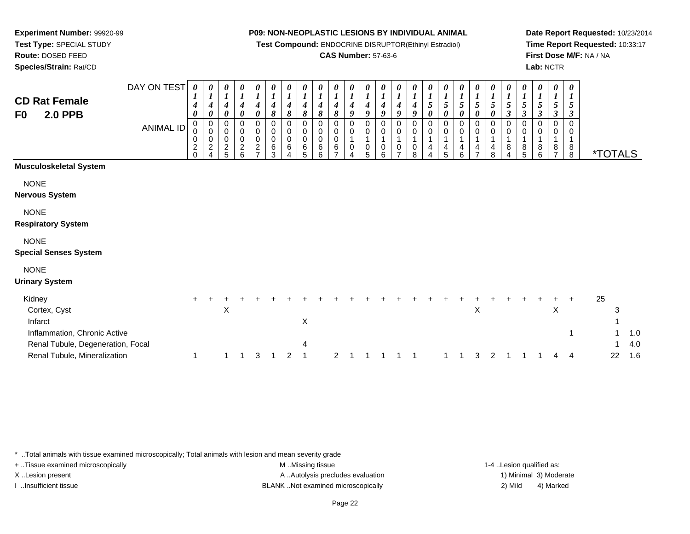**Test Compound:** ENDOCRINE DISRUPTOR(Ethinyl Estradiol)

# **CAS Number:** 57-63-6

**Date Report Requested:** 10/23/2014**Time Report Requested:** 10:33:17**First Dose M/F:** NA / NA**Lab:** NCTR

| <b>CD Rat Female</b><br>F0<br><b>2.0 PPB</b>                                                                                           | DAY ON TEST<br>ANIMAL ID | 0<br>4<br>0<br>$\mathbf 0$<br>0<br>$\boldsymbol{0}$<br>$\boldsymbol{2}$<br>$\Omega$ | 0<br>$\boldsymbol{4}$<br>0<br>0<br>0<br>0<br>$\overline{c}$ | 0<br>$\boldsymbol{l}$<br>$\boldsymbol{4}$<br>0<br>0<br>$\mathbf 0$<br>$\pmb{0}$<br>$\overline{c}$<br>5 | 0<br>$\boldsymbol{l}$<br>$\boldsymbol{4}$<br>0<br>0<br>$\pmb{0}$<br>$\pmb{0}$<br>$\boldsymbol{2}$<br>6 | 0<br>1<br>4<br>0<br>0<br>$\mathbf 0$<br>$\pmb{0}$<br>$\overline{2}$ | 0<br>$\boldsymbol{4}$<br>8<br>0<br>0<br>0<br>6<br>3 | 0<br>$\boldsymbol{l}$<br>$\boldsymbol{4}$<br>8<br>0<br>0<br>0<br>6 | 0<br>$\boldsymbol{l}$<br>4<br>8<br>$\Omega$<br>0<br>0<br>6<br>5 | 0<br>4<br>8<br>0<br>0<br>0<br>6<br>6 | 0<br>$\boldsymbol{l}$<br>$\boldsymbol{4}$<br>8<br>0<br>$\pmb{0}$<br>$\pmb{0}$<br>6 | 0<br>1<br>$\boldsymbol{4}$<br>9<br>0<br>0<br>1<br>0<br>4 | 0<br>$\boldsymbol{l}$<br>$\boldsymbol{4}$<br>9<br>$\Omega$<br>$\mathbf 0$<br>$\mathbf 1$<br>0<br>5 | 0<br>4<br>9<br>0<br>$\mathbf 0$<br>1<br>0<br>6 | 0<br>$\boldsymbol{l}$<br>$\boldsymbol{4}$<br>9<br>0<br>0<br>1<br>0 | 0<br>$\boldsymbol{l}$<br>$\boldsymbol{4}$<br>9<br>0<br>$\mathbf 0$<br>0<br>8 | $\boldsymbol{\theta}$<br>$\boldsymbol{l}$<br>$\mathfrak{s}$<br>$\boldsymbol{\theta}$<br>0<br>0<br>1<br>4 | 0<br>$\boldsymbol{l}$<br>5<br>$\pmb{\theta}$<br>0<br>$\mathbf 0$<br>4<br>5 | 0<br>$\boldsymbol{l}$<br>5<br>0<br>0<br>0<br>4<br>6 | 0<br>$\boldsymbol{l}$<br>5<br>0<br>0<br>0<br>4 | $\boldsymbol{\theta}$<br>$\boldsymbol{l}$<br>$\mathfrak{S}$<br>$\boldsymbol{\theta}$<br>0<br>$\pmb{0}$<br>$\mathbf{1}$<br>4<br>8 | 0<br>$\boldsymbol{l}$<br>5<br>$\boldsymbol{\beta}$<br>0<br>$\pmb{0}$<br>$\mathbf{1}$<br>8<br>4 | 0<br>$\boldsymbol{l}$<br>$\mathfrak{s}$<br>$\mathbf{3}$<br>0<br>0<br>$\mathbf{1}$<br>8<br>5 | 0<br>$\boldsymbol{l}$<br>5<br>$\boldsymbol{\beta}$<br>0<br>0<br>8<br>6 | 0<br>$\boldsymbol{l}$<br>5<br>$\boldsymbol{\beta}$<br>$\Omega$<br>0<br>8 | 0<br>$\boldsymbol{l}$<br>5<br>3<br>$\mathbf 0$<br>0<br>1<br>8<br>8 |    | <i><b>*TOTALS</b></i> |                   |
|----------------------------------------------------------------------------------------------------------------------------------------|--------------------------|-------------------------------------------------------------------------------------|-------------------------------------------------------------|--------------------------------------------------------------------------------------------------------|--------------------------------------------------------------------------------------------------------|---------------------------------------------------------------------|-----------------------------------------------------|--------------------------------------------------------------------|-----------------------------------------------------------------|--------------------------------------|------------------------------------------------------------------------------------|----------------------------------------------------------|----------------------------------------------------------------------------------------------------|------------------------------------------------|--------------------------------------------------------------------|------------------------------------------------------------------------------|----------------------------------------------------------------------------------------------------------|----------------------------------------------------------------------------|-----------------------------------------------------|------------------------------------------------|----------------------------------------------------------------------------------------------------------------------------------|------------------------------------------------------------------------------------------------|---------------------------------------------------------------------------------------------|------------------------------------------------------------------------|--------------------------------------------------------------------------|--------------------------------------------------------------------|----|-----------------------|-------------------|
| Musculoskeletal System                                                                                                                 |                          |                                                                                     |                                                             |                                                                                                        |                                                                                                        |                                                                     |                                                     |                                                                    |                                                                 |                                      |                                                                                    |                                                          |                                                                                                    |                                                |                                                                    |                                                                              |                                                                                                          |                                                                            |                                                     |                                                |                                                                                                                                  |                                                                                                |                                                                                             |                                                                        |                                                                          |                                                                    |    |                       |                   |
| <b>NONE</b><br>Nervous System                                                                                                          |                          |                                                                                     |                                                             |                                                                                                        |                                                                                                        |                                                                     |                                                     |                                                                    |                                                                 |                                      |                                                                                    |                                                          |                                                                                                    |                                                |                                                                    |                                                                              |                                                                                                          |                                                                            |                                                     |                                                |                                                                                                                                  |                                                                                                |                                                                                             |                                                                        |                                                                          |                                                                    |    |                       |                   |
| <b>NONE</b><br><b>Respiratory System</b>                                                                                               |                          |                                                                                     |                                                             |                                                                                                        |                                                                                                        |                                                                     |                                                     |                                                                    |                                                                 |                                      |                                                                                    |                                                          |                                                                                                    |                                                |                                                                    |                                                                              |                                                                                                          |                                                                            |                                                     |                                                |                                                                                                                                  |                                                                                                |                                                                                             |                                                                        |                                                                          |                                                                    |    |                       |                   |
| <b>NONE</b><br><b>Special Senses System</b>                                                                                            |                          |                                                                                     |                                                             |                                                                                                        |                                                                                                        |                                                                     |                                                     |                                                                    |                                                                 |                                      |                                                                                    |                                                          |                                                                                                    |                                                |                                                                    |                                                                              |                                                                                                          |                                                                            |                                                     |                                                |                                                                                                                                  |                                                                                                |                                                                                             |                                                                        |                                                                          |                                                                    |    |                       |                   |
| <b>NONE</b><br><b>Urinary System</b>                                                                                                   |                          |                                                                                     |                                                             |                                                                                                        |                                                                                                        |                                                                     |                                                     |                                                                    |                                                                 |                                      |                                                                                    |                                                          |                                                                                                    |                                                |                                                                    |                                                                              |                                                                                                          |                                                                            |                                                     |                                                |                                                                                                                                  |                                                                                                |                                                                                             |                                                                        |                                                                          |                                                                    |    |                       |                   |
| Kidney<br>Cortex, Cyst<br>Infarct<br>Inflammation, Chronic Active<br>Renal Tubule, Degeneration, Focal<br>Renal Tubule, Mineralization |                          | $+$<br>$\mathbf{1}$                                                                 |                                                             | Χ<br>1                                                                                                 | 1                                                                                                      | 3                                                                   |                                                     | 2                                                                  | $\boldsymbol{\mathsf{X}}$<br>4<br>-1                            |                                      | 2                                                                                  |                                                          |                                                                                                    |                                                |                                                                    |                                                                              |                                                                                                          |                                                                            | 1                                                   | X<br>3                                         | 2                                                                                                                                |                                                                                                |                                                                                             |                                                                        | X                                                                        | ÷<br>$\mathbf 1$<br>4                                              | 25 | 3<br>22               | 1.0<br>4.0<br>1.6 |
|                                                                                                                                        |                          |                                                                                     |                                                             |                                                                                                        |                                                                                                        |                                                                     |                                                     |                                                                    |                                                                 |                                      |                                                                                    |                                                          |                                                                                                    |                                                |                                                                    |                                                                              |                                                                                                          |                                                                            |                                                     |                                                |                                                                                                                                  |                                                                                                |                                                                                             |                                                                        |                                                                          |                                                                    |    |                       |                   |

\* ..Total animals with tissue examined microscopically; Total animals with lesion and mean severity grade

**Experiment Number:** 99920-99**Test Type:** SPECIAL STUDY**Route:** DOSED FEED**Species/Strain:** Rat/CD

+ ..Tissue examined microscopically examined microscopically examined as:  $M$  ..Missing tissue 1-4 ..Lesion qualified as: X..Lesion present **A ..Autolysis precludes evaluation** A ..Autolysis precludes evaluation 1) Minimal 3) Moderate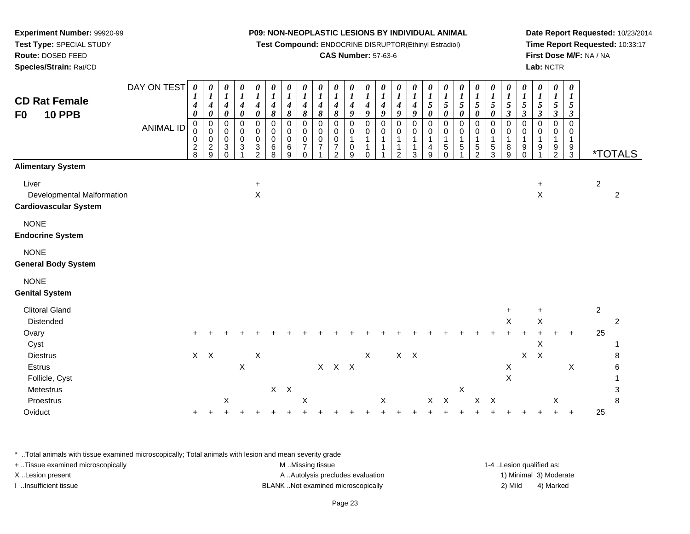**Test Compound:** ENDOCRINE DISRUPTOR(Ethinyl Estradiol)

# **CAS Number:** 57-63-6

**Date Report Requested:** 10/23/2014**Time Report Requested:** 10:33:17**First Dose M/F:** NA / NA**Lab:** NCTR

| <b>CD Rat Female</b><br><b>10 PPB</b><br>F <sub>0</sub>             | DAY ON TEST<br><b>ANIMAL ID</b> | 0<br>1<br>4<br>$\boldsymbol{\theta}$<br>0<br>0<br>0<br>$\frac{2}{8}$ | 0<br>$\boldsymbol{l}$<br>$\boldsymbol{4}$<br>$\pmb{\theta}$<br>$\pmb{0}$<br>$\mathbf 0$<br>0<br>$\frac{2}{9}$ | 0<br>$\boldsymbol{l}$<br>$\boldsymbol{4}$<br>$\pmb{\theta}$<br>$\mathbf 0$<br>$\mathbf 0$<br>0<br>3<br>$\Omega$ | $\boldsymbol{\theta}$<br>$\boldsymbol{l}$<br>$\frac{4}{\theta}$<br>$\overline{0}$<br>$\pmb{0}$<br>$\pmb{0}$<br>$\ensuremath{\mathsf{3}}$ | $\boldsymbol{\theta}$<br>$\boldsymbol{I}$<br>$\boldsymbol{4}$<br>$\boldsymbol{\theta}$<br>$\pmb{0}$<br>0<br>$\mathbf 0$<br>$\ensuremath{\mathsf{3}}$<br>$\overline{2}$ | 0<br>$\boldsymbol{l}$<br>$\frac{4}{8}$<br>$\pmb{0}$<br>$\pmb{0}$<br>$\pmb{0}$<br>6<br>8 | $\boldsymbol{\theta}$<br>$\boldsymbol{l}$<br>$\boldsymbol{4}$<br>8<br>$\mathbf 0$<br>$\mathbf 0$<br>$\mathbf 0$<br>6<br>9 | 0<br>$\boldsymbol{l}$<br>$\boldsymbol{4}$<br>$\pmb{8}$<br>$\mathbf 0$<br>$\pmb{0}$<br>$\pmb{0}$<br>$\boldsymbol{7}$<br>$\Omega$ | $\boldsymbol{\theta}$<br>$\boldsymbol{l}$<br>$\boldsymbol{4}$<br>$\boldsymbol{\delta}$<br>$\pmb{0}$<br>$\mathbf 0$<br>0<br>7 | 0<br>$\boldsymbol{l}$<br>$\boldsymbol{4}$<br>$\pmb{8}$<br>$\pmb{0}$<br>0<br>0<br>$\overline{7}$<br>2 | $\boldsymbol{\theta}$<br>$\boldsymbol{l}$<br>$\boldsymbol{4}$<br>$\boldsymbol{g}$<br>$\pmb{0}$<br>$\mathbf 0$<br>1<br>$\mathbf 0$<br>9 | 0<br>$\boldsymbol{l}$<br>$\boldsymbol{4}$<br>9<br>$\pmb{0}$<br>0<br>$\mathbf{1}$<br>1<br>$\Omega$ | 0<br>$\boldsymbol{l}$<br>$\boldsymbol{4}$<br>9<br>$\pmb{0}$<br>$\mathbf 0$<br>$\mathbf{1}$<br>$\mathbf{1}$ | 0<br>$\boldsymbol{l}$<br>$\boldsymbol{4}$<br>9<br>$\pmb{0}$<br>0<br>$\mathbf{1}$<br>1<br>2 | 0<br>$\boldsymbol{l}$<br>$\boldsymbol{4}$<br>9<br>$\pmb{0}$<br>$\mathbf 0$<br>$\mathbf{1}$<br>$\mathbf{1}$<br>3 | 0<br>$\boldsymbol{l}$<br>5<br>$\pmb{\theta}$<br>$\mathbf 0$<br>$\pmb{0}$<br>$\mathbf{1}$<br>$\overline{\mathbf{4}}$<br>9 | $\boldsymbol{\theta}$<br>$\boldsymbol{l}$<br>$5\overline{)}$<br>$\pmb{\theta}$<br>$\mathbf 0$<br>$\mathbf 0$<br>$\mathbf{1}$<br>$\,$ 5 $\,$<br>$\Omega$ | 0<br>$\boldsymbol{l}$<br>5<br>$\pmb{\theta}$<br>$\pmb{0}$<br>0<br>$\mathbf{1}$<br>$\,$ 5 $\,$ | 0<br>$\boldsymbol{l}$<br>$\overline{5}$<br>$\boldsymbol{\theta}$<br>$\mathbf 0$<br>$\mathbf 0$<br>$\mathbf{1}$<br>$\,$ 5 $\,$<br>$\mathfrak{p}$ | 0<br>$\boldsymbol{l}$<br>5<br>$\pmb{\theta}$<br>$\pmb{0}$<br>0<br>$\mathbf{1}$<br>$\frac{5}{3}$ | $\boldsymbol{\theta}$<br>$\frac{1}{5}$<br>$\boldsymbol{\beta}$<br>$\pmb{0}$<br>0<br>$\mathbf{1}$<br>8<br>9 | 0<br>$\frac{1}{5}$<br>$\boldsymbol{\beta}$<br>$\pmb{0}$<br>0<br>$\mathbf{1}$<br>9<br>$\Omega$ | 0<br>$\boldsymbol{l}$<br>$\sqrt{5}$<br>$\boldsymbol{\beta}$<br>$\pmb{0}$<br>$\mathbf 0$<br>$\mathbf{1}$<br>9<br>1 | 0<br>$\boldsymbol{l}$<br>$\mathfrak{s}$<br>$\boldsymbol{\beta}$<br>$\mathbf 0$<br>$\pmb{0}$<br>$\mathbf{1}$<br>$\frac{9}{2}$ | 0<br>$\boldsymbol{l}$<br>$\mathfrak{I}$<br>$\boldsymbol{\beta}$<br>$\overline{0}$<br>0<br>1<br>$\frac{9}{3}$ |                | <i><b>*TOTALS</b></i> |
|---------------------------------------------------------------------|---------------------------------|----------------------------------------------------------------------|---------------------------------------------------------------------------------------------------------------|-----------------------------------------------------------------------------------------------------------------|------------------------------------------------------------------------------------------------------------------------------------------|------------------------------------------------------------------------------------------------------------------------------------------------------------------------|-----------------------------------------------------------------------------------------|---------------------------------------------------------------------------------------------------------------------------|---------------------------------------------------------------------------------------------------------------------------------|------------------------------------------------------------------------------------------------------------------------------|------------------------------------------------------------------------------------------------------|----------------------------------------------------------------------------------------------------------------------------------------|---------------------------------------------------------------------------------------------------|------------------------------------------------------------------------------------------------------------|--------------------------------------------------------------------------------------------|-----------------------------------------------------------------------------------------------------------------|--------------------------------------------------------------------------------------------------------------------------|---------------------------------------------------------------------------------------------------------------------------------------------------------|-----------------------------------------------------------------------------------------------|-------------------------------------------------------------------------------------------------------------------------------------------------|-------------------------------------------------------------------------------------------------|------------------------------------------------------------------------------------------------------------|-----------------------------------------------------------------------------------------------|-------------------------------------------------------------------------------------------------------------------|------------------------------------------------------------------------------------------------------------------------------|--------------------------------------------------------------------------------------------------------------|----------------|-----------------------|
| <b>Alimentary System</b>                                            |                                 |                                                                      |                                                                                                               |                                                                                                                 |                                                                                                                                          |                                                                                                                                                                        |                                                                                         |                                                                                                                           |                                                                                                                                 |                                                                                                                              |                                                                                                      |                                                                                                                                        |                                                                                                   |                                                                                                            |                                                                                            |                                                                                                                 |                                                                                                                          |                                                                                                                                                         |                                                                                               |                                                                                                                                                 |                                                                                                 |                                                                                                            |                                                                                               |                                                                                                                   |                                                                                                                              |                                                                                                              |                |                       |
| Liver<br>Developmental Malformation<br><b>Cardiovascular System</b> |                                 |                                                                      |                                                                                                               |                                                                                                                 |                                                                                                                                          | $\ddot{}$<br>X                                                                                                                                                         |                                                                                         |                                                                                                                           |                                                                                                                                 |                                                                                                                              |                                                                                                      |                                                                                                                                        |                                                                                                   |                                                                                                            |                                                                                            |                                                                                                                 |                                                                                                                          |                                                                                                                                                         |                                                                                               |                                                                                                                                                 |                                                                                                 |                                                                                                            |                                                                                               | $\ddot{}$<br>$\boldsymbol{\mathsf{X}}$                                                                            |                                                                                                                              |                                                                                                              | $\overline{c}$ | $\overline{c}$        |
| <b>NONE</b><br><b>Endocrine System</b>                              |                                 |                                                                      |                                                                                                               |                                                                                                                 |                                                                                                                                          |                                                                                                                                                                        |                                                                                         |                                                                                                                           |                                                                                                                                 |                                                                                                                              |                                                                                                      |                                                                                                                                        |                                                                                                   |                                                                                                            |                                                                                            |                                                                                                                 |                                                                                                                          |                                                                                                                                                         |                                                                                               |                                                                                                                                                 |                                                                                                 |                                                                                                            |                                                                                               |                                                                                                                   |                                                                                                                              |                                                                                                              |                |                       |
| <b>NONE</b><br><b>General Body System</b>                           |                                 |                                                                      |                                                                                                               |                                                                                                                 |                                                                                                                                          |                                                                                                                                                                        |                                                                                         |                                                                                                                           |                                                                                                                                 |                                                                                                                              |                                                                                                      |                                                                                                                                        |                                                                                                   |                                                                                                            |                                                                                            |                                                                                                                 |                                                                                                                          |                                                                                                                                                         |                                                                                               |                                                                                                                                                 |                                                                                                 |                                                                                                            |                                                                                               |                                                                                                                   |                                                                                                                              |                                                                                                              |                |                       |
| <b>NONE</b><br><b>Genital System</b>                                |                                 |                                                                      |                                                                                                               |                                                                                                                 |                                                                                                                                          |                                                                                                                                                                        |                                                                                         |                                                                                                                           |                                                                                                                                 |                                                                                                                              |                                                                                                      |                                                                                                                                        |                                                                                                   |                                                                                                            |                                                                                            |                                                                                                                 |                                                                                                                          |                                                                                                                                                         |                                                                                               |                                                                                                                                                 |                                                                                                 |                                                                                                            |                                                                                               |                                                                                                                   |                                                                                                                              |                                                                                                              |                |                       |
| <b>Clitoral Gland</b>                                               |                                 |                                                                      |                                                                                                               |                                                                                                                 |                                                                                                                                          |                                                                                                                                                                        |                                                                                         |                                                                                                                           |                                                                                                                                 |                                                                                                                              |                                                                                                      |                                                                                                                                        |                                                                                                   |                                                                                                            |                                                                                            |                                                                                                                 |                                                                                                                          |                                                                                                                                                         |                                                                                               |                                                                                                                                                 |                                                                                                 | $\ddot{}$                                                                                                  |                                                                                               | $\ddot{}$                                                                                                         |                                                                                                                              |                                                                                                              | $\overline{2}$ |                       |
| Distended                                                           |                                 |                                                                      |                                                                                                               |                                                                                                                 |                                                                                                                                          |                                                                                                                                                                        |                                                                                         |                                                                                                                           |                                                                                                                                 |                                                                                                                              |                                                                                                      |                                                                                                                                        |                                                                                                   |                                                                                                            |                                                                                            |                                                                                                                 |                                                                                                                          |                                                                                                                                                         |                                                                                               |                                                                                                                                                 |                                                                                                 | $\mathsf X$                                                                                                |                                                                                               | $\mathsf X$                                                                                                       |                                                                                                                              |                                                                                                              |                | $\overline{c}$        |
| Ovary<br>Cyst                                                       |                                 |                                                                      |                                                                                                               |                                                                                                                 |                                                                                                                                          |                                                                                                                                                                        |                                                                                         |                                                                                                                           |                                                                                                                                 |                                                                                                                              |                                                                                                      |                                                                                                                                        |                                                                                                   |                                                                                                            |                                                                                            |                                                                                                                 |                                                                                                                          |                                                                                                                                                         |                                                                                               |                                                                                                                                                 |                                                                                                 |                                                                                                            |                                                                                               | X                                                                                                                 |                                                                                                                              | $\ddot{}$                                                                                                    | 25             |                       |
| <b>Diestrus</b>                                                     |                                 | $\mathsf{X}$                                                         | $\mathsf{X}$                                                                                                  |                                                                                                                 |                                                                                                                                          | X                                                                                                                                                                      |                                                                                         |                                                                                                                           |                                                                                                                                 |                                                                                                                              |                                                                                                      |                                                                                                                                        | X                                                                                                 |                                                                                                            |                                                                                            | $X$ $X$                                                                                                         |                                                                                                                          |                                                                                                                                                         |                                                                                               |                                                                                                                                                 |                                                                                                 |                                                                                                            | $\mathsf X$                                                                                   | $\boldsymbol{\mathsf{X}}$                                                                                         |                                                                                                                              |                                                                                                              |                | 8                     |
| Estrus                                                              |                                 |                                                                      |                                                                                                               |                                                                                                                 | $\boldsymbol{\mathsf{X}}$                                                                                                                |                                                                                                                                                                        |                                                                                         |                                                                                                                           |                                                                                                                                 |                                                                                                                              | X X X                                                                                                |                                                                                                                                        |                                                                                                   |                                                                                                            |                                                                                            |                                                                                                                 |                                                                                                                          |                                                                                                                                                         |                                                                                               |                                                                                                                                                 |                                                                                                 | $\mathsf X$                                                                                                |                                                                                               |                                                                                                                   |                                                                                                                              | $\mathsf X$                                                                                                  |                | 6<br>1                |
| Follicle, Cyst<br>Metestrus                                         |                                 |                                                                      |                                                                                                               |                                                                                                                 |                                                                                                                                          |                                                                                                                                                                        |                                                                                         | $X$ $X$                                                                                                                   |                                                                                                                                 |                                                                                                                              |                                                                                                      |                                                                                                                                        |                                                                                                   |                                                                                                            |                                                                                            |                                                                                                                 |                                                                                                                          |                                                                                                                                                         | Χ                                                                                             |                                                                                                                                                 |                                                                                                 | X                                                                                                          |                                                                                               |                                                                                                                   |                                                                                                                              |                                                                                                              |                | 3                     |
| Proestrus                                                           |                                 |                                                                      |                                                                                                               | $\boldsymbol{\mathsf{X}}$                                                                                       |                                                                                                                                          |                                                                                                                                                                        |                                                                                         |                                                                                                                           | Χ                                                                                                                               |                                                                                                                              |                                                                                                      |                                                                                                                                        |                                                                                                   | X                                                                                                          |                                                                                            |                                                                                                                 |                                                                                                                          | $X$ $X$                                                                                                                                                 |                                                                                               | $\mathsf X$                                                                                                                                     | $\mathsf{X}$                                                                                    |                                                                                                            |                                                                                               |                                                                                                                   | X                                                                                                                            |                                                                                                              |                | 8                     |
| Oviduct                                                             |                                 | $\ddot{}$                                                            |                                                                                                               |                                                                                                                 |                                                                                                                                          |                                                                                                                                                                        |                                                                                         |                                                                                                                           |                                                                                                                                 |                                                                                                                              |                                                                                                      |                                                                                                                                        |                                                                                                   |                                                                                                            |                                                                                            |                                                                                                                 |                                                                                                                          |                                                                                                                                                         |                                                                                               |                                                                                                                                                 |                                                                                                 |                                                                                                            |                                                                                               |                                                                                                                   |                                                                                                                              | $\ddot{}$                                                                                                    | 25             |                       |

\* ..Total animals with tissue examined microscopically; Total animals with lesion and mean severity grade

| + Tissue examined microscopically | M Missing tissue                   | 1-4 Lesion qualified as: |                        |
|-----------------------------------|------------------------------------|--------------------------|------------------------|
| X Lesion present                  | A Autolysis precludes evaluation   |                          | 1) Minimal 3) Moderate |
| Insufficient tissue               | BLANK Not examined microscopically | 2) Mild                  | 4) Marked              |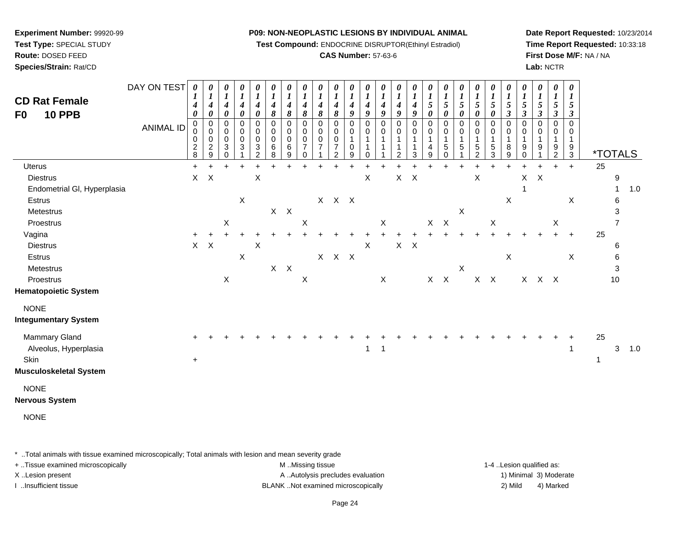**Test Compound:** ENDOCRINE DISRUPTOR(Ethinyl Estradiol)

# **CAS Number:** 57-63-6

**Date Report Requested:** 10/23/2014**Time Report Requested:** 10:33:18**First Dose M/F:** NA / NA**Lab:** NCTR

| <b>CD Rat Female</b><br><b>10 PPB</b><br>F <sub>0</sub>                                                                                                                              | DAY ON TEST<br><b>ANIMAL ID</b> | $\boldsymbol{\theta}$<br>1<br>4<br>$\boldsymbol{\theta}$<br>0<br>0<br>0<br>$_{8}^2$ | 0<br>$\boldsymbol{l}$<br>$\boldsymbol{4}$<br>$\boldsymbol{\theta}$<br>$\mathbf 0$<br>$\mathbf 0$<br>$\mathbf 0$<br>$\overline{c}$<br>9 | 0<br>$\boldsymbol{l}$<br>$\boldsymbol{4}$<br>$\boldsymbol{\theta}$<br>0<br>$\mathbf 0$<br>0<br>3<br>$\Omega$ | 0<br>$\boldsymbol{l}$<br>$\boldsymbol{4}$<br>$\pmb{\theta}$<br>$\pmb{0}$<br>0<br>$\pmb{0}$<br>$\mathbf{3}$ | 0<br>$\boldsymbol{l}$<br>$\boldsymbol{4}$<br>$\boldsymbol{\theta}$<br>$\pmb{0}$<br>$\boldsymbol{0}$<br>$\mathbf 0$<br>$\ensuremath{\mathsf{3}}$<br>2 | 0<br>$\boldsymbol{l}$<br>$\boldsymbol{4}$<br>8<br>$\pmb{0}$<br>$\pmb{0}$<br>$\mathbf 0$<br>6<br>8 | 0<br>$\boldsymbol{l}$<br>4<br>8<br>0<br>0<br>0<br>6<br>9 | 0<br>$\boldsymbol{l}$<br>$\boldsymbol{4}$<br>8<br>$\mathbf 0$<br>0<br>0<br>$\overline{7}$<br>$\Omega$ | $\boldsymbol{\theta}$<br>$\boldsymbol{l}$<br>4<br>8<br>$\overline{0}$<br>$\Omega$<br>0<br>$\overline{7}$ | 0<br>$\boldsymbol{l}$<br>$\boldsymbol{4}$<br>8<br>0<br>0<br>0<br>$\overline{7}$<br>$\mathcal{P}$ | 0<br>1<br>$\boldsymbol{4}$<br>9<br>0<br>0<br>1<br>0<br>9 | 0<br>$\boldsymbol{l}$<br>$\boldsymbol{4}$<br>9<br>$\mathbf 0$<br>$\mathbf 0$<br>$\mathbf{1}$<br>1<br>$\Omega$ | 0<br>$\boldsymbol{l}$<br>$\boldsymbol{4}$<br>9<br>$\pmb{0}$<br>$\mathbf 0$<br>1 | 0<br>$\boldsymbol{l}$<br>$\boldsymbol{4}$<br>9<br>0<br>0<br>1<br>1<br>$\overline{c}$ | 0<br>$\boldsymbol{l}$<br>$\boldsymbol{4}$<br>9<br>$\pmb{0}$<br>0<br>$\mathbf{1}$<br>1<br>$\mathbf{3}$ | $\boldsymbol{\theta}$<br>$\boldsymbol{l}$<br>$\mathfrak{s}$<br>$\boldsymbol{\theta}$<br>$\mathbf 0$<br>0<br>$\mathbf{1}$<br>4<br>9 | 0<br>$\boldsymbol{l}$<br>$\sqrt{5}$<br>0<br>$\pmb{0}$<br>0<br>$\mathbf{1}$<br>$\sqrt{5}$<br>$\Omega$ | 0<br>$\boldsymbol{l}$<br>$\sqrt{5}$<br>0<br>$\pmb{0}$<br>0<br>$\mathbf 1$<br>$\sqrt{5}$ | 0<br>$\boldsymbol{l}$<br>$\sqrt{5}$<br>$\boldsymbol{\theta}$<br>$\pmb{0}$<br>$\mathbf 0$<br>$\mathbf{1}$<br>$\,$ 5 $\,$<br>$\mathfrak{p}$ | 0<br>$\boldsymbol{l}$<br>$\sqrt{5}$<br>0<br>$\pmb{0}$<br>$\pmb{0}$<br>$\mathbf{1}$<br>$\,$ 5 $\,$<br>3 | 0<br>1<br>5<br>$\boldsymbol{\beta}$<br>$\mathbf 0$<br>0<br>1<br>8<br>9 | 0<br>$\boldsymbol{l}$<br>5<br>$\boldsymbol{\beta}$<br>$\mathbf 0$<br>0<br>1<br>9<br>0 | 0<br>$\boldsymbol{l}$<br>5<br>$\boldsymbol{\beta}$<br>$\mathbf 0$<br>0<br>$\mathbf{1}$<br>9 | 0<br>$\boldsymbol{l}$<br>5<br>$\boldsymbol{\beta}$<br>$\mathbf 0$<br>0<br>$\mathbf{1}$<br>9<br>$\overline{2}$ | 0<br>$\boldsymbol{l}$<br>$\mathfrak{s}$<br>$\boldsymbol{\beta}$<br>0<br>0<br>$\mathbf{1}$<br>9<br>3 |                    | <i><b>*TOTALS</b></i>                               |     |
|--------------------------------------------------------------------------------------------------------------------------------------------------------------------------------------|---------------------------------|-------------------------------------------------------------------------------------|----------------------------------------------------------------------------------------------------------------------------------------|--------------------------------------------------------------------------------------------------------------|------------------------------------------------------------------------------------------------------------|------------------------------------------------------------------------------------------------------------------------------------------------------|---------------------------------------------------------------------------------------------------|----------------------------------------------------------|-------------------------------------------------------------------------------------------------------|----------------------------------------------------------------------------------------------------------|--------------------------------------------------------------------------------------------------|----------------------------------------------------------|---------------------------------------------------------------------------------------------------------------|---------------------------------------------------------------------------------|--------------------------------------------------------------------------------------|-------------------------------------------------------------------------------------------------------|------------------------------------------------------------------------------------------------------------------------------------|------------------------------------------------------------------------------------------------------|-----------------------------------------------------------------------------------------|-------------------------------------------------------------------------------------------------------------------------------------------|--------------------------------------------------------------------------------------------------------|------------------------------------------------------------------------|---------------------------------------------------------------------------------------|---------------------------------------------------------------------------------------------|---------------------------------------------------------------------------------------------------------------|-----------------------------------------------------------------------------------------------------|--------------------|-----------------------------------------------------|-----|
| <b>Uterus</b><br><b>Diestrus</b><br>Endometrial GI, Hyperplasia<br>Estrus                                                                                                            |                                 | $+$<br>X                                                                            | $\times$                                                                                                                               |                                                                                                              | $\ddot{}$<br>$\mathsf X$                                                                                   | $\times$                                                                                                                                             |                                                                                                   |                                                          |                                                                                                       |                                                                                                          | $X$ $X$ $X$                                                                                      |                                                          | X                                                                                                             |                                                                                 | $\mathsf{X}$                                                                         | $\mathsf{X}$                                                                                          |                                                                                                                                    |                                                                                                      |                                                                                         | X                                                                                                                                         |                                                                                                        | $\ddot{}$<br>X                                                         | X<br>1                                                                                | $\boldsymbol{\mathsf{X}}$                                                                   | $\ddot{}$                                                                                                     | $+$<br>$\mathsf X$                                                                                  | 25                 | 9<br>$\mathbf{1}$<br>6                              | 1.0 |
| Metestrus<br>Proestrus<br>Vagina<br><b>Diestrus</b><br>Estrus<br>Metestrus<br>Proestrus<br><b>Hematopoietic System</b>                                                               |                                 | $+$<br>$\mathsf{X}^-$                                                               | X                                                                                                                                      | X<br>$\mathsf X$                                                                                             | $\pmb{\times}$                                                                                             | X                                                                                                                                                    | $X$ $X$<br>$X$ $X$                                                                                |                                                          | X<br>X                                                                                                |                                                                                                          | $\ddot{}$<br>$X$ $X$ $X$                                                                         |                                                          | X                                                                                                             | $\mathsf X$<br>$\mathsf X$                                                      | X                                                                                    | $\boldsymbol{\mathsf{X}}$                                                                             | $+$                                                                                                                                | $X$ $X$<br>$\ddot{}$<br>$\mathsf{X}-\mathsf{X}$                                                      | $\mathsf X$<br>$\mathsf X$                                                              | $X$ $X$                                                                                                                                   | X                                                                                                      | $\mathsf X$                                                            |                                                                                       | X X X                                                                                       | X                                                                                                             | $+$<br>X                                                                                            | 25                 | 3<br>$\overline{7}$<br>6<br>6<br>$\mathbf{3}$<br>10 |     |
| <b>NONE</b><br><b>Integumentary System</b><br>Mammary Gland<br>Alveolus, Hyperplasia<br>Skin<br><b>Musculoskeletal System</b><br><b>NONE</b><br><b>Nervous System</b><br><b>NONE</b> |                                 | $\ddot{}$                                                                           |                                                                                                                                        |                                                                                                              |                                                                                                            |                                                                                                                                                      |                                                                                                   |                                                          |                                                                                                       |                                                                                                          |                                                                                                  |                                                          | 1                                                                                                             | $\mathbf{1}$                                                                    |                                                                                      |                                                                                                       |                                                                                                                                    |                                                                                                      |                                                                                         |                                                                                                                                           |                                                                                                        |                                                                        |                                                                                       |                                                                                             |                                                                                                               | $\mathbf{1}$                                                                                        | 25<br>$\mathbf{1}$ | 3                                                   | 1.0 |

\* ..Total animals with tissue examined microscopically; Total animals with lesion and mean severity grade

**Experiment Number:** 99920-99**Test Type:** SPECIAL STUDY**Route:** DOSED FEED**Species/Strain:** Rat/CD

+ ..Tissue examined microscopically examined microscopically examined as:  $M$  ..Missing tissue 1-4 ..Lesion qualified as: X..Lesion present **A ..Autolysis precludes evaluation** A ..Autolysis precludes evaluation 1) Minimal 3) Moderate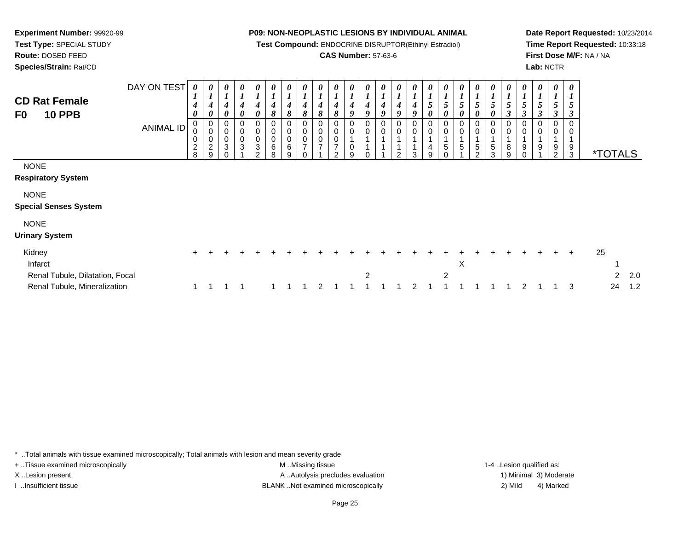**Test Compound:** ENDOCRINE DISRUPTOR(Ethinyl Estradiol)

# **CAS Number:** 57-63-6

**Date Report Requested:** 10/23/2014**Time Report Requested:** 10:33:18**First Dose M/F:** NA / NA**Lab:** NCTR

| <b>CD Rat Female</b><br><b>10 PPB</b><br>F <sub>0</sub> | DAY ON TEST<br>ANIMAL ID | 0<br>L<br>4<br>0<br>0<br>0<br>0<br>$\overline{\mathbf{c}}$ | L<br>0<br>$\pmb{0}$<br>0<br>$\overline{c}$ | U<br>4<br>0<br>0<br>0<br>$\pmb{0}$<br>3 | 0<br>$\boldsymbol{4}$<br>0<br>0<br>0<br>0<br>3 | 0<br>1<br>4<br>0<br>0<br>0<br>0<br>3 | $\boldsymbol{\theta}$<br>$\boldsymbol{l}$<br>$\boldsymbol{4}$<br>8<br>0<br>$\mathbf 0$<br>6 | 0<br>4<br>8<br>0<br>0<br>$\pmb{0}$<br>$\,6$ | $\boldsymbol{\theta}$<br>8<br>0<br>0<br>$\mathbf 0$<br>7 | 8<br>0<br>0 | U<br>4<br>8<br>0<br>0<br>$\overline{ }$<br>ົ | $\boldsymbol{\theta}$<br>$\mathbf{I}$<br>4<br>9<br>0<br>0<br>0 | $\boldsymbol{\theta}$<br>$\boldsymbol{l}$<br>4<br>9<br>0<br>0 | $\boldsymbol{\theta}$<br>$\boldsymbol{l}$<br>4<br>9<br>0 | 0<br>4<br>9<br>0<br>0<br>ົ | 0<br>4<br>9<br>0<br>0 | U<br>5<br>0<br>0<br>0<br>4 | Ć<br>0<br>5    | U<br>5<br>0<br>0<br>0<br>5 | $\boldsymbol{\theta}$<br>5<br>0<br>0<br>0<br>5 | $\theta$<br>$\overline{ }$<br>$5\phantom{.0}$<br>0<br>0<br>5 | $\boldsymbol{\theta}$<br>$\boldsymbol{l}$<br>$\sqrt{5}$<br>$\boldsymbol{\beta}$<br>0<br>$\pmb{0}$<br>1<br>8 | 0<br>$\mathfrak{H}$<br>3<br>0<br>0<br>9 | $\boldsymbol{\theta}$<br>5<br>3<br>0<br>0<br>9 | 9              | $\boldsymbol{\theta}$<br>$5\overline{)}$<br>3<br>0<br>0<br>9 |    |                       |     |
|---------------------------------------------------------|--------------------------|------------------------------------------------------------|--------------------------------------------|-----------------------------------------|------------------------------------------------|--------------------------------------|---------------------------------------------------------------------------------------------|---------------------------------------------|----------------------------------------------------------|-------------|----------------------------------------------|----------------------------------------------------------------|---------------------------------------------------------------|----------------------------------------------------------|----------------------------|-----------------------|----------------------------|----------------|----------------------------|------------------------------------------------|--------------------------------------------------------------|-------------------------------------------------------------------------------------------------------------|-----------------------------------------|------------------------------------------------|----------------|--------------------------------------------------------------|----|-----------------------|-----|
| <b>NONE</b>                                             |                          | 8                                                          | 9                                          |                                         |                                                | $\mathcal{P}$                        | 8                                                                                           | 9                                           |                                                          |             |                                              | 9                                                              |                                                               |                                                          |                            | 3                     | 9                          |                |                            | $\mathcal{D}$                                  | 3                                                            | 9                                                                                                           | n                                       |                                                | $\overline{2}$ | $\mathbf{3}$                                                 |    | <i><b>*TOTALS</b></i> |     |
| <b>Respiratory System</b>                               |                          |                                                            |                                            |                                         |                                                |                                      |                                                                                             |                                             |                                                          |             |                                              |                                                                |                                                               |                                                          |                            |                       |                            |                |                            |                                                |                                                              |                                                                                                             |                                         |                                                |                |                                                              |    |                       |     |
| <b>NONE</b>                                             |                          |                                                            |                                            |                                         |                                                |                                      |                                                                                             |                                             |                                                          |             |                                              |                                                                |                                                               |                                                          |                            |                       |                            |                |                            |                                                |                                                              |                                                                                                             |                                         |                                                |                |                                                              |    |                       |     |
| <b>Special Senses System</b>                            |                          |                                                            |                                            |                                         |                                                |                                      |                                                                                             |                                             |                                                          |             |                                              |                                                                |                                                               |                                                          |                            |                       |                            |                |                            |                                                |                                                              |                                                                                                             |                                         |                                                |                |                                                              |    |                       |     |
| <b>NONE</b>                                             |                          |                                                            |                                            |                                         |                                                |                                      |                                                                                             |                                             |                                                          |             |                                              |                                                                |                                                               |                                                          |                            |                       |                            |                |                            |                                                |                                                              |                                                                                                             |                                         |                                                |                |                                                              |    |                       |     |
| <b>Urinary System</b>                                   |                          |                                                            |                                            |                                         |                                                |                                      |                                                                                             |                                             |                                                          |             |                                              |                                                                |                                                               |                                                          |                            |                       |                            |                |                            |                                                |                                                              |                                                                                                             |                                         |                                                |                |                                                              |    |                       |     |
| Kidney                                                  |                          | $\ddot{}$                                                  |                                            |                                         |                                                |                                      |                                                                                             |                                             |                                                          |             |                                              |                                                                |                                                               |                                                          |                            |                       |                            |                |                            |                                                |                                                              |                                                                                                             |                                         |                                                |                | $\pm$                                                        | 25 |                       |     |
| Infarct                                                 |                          |                                                            |                                            |                                         |                                                |                                      |                                                                                             |                                             |                                                          |             |                                              |                                                                |                                                               |                                                          |                            |                       |                            |                | X                          |                                                |                                                              |                                                                                                             |                                         |                                                |                |                                                              |    |                       |     |
| Renal Tubule, Dilatation, Focal                         |                          |                                                            |                                            |                                         |                                                |                                      |                                                                                             |                                             |                                                          |             |                                              |                                                                | 2                                                             |                                                          |                            |                       |                            | $\overline{2}$ |                            |                                                |                                                              |                                                                                                             |                                         |                                                |                |                                                              |    | 2                     | 2.0 |
| Renal Tubule, Mineralization                            |                          |                                                            |                                            |                                         |                                                |                                      |                                                                                             |                                             |                                                          | 2           |                                              |                                                                |                                                               |                                                          |                            | 2                     |                            |                |                            |                                                |                                                              |                                                                                                             | 2                                       |                                                |                | 3                                                            |    | 24                    | 1.2 |

\* ..Total animals with tissue examined microscopically; Total animals with lesion and mean severity grade

**Experiment Number:** 99920-99**Test Type:** SPECIAL STUDY**Route:** DOSED FEED**Species/Strain:** Rat/CD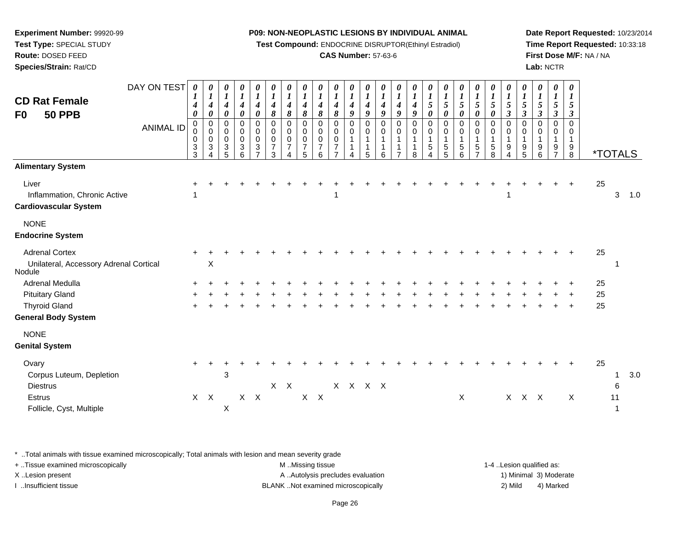**Test Compound:** ENDOCRINE DISRUPTOR(Ethinyl Estradiol)

# **CAS Number:** 57-63-6

**Date Report Requested:** 10/23/2014**Time Report Requested:** 10:33:18**First Dose M/F:** NA / NA**Lab:** NCTR

| <b>CD Rat Female</b><br><b>50 PPB</b><br>F <sub>0</sub>                   | DAY ON TEST<br><b>ANIMAL ID</b> | 0<br>$\boldsymbol{l}$<br>4<br>0<br>0<br>0<br>$\pmb{0}$<br>$_3^3$ | 0<br>$\boldsymbol{l}$<br>$\boldsymbol{4}$<br>$\boldsymbol{\theta}$<br>$\pmb{0}$<br>$\mathbf 0$<br>$\mathbf 0$<br>$\sqrt{3}$ | 0<br>$\boldsymbol{l}$<br>$\boldsymbol{4}$<br>$\boldsymbol{\theta}$<br>$\pmb{0}$<br>$\pmb{0}$<br>$\mathsf 0$<br>$\ensuremath{\mathsf{3}}$<br>5 | 0<br>$\boldsymbol{l}$<br>$\boldsymbol{4}$<br>$\pmb{\theta}$<br>0<br>$\mathbf 0$<br>$\mathsf 0$<br>$\ensuremath{\mathsf{3}}$<br>6 | 0<br>$\boldsymbol{l}$<br>$\boldsymbol{4}$<br>$\boldsymbol{\theta}$<br>0<br>$\pmb{0}$<br>$\mathsf 0$<br>$\sqrt{3}$<br>$\overline{7}$ | 0<br>$\boldsymbol{l}$<br>$\boldsymbol{4}$<br>8<br>$\,0\,$<br>$\pmb{0}$<br>$\pmb{0}$<br>$\boldsymbol{7}$<br>3 | 0<br>$\boldsymbol{l}$<br>$\boldsymbol{4}$<br>8<br>$\pmb{0}$<br>$\pmb{0}$<br>$\pmb{0}$<br>$\overline{7}$<br>4 | 0<br>$\boldsymbol{l}$<br>$\boldsymbol{4}$<br>8<br>0<br>0<br>$\mathbf 0$<br>$\overline{7}$<br>5 | 0<br>$\boldsymbol{l}$<br>4<br>8<br>0<br>0<br>$\mathbf 0$<br>$\overline{7}$<br>6 | $\boldsymbol{\theta}$<br>$\boldsymbol{l}$<br>4<br>8<br>$\mathbf 0$<br>$\mathbf 0$<br>$\mathbf 0$<br>$\overline{7}$ | 0<br>$\boldsymbol{l}$<br>$\boldsymbol{4}$<br>9<br>0<br>0<br>$\overline{1}$ | 0<br>$\boldsymbol{l}$<br>$\boldsymbol{4}$<br>9<br>0<br>$\mathbf 0$<br>1<br>5 | 0<br>$\boldsymbol{l}$<br>4<br>9<br>$\mathbf 0$<br>0<br>$\mathbf{1}$<br>$\mathbf{1}$<br>6 | 0<br>$\boldsymbol{l}$<br>$\boldsymbol{4}$<br>9<br>0<br>$\pmb{0}$<br>$\mathbf{1}$<br>$\mathbf{1}$ | 0<br>$\boldsymbol{I}$<br>$\boldsymbol{4}$<br>9<br>0<br>$\boldsymbol{0}$<br>$\mathbf{1}$<br>$\mathbf{1}$<br>8 | 0<br>$\boldsymbol{l}$<br>$\sqrt{5}$<br>$\boldsymbol{\theta}$<br>0<br>$\pmb{0}$<br>$\mathbf{1}$<br>$\sqrt{5}$<br>4 | $\boldsymbol{\theta}$<br>$\boldsymbol{l}$<br>$\overline{5}$<br>0<br>$\mathbf 0$<br>$\boldsymbol{0}$<br>$\overline{1}$<br>$\,$ 5 $\,$<br>5 | 0<br>$\boldsymbol{l}$<br>$\sqrt{5}$<br>0<br>$\mathbf 0$<br>$\pmb{0}$<br>$\mathbf{1}$<br>$\sqrt{5}$<br>6 | 0<br>$\boldsymbol{l}$<br>5<br>0<br>0<br>0<br>1<br>5 | 0<br>$\boldsymbol{l}$<br>5<br>0<br>0<br>$\pmb{0}$<br>$\mathbf{1}$<br>$\,$ 5 $\,$<br>8 | 0<br>$\boldsymbol{l}$<br>$\sqrt{5}$<br>$\mathfrak{z}$<br>$\pmb{0}$<br>$\pmb{0}$<br>$\mathbf{1}$<br>9<br>4 | 0<br>$\boldsymbol{l}$<br>$\sqrt{5}$<br>$\mathfrak{z}$<br>0<br>$\pmb{0}$<br>$\mathbf{1}$<br>$\begin{array}{c} 9 \\ 5 \end{array}$ | 0<br>$\boldsymbol{l}$<br>$\mathfrak{S}$<br>$\boldsymbol{\beta}$<br>0<br>0<br>$\mathbf{1}$<br>9<br>6 | 0<br>$\boldsymbol{l}$<br>$\mathfrak{s}$<br>$\boldsymbol{\beta}$<br>0<br>0<br>1<br>9<br>$\overline{7}$ | 0<br>$\boldsymbol{l}$<br>$\sqrt{5}$<br>$\boldsymbol{\beta}$<br>$\mathbf 0$<br>$\mathbf 0$<br>$\mathbf{1}$<br>$\boldsymbol{9}$<br>$\bf8$ |          | <i><b>*TOTALS</b></i> |     |
|---------------------------------------------------------------------------|---------------------------------|------------------------------------------------------------------|-----------------------------------------------------------------------------------------------------------------------------|-----------------------------------------------------------------------------------------------------------------------------------------------|----------------------------------------------------------------------------------------------------------------------------------|-------------------------------------------------------------------------------------------------------------------------------------|--------------------------------------------------------------------------------------------------------------|--------------------------------------------------------------------------------------------------------------|------------------------------------------------------------------------------------------------|---------------------------------------------------------------------------------|--------------------------------------------------------------------------------------------------------------------|----------------------------------------------------------------------------|------------------------------------------------------------------------------|------------------------------------------------------------------------------------------|--------------------------------------------------------------------------------------------------|--------------------------------------------------------------------------------------------------------------|-------------------------------------------------------------------------------------------------------------------|-------------------------------------------------------------------------------------------------------------------------------------------|---------------------------------------------------------------------------------------------------------|-----------------------------------------------------|---------------------------------------------------------------------------------------|-----------------------------------------------------------------------------------------------------------|----------------------------------------------------------------------------------------------------------------------------------|-----------------------------------------------------------------------------------------------------|-------------------------------------------------------------------------------------------------------|-----------------------------------------------------------------------------------------------------------------------------------------|----------|-----------------------|-----|
| <b>Alimentary System</b>                                                  |                                 |                                                                  |                                                                                                                             |                                                                                                                                               |                                                                                                                                  |                                                                                                                                     |                                                                                                              |                                                                                                              |                                                                                                |                                                                                 |                                                                                                                    |                                                                            |                                                                              |                                                                                          |                                                                                                  |                                                                                                              |                                                                                                                   |                                                                                                                                           |                                                                                                         |                                                     |                                                                                       |                                                                                                           |                                                                                                                                  |                                                                                                     |                                                                                                       |                                                                                                                                         |          |                       |     |
| Liver<br>Inflammation, Chronic Active<br><b>Cardiovascular System</b>     |                                 |                                                                  |                                                                                                                             |                                                                                                                                               |                                                                                                                                  |                                                                                                                                     |                                                                                                              |                                                                                                              |                                                                                                |                                                                                 | 1                                                                                                                  |                                                                            |                                                                              |                                                                                          |                                                                                                  |                                                                                                              |                                                                                                                   |                                                                                                                                           |                                                                                                         |                                                     |                                                                                       | 1                                                                                                         |                                                                                                                                  |                                                                                                     |                                                                                                       |                                                                                                                                         | 25       | 3                     | 1.0 |
| <b>NONE</b><br><b>Endocrine System</b>                                    |                                 |                                                                  |                                                                                                                             |                                                                                                                                               |                                                                                                                                  |                                                                                                                                     |                                                                                                              |                                                                                                              |                                                                                                |                                                                                 |                                                                                                                    |                                                                            |                                                                              |                                                                                          |                                                                                                  |                                                                                                              |                                                                                                                   |                                                                                                                                           |                                                                                                         |                                                     |                                                                                       |                                                                                                           |                                                                                                                                  |                                                                                                     |                                                                                                       |                                                                                                                                         |          |                       |     |
| <b>Adrenal Cortex</b><br>Unilateral, Accessory Adrenal Cortical<br>Nodule |                                 |                                                                  | $\boldsymbol{\mathsf{X}}$                                                                                                   |                                                                                                                                               |                                                                                                                                  |                                                                                                                                     |                                                                                                              |                                                                                                              |                                                                                                |                                                                                 |                                                                                                                    |                                                                            |                                                                              |                                                                                          |                                                                                                  |                                                                                                              |                                                                                                                   |                                                                                                                                           |                                                                                                         |                                                     |                                                                                       |                                                                                                           |                                                                                                                                  |                                                                                                     |                                                                                                       |                                                                                                                                         | 25       | -1                    |     |
| Adrenal Medulla<br><b>Pituitary Gland</b>                                 |                                 |                                                                  |                                                                                                                             |                                                                                                                                               |                                                                                                                                  |                                                                                                                                     |                                                                                                              |                                                                                                              |                                                                                                |                                                                                 |                                                                                                                    |                                                                            |                                                                              |                                                                                          |                                                                                                  |                                                                                                              |                                                                                                                   |                                                                                                                                           |                                                                                                         |                                                     |                                                                                       |                                                                                                           |                                                                                                                                  |                                                                                                     |                                                                                                       |                                                                                                                                         | 25<br>25 |                       |     |
| <b>Thyroid Gland</b><br><b>General Body System</b>                        |                                 |                                                                  |                                                                                                                             |                                                                                                                                               |                                                                                                                                  |                                                                                                                                     |                                                                                                              |                                                                                                              |                                                                                                |                                                                                 |                                                                                                                    |                                                                            |                                                                              |                                                                                          |                                                                                                  |                                                                                                              |                                                                                                                   |                                                                                                                                           |                                                                                                         |                                                     |                                                                                       |                                                                                                           |                                                                                                                                  |                                                                                                     |                                                                                                       |                                                                                                                                         | 25       |                       |     |
| <b>NONE</b><br><b>Genital System</b>                                      |                                 |                                                                  |                                                                                                                             |                                                                                                                                               |                                                                                                                                  |                                                                                                                                     |                                                                                                              |                                                                                                              |                                                                                                |                                                                                 |                                                                                                                    |                                                                            |                                                                              |                                                                                          |                                                                                                  |                                                                                                              |                                                                                                                   |                                                                                                                                           |                                                                                                         |                                                     |                                                                                       |                                                                                                           |                                                                                                                                  |                                                                                                     |                                                                                                       |                                                                                                                                         |          |                       |     |
| Ovary<br>Corpus Luteum, Depletion<br><b>Diestrus</b>                      |                                 | $\pm$                                                            |                                                                                                                             | $\mathbf{3}$                                                                                                                                  |                                                                                                                                  |                                                                                                                                     |                                                                                                              | $X$ $X$                                                                                                      |                                                                                                |                                                                                 |                                                                                                                    | X X X X                                                                    |                                                                              |                                                                                          |                                                                                                  |                                                                                                              |                                                                                                                   |                                                                                                                                           |                                                                                                         |                                                     |                                                                                       |                                                                                                           |                                                                                                                                  |                                                                                                     |                                                                                                       |                                                                                                                                         | 25       | $\overline{1}$<br>6   | 3.0 |
| <b>Estrus</b><br>Follicle, Cyst, Multiple                                 |                                 |                                                                  | $X$ $X$                                                                                                                     | X                                                                                                                                             |                                                                                                                                  | $X$ $X$                                                                                                                             |                                                                                                              |                                                                                                              |                                                                                                | $X$ $X$                                                                         |                                                                                                                    |                                                                            |                                                                              |                                                                                          |                                                                                                  |                                                                                                              |                                                                                                                   |                                                                                                                                           | X                                                                                                       |                                                     |                                                                                       |                                                                                                           | X X X                                                                                                                            |                                                                                                     |                                                                                                       | X                                                                                                                                       |          | 11<br>$\mathbf 1$     |     |

\* ..Total animals with tissue examined microscopically; Total animals with lesion and mean severity grade

| + Tissue examined microscopically | M Missing tissue                   | 1-4 Lesion qualified as: |                        |
|-----------------------------------|------------------------------------|--------------------------|------------------------|
| X Lesion present                  | A Autolysis precludes evaluation   |                          | 1) Minimal 3) Moderate |
| Insufficient tissue               | BLANK Not examined microscopically | 2) Mild                  | 4) Marked              |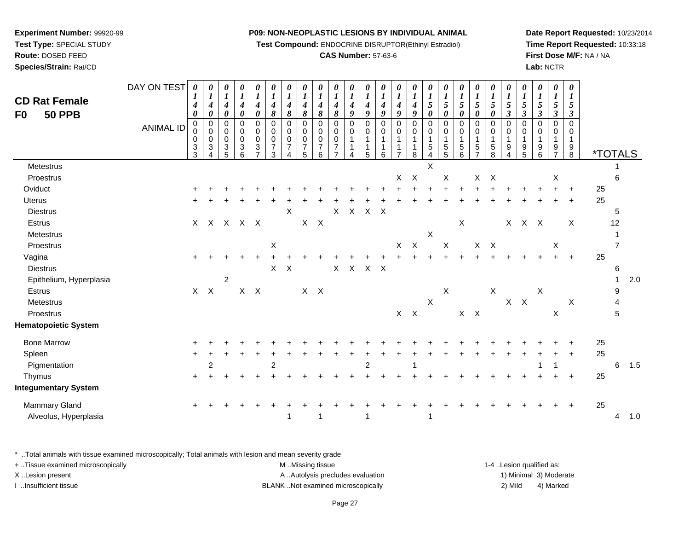**Test Compound:** ENDOCRINE DISRUPTOR(Ethinyl Estradiol)

# **CAS Number:** 57-63-6

**Date Report Requested:** 10/23/2014**Time Report Requested:** 10:33:18**First Dose M/F:** NA / NA**Lab:** NCTR

| <b>CD Rat Female</b><br><b>50 PPB</b><br>F <sub>0</sub> | DAY ON TEST<br><b>ANIMAL ID</b> | $\boldsymbol{\theta}$<br>1<br>4<br>$\boldsymbol{\theta}$<br>$\pmb{0}$<br>0<br>$\pmb{0}$<br>$\mathsf 3$<br>3 | 0<br>$\boldsymbol{l}$<br>4<br>$\boldsymbol{\theta}$<br>$\pmb{0}$<br>0<br>$\pmb{0}$<br>3<br>4 | 0<br>$\boldsymbol{l}$<br>$\boldsymbol{4}$<br>0<br>$\mathsf 0$<br>0<br>$\pmb{0}$<br>$\ensuremath{\mathsf{3}}$<br>5 | 0<br>$\boldsymbol{l}$<br>$\boldsymbol{4}$<br>0<br>0<br>0<br>$\mathbf 0$<br>$\mathbf{3}$<br>6 | 0<br>$\boldsymbol{l}$<br>$\boldsymbol{4}$<br>0<br>$\pmb{0}$<br>0<br>$\pmb{0}$<br>3<br>$\overline{ }$ | $\boldsymbol{\theta}$<br>$\boldsymbol{l}$<br>4<br>8<br>$\pmb{0}$<br>0<br>$\pmb{0}$<br>$\overline{7}$<br>3 | 0<br>$\boldsymbol{l}$<br>4<br>8<br>$\mathbf 0$<br>0<br>$\mathsf{O}\xspace$<br>$\overline{7}$ | 0<br>$\boldsymbol{l}$<br>4<br>8<br>$\mathbf 0$<br>0<br>$\pmb{0}$<br>$\overline{7}$<br>5 | 0<br>$\boldsymbol{l}$<br>$\boldsymbol{4}$<br>8<br>$\mathbf 0$<br>0<br>$\mathbf 0$<br>$\overline{7}$<br>6 | 0<br>$\boldsymbol{l}$<br>4<br>$\pmb{8}$<br>$\pmb{0}$<br>0<br>$\pmb{0}$<br>$\overline{7}$ | 0<br>$\boldsymbol{l}$<br>$\boldsymbol{4}$<br>9<br>$\mathbf 0$<br>0<br>$\mathbf{1}$<br>4 | 0<br>$\boldsymbol{l}$<br>$\boldsymbol{4}$<br>9<br>0<br>0<br>$\mathbf{1}$<br>-1<br>5 | 0<br>$\boldsymbol{l}$<br>4<br>9<br>0<br>0<br>$\mathbf{1}$<br>1<br>6 | 0<br>$\boldsymbol{l}$<br>4<br>9<br>$\mathbf 0$<br>0<br>$\mathbf{1}$<br>1<br>$\overline{7}$ | 0<br>$\boldsymbol{l}$<br>$\boldsymbol{4}$<br>9<br>$\pmb{0}$<br>0<br>$\mathbf{1}$<br>$\mathbf{1}$<br>8 | 0<br>$\boldsymbol{l}$<br>5<br>0<br>$\boldsymbol{0}$<br>$\mathbf 0$<br>$\mathbf{1}$<br>$\mathbf 5$<br>4 | 0<br>$\boldsymbol{l}$<br>5<br>0<br>$\mathbf 0$<br>$\pmb{0}$<br>$\mathbf{1}$<br>$\frac{5}{5}$ | $\pmb{\theta}$<br>$\boldsymbol{l}$<br>$\mathfrak{s}$<br>0<br>0<br>0<br>$\mathbf{1}$<br>$\begin{array}{c} 5 \\ 6 \end{array}$ | 0<br>$\boldsymbol{l}$<br>$\mathfrak{s}$<br>0<br>0<br>0<br>$\mathbf{1}$<br>$\frac{5}{7}$ | $\pmb{\theta}$<br>$\boldsymbol{l}$<br>$\sqrt{5}$<br>0<br>$\pmb{0}$<br>0<br>$\mathbf{1}$<br>$\sqrt{5}$<br>8 | 0<br>$\boldsymbol{l}$<br>5<br>$\mathbf{3}$<br>$\mathbf 0$<br>0<br>$\mathbf{1}$<br>9<br>4 | 0<br>$\boldsymbol{l}$<br>$\sqrt{5}$<br>$\boldsymbol{\beta}$<br>$\mathbf 0$<br>$\mathbf 0$<br>$\mathbf{1}$<br>$\begin{array}{c} 9 \\ 5 \end{array}$ | 0<br>$\boldsymbol{l}$<br>$\mathfrak{s}$<br>$\mathbf{3}$<br>$\mathbf 0$<br>0<br>$\mathbf{1}$<br>9<br>6 | 0<br>$\boldsymbol{l}$<br>$\sqrt{5}$<br>$\boldsymbol{\beta}$<br>$\mathbf 0$<br>0<br>1<br>9<br>$\overline{7}$ | $\boldsymbol{\theta}$<br>$\bm{l}$<br>$\mathfrak{s}$<br>$\boldsymbol{\beta}$<br>$\Omega$<br>0<br>$\mathbf{1}$<br>$\frac{9}{8}$ |    | <i><b>*TOTALS</b></i> |     |
|---------------------------------------------------------|---------------------------------|-------------------------------------------------------------------------------------------------------------|----------------------------------------------------------------------------------------------|-------------------------------------------------------------------------------------------------------------------|----------------------------------------------------------------------------------------------|------------------------------------------------------------------------------------------------------|-----------------------------------------------------------------------------------------------------------|----------------------------------------------------------------------------------------------|-----------------------------------------------------------------------------------------|----------------------------------------------------------------------------------------------------------|------------------------------------------------------------------------------------------|-----------------------------------------------------------------------------------------|-------------------------------------------------------------------------------------|---------------------------------------------------------------------|--------------------------------------------------------------------------------------------|-------------------------------------------------------------------------------------------------------|--------------------------------------------------------------------------------------------------------|----------------------------------------------------------------------------------------------|------------------------------------------------------------------------------------------------------------------------------|-----------------------------------------------------------------------------------------|------------------------------------------------------------------------------------------------------------|------------------------------------------------------------------------------------------|----------------------------------------------------------------------------------------------------------------------------------------------------|-------------------------------------------------------------------------------------------------------|-------------------------------------------------------------------------------------------------------------|-------------------------------------------------------------------------------------------------------------------------------|----|-----------------------|-----|
| Metestrus                                               |                                 |                                                                                                             |                                                                                              |                                                                                                                   |                                                                                              |                                                                                                      |                                                                                                           |                                                                                              |                                                                                         |                                                                                                          |                                                                                          |                                                                                         |                                                                                     |                                                                     |                                                                                            |                                                                                                       | X                                                                                                      |                                                                                              |                                                                                                                              |                                                                                         |                                                                                                            |                                                                                          |                                                                                                                                                    |                                                                                                       |                                                                                                             |                                                                                                                               |    |                       |     |
| Proestrus                                               |                                 |                                                                                                             |                                                                                              |                                                                                                                   |                                                                                              |                                                                                                      |                                                                                                           |                                                                                              |                                                                                         |                                                                                                          |                                                                                          |                                                                                         |                                                                                     |                                                                     | X                                                                                          | $\mathsf{X}$                                                                                          |                                                                                                        | X                                                                                            |                                                                                                                              | X                                                                                       | $\mathsf{X}$                                                                                               |                                                                                          |                                                                                                                                                    |                                                                                                       | X                                                                                                           |                                                                                                                               |    | 6                     |     |
| Oviduct                                                 |                                 |                                                                                                             |                                                                                              |                                                                                                                   |                                                                                              |                                                                                                      |                                                                                                           |                                                                                              |                                                                                         |                                                                                                          |                                                                                          |                                                                                         |                                                                                     |                                                                     |                                                                                            |                                                                                                       |                                                                                                        |                                                                                              |                                                                                                                              |                                                                                         |                                                                                                            |                                                                                          |                                                                                                                                                    |                                                                                                       |                                                                                                             |                                                                                                                               | 25 |                       |     |
| Uterus                                                  |                                 |                                                                                                             |                                                                                              |                                                                                                                   |                                                                                              |                                                                                                      |                                                                                                           |                                                                                              |                                                                                         |                                                                                                          |                                                                                          |                                                                                         |                                                                                     |                                                                     |                                                                                            |                                                                                                       |                                                                                                        |                                                                                              |                                                                                                                              |                                                                                         |                                                                                                            |                                                                                          |                                                                                                                                                    |                                                                                                       |                                                                                                             | $\ddot{+}$                                                                                                                    | 25 |                       |     |
| <b>Diestrus</b>                                         |                                 |                                                                                                             |                                                                                              |                                                                                                                   |                                                                                              |                                                                                                      |                                                                                                           | $\pmb{\times}$                                                                               |                                                                                         |                                                                                                          | X                                                                                        | $\mathsf X$                                                                             | $X$ $X$                                                                             |                                                                     |                                                                                            |                                                                                                       |                                                                                                        |                                                                                              |                                                                                                                              |                                                                                         |                                                                                                            |                                                                                          |                                                                                                                                                    |                                                                                                       |                                                                                                             |                                                                                                                               |    | 5                     |     |
| Estrus                                                  |                                 |                                                                                                             | X X X X X                                                                                    |                                                                                                                   |                                                                                              |                                                                                                      |                                                                                                           |                                                                                              |                                                                                         | $X$ $X$                                                                                                  |                                                                                          |                                                                                         |                                                                                     |                                                                     |                                                                                            |                                                                                                       |                                                                                                        |                                                                                              | $\mathsf{X}$                                                                                                                 |                                                                                         |                                                                                                            |                                                                                          | X X X                                                                                                                                              |                                                                                                       |                                                                                                             | X                                                                                                                             |    | 12                    |     |
| Metestrus                                               |                                 |                                                                                                             |                                                                                              |                                                                                                                   |                                                                                              |                                                                                                      |                                                                                                           |                                                                                              |                                                                                         |                                                                                                          |                                                                                          |                                                                                         |                                                                                     |                                                                     |                                                                                            |                                                                                                       | $\boldsymbol{\mathsf{X}}$                                                                              |                                                                                              |                                                                                                                              |                                                                                         |                                                                                                            |                                                                                          |                                                                                                                                                    |                                                                                                       |                                                                                                             |                                                                                                                               |    |                       |     |
| Proestrus                                               |                                 |                                                                                                             |                                                                                              |                                                                                                                   |                                                                                              |                                                                                                      | X                                                                                                         |                                                                                              |                                                                                         |                                                                                                          |                                                                                          |                                                                                         |                                                                                     |                                                                     | X                                                                                          | $\mathsf{X}$                                                                                          |                                                                                                        | $\mathsf X$                                                                                  |                                                                                                                              | X X                                                                                     |                                                                                                            |                                                                                          |                                                                                                                                                    |                                                                                                       | Χ                                                                                                           |                                                                                                                               |    |                       |     |
| Vagina                                                  |                                 | $\ddot{+}$                                                                                                  |                                                                                              |                                                                                                                   |                                                                                              |                                                                                                      |                                                                                                           |                                                                                              |                                                                                         |                                                                                                          |                                                                                          |                                                                                         |                                                                                     |                                                                     |                                                                                            |                                                                                                       |                                                                                                        |                                                                                              |                                                                                                                              |                                                                                         |                                                                                                            |                                                                                          |                                                                                                                                                    |                                                                                                       |                                                                                                             | $+$                                                                                                                           | 25 |                       |     |
| <b>Diestrus</b>                                         |                                 |                                                                                                             |                                                                                              |                                                                                                                   |                                                                                              |                                                                                                      | $\mathsf{X}$                                                                                              | $\mathsf{X}$                                                                                 |                                                                                         |                                                                                                          | X                                                                                        |                                                                                         | X X X                                                                               |                                                                     |                                                                                            |                                                                                                       |                                                                                                        |                                                                                              |                                                                                                                              |                                                                                         |                                                                                                            |                                                                                          |                                                                                                                                                    |                                                                                                       |                                                                                                             |                                                                                                                               |    | 6                     |     |
| Epithelium, Hyperplasia                                 |                                 |                                                                                                             |                                                                                              | $\overline{2}$                                                                                                    |                                                                                              |                                                                                                      |                                                                                                           |                                                                                              |                                                                                         |                                                                                                          |                                                                                          |                                                                                         |                                                                                     |                                                                     |                                                                                            |                                                                                                       |                                                                                                        |                                                                                              |                                                                                                                              |                                                                                         |                                                                                                            |                                                                                          |                                                                                                                                                    |                                                                                                       |                                                                                                             |                                                                                                                               |    | 1                     | 2.0 |
| <b>Estrus</b>                                           |                                 | $\mathsf{X}$                                                                                                | $\boldsymbol{X}$                                                                             |                                                                                                                   |                                                                                              | $X$ $X$                                                                                              |                                                                                                           |                                                                                              |                                                                                         | $X$ $X$                                                                                                  |                                                                                          |                                                                                         |                                                                                     |                                                                     |                                                                                            |                                                                                                       |                                                                                                        | $\mathsf X$                                                                                  |                                                                                                                              |                                                                                         | $\mathsf X$                                                                                                |                                                                                          |                                                                                                                                                    | $\boldsymbol{\mathsf{X}}$                                                                             |                                                                                                             |                                                                                                                               |    | 9                     |     |
| Metestrus                                               |                                 |                                                                                                             |                                                                                              |                                                                                                                   |                                                                                              |                                                                                                      |                                                                                                           |                                                                                              |                                                                                         |                                                                                                          |                                                                                          |                                                                                         |                                                                                     |                                                                     |                                                                                            |                                                                                                       | $\sf X$                                                                                                |                                                                                              |                                                                                                                              |                                                                                         |                                                                                                            |                                                                                          | $X$ $X$                                                                                                                                            |                                                                                                       |                                                                                                             | X                                                                                                                             |    | 4                     |     |
| Proestrus                                               |                                 |                                                                                                             |                                                                                              |                                                                                                                   |                                                                                              |                                                                                                      |                                                                                                           |                                                                                              |                                                                                         |                                                                                                          |                                                                                          |                                                                                         |                                                                                     |                                                                     |                                                                                            | $X$ $X$                                                                                               |                                                                                                        |                                                                                              |                                                                                                                              | $X$ $X$                                                                                 |                                                                                                            |                                                                                          |                                                                                                                                                    |                                                                                                       | $\mathsf X$                                                                                                 |                                                                                                                               |    | 5                     |     |
| <b>Hematopoietic System</b>                             |                                 |                                                                                                             |                                                                                              |                                                                                                                   |                                                                                              |                                                                                                      |                                                                                                           |                                                                                              |                                                                                         |                                                                                                          |                                                                                          |                                                                                         |                                                                                     |                                                                     |                                                                                            |                                                                                                       |                                                                                                        |                                                                                              |                                                                                                                              |                                                                                         |                                                                                                            |                                                                                          |                                                                                                                                                    |                                                                                                       |                                                                                                             |                                                                                                                               |    |                       |     |
| <b>Bone Marrow</b>                                      |                                 |                                                                                                             |                                                                                              |                                                                                                                   |                                                                                              |                                                                                                      |                                                                                                           |                                                                                              |                                                                                         |                                                                                                          |                                                                                          |                                                                                         |                                                                                     |                                                                     |                                                                                            |                                                                                                       |                                                                                                        |                                                                                              |                                                                                                                              |                                                                                         |                                                                                                            |                                                                                          |                                                                                                                                                    |                                                                                                       |                                                                                                             |                                                                                                                               | 25 |                       |     |
| Spleen                                                  |                                 |                                                                                                             |                                                                                              |                                                                                                                   |                                                                                              |                                                                                                      |                                                                                                           |                                                                                              |                                                                                         |                                                                                                          |                                                                                          |                                                                                         |                                                                                     |                                                                     |                                                                                            |                                                                                                       |                                                                                                        |                                                                                              |                                                                                                                              |                                                                                         |                                                                                                            |                                                                                          |                                                                                                                                                    |                                                                                                       |                                                                                                             |                                                                                                                               | 25 |                       |     |
| Pigmentation                                            |                                 |                                                                                                             | 2                                                                                            |                                                                                                                   |                                                                                              |                                                                                                      | $\overline{2}$                                                                                            |                                                                                              |                                                                                         |                                                                                                          |                                                                                          |                                                                                         | $\overline{c}$                                                                      |                                                                     |                                                                                            | -1                                                                                                    |                                                                                                        |                                                                                              |                                                                                                                              |                                                                                         |                                                                                                            |                                                                                          |                                                                                                                                                    |                                                                                                       | $\mathbf 1$                                                                                                 |                                                                                                                               |    | 6                     | 1.5 |
| Thymus                                                  |                                 | $\ddot{}$                                                                                                   |                                                                                              |                                                                                                                   |                                                                                              |                                                                                                      |                                                                                                           |                                                                                              |                                                                                         |                                                                                                          |                                                                                          |                                                                                         |                                                                                     |                                                                     |                                                                                            |                                                                                                       |                                                                                                        |                                                                                              |                                                                                                                              |                                                                                         |                                                                                                            |                                                                                          |                                                                                                                                                    |                                                                                                       |                                                                                                             | $\ddot{}$                                                                                                                     | 25 |                       |     |
| <b>Integumentary System</b>                             |                                 |                                                                                                             |                                                                                              |                                                                                                                   |                                                                                              |                                                                                                      |                                                                                                           |                                                                                              |                                                                                         |                                                                                                          |                                                                                          |                                                                                         |                                                                                     |                                                                     |                                                                                            |                                                                                                       |                                                                                                        |                                                                                              |                                                                                                                              |                                                                                         |                                                                                                            |                                                                                          |                                                                                                                                                    |                                                                                                       |                                                                                                             |                                                                                                                               |    |                       |     |
| Mammary Gland                                           |                                 |                                                                                                             |                                                                                              |                                                                                                                   |                                                                                              |                                                                                                      |                                                                                                           |                                                                                              |                                                                                         |                                                                                                          |                                                                                          |                                                                                         |                                                                                     |                                                                     |                                                                                            |                                                                                                       |                                                                                                        |                                                                                              |                                                                                                                              |                                                                                         |                                                                                                            |                                                                                          |                                                                                                                                                    |                                                                                                       |                                                                                                             |                                                                                                                               | 25 |                       |     |
| Alveolus, Hyperplasia                                   |                                 |                                                                                                             |                                                                                              |                                                                                                                   |                                                                                              |                                                                                                      |                                                                                                           | 1                                                                                            |                                                                                         | 1                                                                                                        |                                                                                          |                                                                                         | $\mathbf 1$                                                                         |                                                                     |                                                                                            |                                                                                                       | 1                                                                                                      |                                                                                              |                                                                                                                              |                                                                                         |                                                                                                            |                                                                                          |                                                                                                                                                    |                                                                                                       |                                                                                                             |                                                                                                                               |    | 4                     | 1.0 |

\* ..Total animals with tissue examined microscopically; Total animals with lesion and mean severity grade

| + . Tissue examined microscopically | M Missing tissue                   | 1-4 Lesion qualified as: |                        |
|-------------------------------------|------------------------------------|--------------------------|------------------------|
| X Lesion present                    | A Autolysis precludes evaluation   |                          | 1) Minimal 3) Moderate |
| lnsufficient tissue                 | BLANK Not examined microscopically | 2) Mild                  | 4) Marked              |